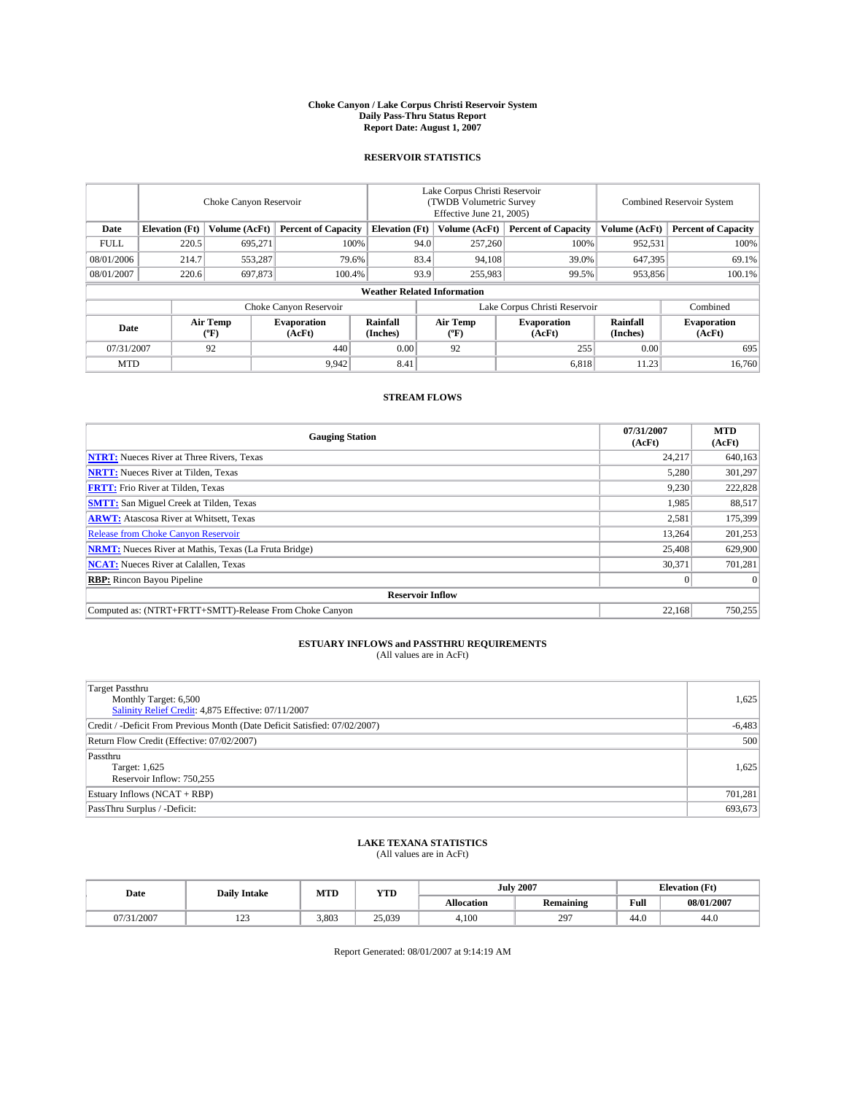#### **Choke Canyon / Lake Corpus Christi Reservoir System Daily Pass-Thru Status Report Report Date: August 1, 2007**

### **RESERVOIR STATISTICS**

|             | Choke Canyon Reservoir             |                  |                              |                       | Lake Corpus Christi Reservoir<br>(TWDB Volumetric Survey<br>Effective June 21, 2005) |                  |                               | <b>Combined Reservoir System</b> |                              |  |
|-------------|------------------------------------|------------------|------------------------------|-----------------------|--------------------------------------------------------------------------------------|------------------|-------------------------------|----------------------------------|------------------------------|--|
| Date        | <b>Elevation</b> (Ft)              | Volume (AcFt)    | <b>Percent of Capacity</b>   | <b>Elevation</b> (Ft) |                                                                                      | Volume (AcFt)    | <b>Percent of Capacity</b>    | Volume (AcFt)                    | <b>Percent of Capacity</b>   |  |
| <b>FULL</b> | 220.5                              | 695.271          |                              | 100%                  | 94.0                                                                                 | 257,260          | 100%                          | 952,531                          | 100%                         |  |
| 08/01/2006  | 214.7                              | 553,287          |                              | 79.6%                 | 83.4                                                                                 | 94,108           | 39.0%                         | 647.395                          | 69.1%                        |  |
| 08/01/2007  | 220.6                              | 697,873          | 100.4%                       |                       | 93.9                                                                                 | 255,983          | 99.5%                         | 953,856                          | $100.1\%$                    |  |
|             | <b>Weather Related Information</b> |                  |                              |                       |                                                                                      |                  |                               |                                  |                              |  |
|             |                                    |                  | Choke Canyon Reservoir       |                       |                                                                                      |                  | Lake Corpus Christi Reservoir |                                  | Combined                     |  |
| Date        |                                    | Air Temp<br>(°F) | <b>Evaporation</b><br>(AcFt) | Rainfall<br>(Inches)  |                                                                                      | Air Temp<br>("F) | <b>Evaporation</b><br>(AcFt)  | Rainfall<br>(Inches)             | <b>Evaporation</b><br>(AcFt) |  |
| 07/31/2007  |                                    | 92               | 440                          | 0.00                  |                                                                                      | 92               | 255                           | 0.00                             | 695                          |  |
| <b>MTD</b>  |                                    |                  | 9,942                        | 8.41                  |                                                                                      |                  | 6,818                         | 11.23                            | 16,760                       |  |

### **STREAM FLOWS**

| <b>Gauging Station</b>                                       | 07/31/2007<br>(AcFt) | <b>MTD</b><br>(AcFt) |
|--------------------------------------------------------------|----------------------|----------------------|
| <b>NTRT:</b> Nueces River at Three Rivers, Texas             | 24,217               | 640,163              |
| <b>NRTT:</b> Nueces River at Tilden, Texas                   | 5,280                | 301,297              |
| <b>FRTT:</b> Frio River at Tilden, Texas                     | 9,230                | 222,828              |
| <b>SMTT:</b> San Miguel Creek at Tilden, Texas               | 1.985                | 88,517               |
| <b>ARWT:</b> Atascosa River at Whitsett, Texas               | 2,581                | 175,399              |
| <b>Release from Choke Canyon Reservoir</b>                   | 13.264               | 201,253              |
| <b>NRMT:</b> Nueces River at Mathis, Texas (La Fruta Bridge) | 25,408               | 629,900              |
| <b>NCAT:</b> Nueces River at Calallen, Texas                 | 30,371               | 701,281              |
| <b>RBP:</b> Rincon Bayou Pipeline                            | $\mathbf{0}$         | $\Omega$             |
| <b>Reservoir Inflow</b>                                      |                      |                      |
| Computed as: (NTRT+FRTT+SMTT)-Release From Choke Canvon      | 22.168               | 750.255              |

# **ESTUARY INFLOWS and PASSTHRU REQUIREMENTS**<br>(All values are in AcFt)

| <b>Target Passthru</b><br>Monthly Target: 6,500<br>Salinity Relief Credit: 4,875 Effective: 07/11/2007 | 1,625    |
|--------------------------------------------------------------------------------------------------------|----------|
| Credit / -Deficit From Previous Month (Date Deficit Satisfied: 07/02/2007)                             | $-6,483$ |
| Return Flow Credit (Effective: 07/02/2007)                                                             | 500      |
| Passthru<br>Target: 1,625<br>Reservoir Inflow: 750,255                                                 | 1,625    |
| Estuary Inflows (NCAT + RBP)                                                                           | 701,281  |
| PassThru Surplus / -Deficit:                                                                           | 693,673  |

## **LAKE TEXANA STATISTICS** (All values are in AcFt)

| Date  | <b>Daily Intake</b>       | MTD   | <b>YTD</b> |                   | <b>July 2007</b> | <b>Elevation</b> (Ft) |            |
|-------|---------------------------|-------|------------|-------------------|------------------|-----------------------|------------|
|       |                           |       |            | <b>Allocation</b> | <b>Remaining</b> | Full                  | 08/01/2007 |
| /2007 | 10 <sup>o</sup><br>ب سے ج | 3.803 | 25.039     | 4.100             | 297              | 44.0                  | 44.0       |

Report Generated: 08/01/2007 at 9:14:19 AM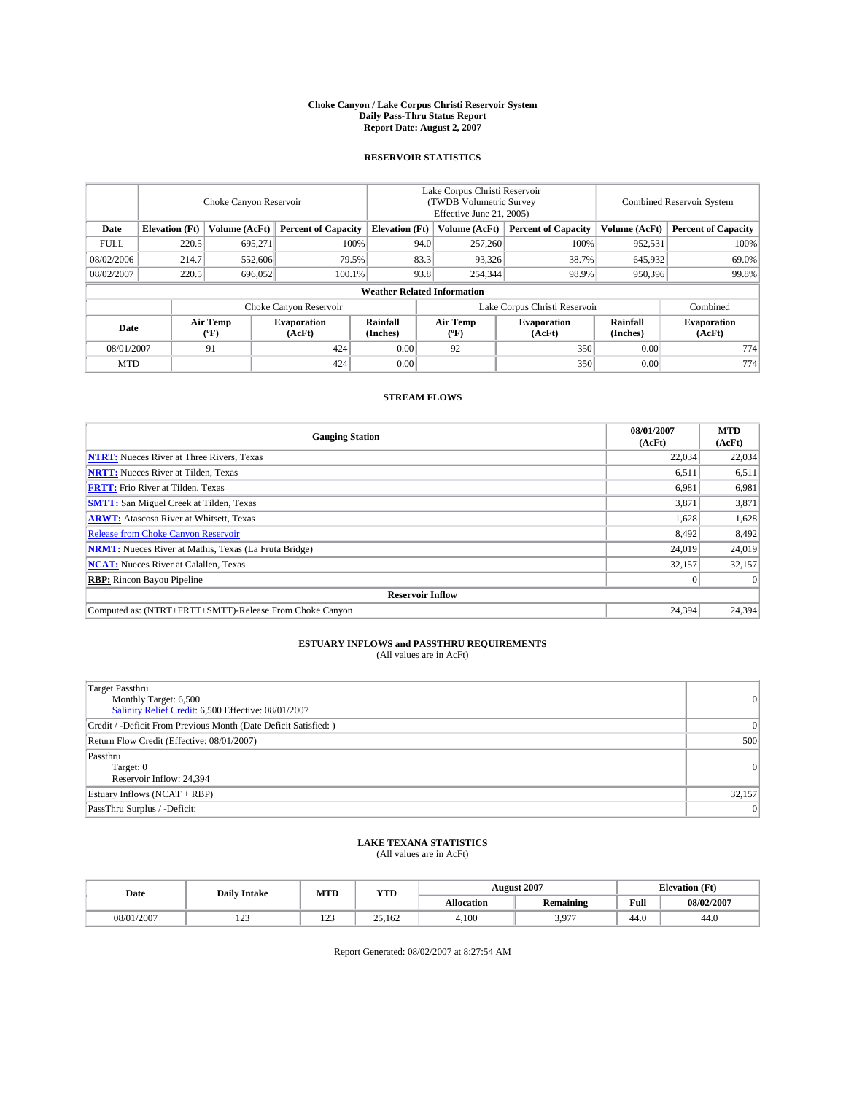#### **Choke Canyon / Lake Corpus Christi Reservoir System Daily Pass-Thru Status Report Report Date: August 2, 2007**

### **RESERVOIR STATISTICS**

|             | Choke Canyon Reservoir |                  |                              |                                    | Lake Corpus Christi Reservoir<br>(TWDB Volumetric Survey<br>Effective June 21, 2005) |                                           |                              | Combined Reservoir System |                              |  |
|-------------|------------------------|------------------|------------------------------|------------------------------------|--------------------------------------------------------------------------------------|-------------------------------------------|------------------------------|---------------------------|------------------------------|--|
| Date        | <b>Elevation</b> (Ft)  | Volume (AcFt)    | <b>Percent of Capacity</b>   | <b>Elevation</b> (Ft)              |                                                                                      | Volume (AcFt)                             | <b>Percent of Capacity</b>   | Volume (AcFt)             | <b>Percent of Capacity</b>   |  |
| <b>FULL</b> | 220.5                  | 695.271          | 100%                         |                                    | 94.0                                                                                 | 257,260                                   | 100%                         | 952,531                   | 100%                         |  |
| 08/02/2006  | 214.7                  | 552,606          | 79.5%                        |                                    | 83.3                                                                                 | 93,326                                    | 38.7%                        | 645,932                   | 69.0%                        |  |
| 08/02/2007  | 220.5                  | 696,052          | 100.1%                       |                                    | 93.8                                                                                 | 254,344                                   | 98.9%                        | 950,396                   | 99.8%                        |  |
|             |                        |                  |                              | <b>Weather Related Information</b> |                                                                                      |                                           |                              |                           |                              |  |
|             |                        |                  | Choke Canyon Reservoir       |                                    | Lake Corpus Christi Reservoir                                                        |                                           |                              |                           | Combined                     |  |
| Date        |                        | Air Temp<br>(°F) | <b>Evaporation</b><br>(AcFt) | Rainfall<br>(Inches)               |                                                                                      | Air Temp<br>$({}^{\mathrm{o}}\mathrm{F})$ | <b>Evaporation</b><br>(AcFt) | Rainfall<br>(Inches)      | <b>Evaporation</b><br>(AcFt) |  |
| 08/01/2007  |                        | 91               | 424                          | 0.00                               |                                                                                      | 92                                        | 350                          | 0.00                      | 774                          |  |
| <b>MTD</b>  |                        |                  | 424                          | 0.00                               |                                                                                      |                                           | 350                          | 0.00                      | 774                          |  |

### **STREAM FLOWS**

| <b>Gauging Station</b>                                       | 08/01/2007<br>(AcFt) | <b>MTD</b><br>(AcFt) |
|--------------------------------------------------------------|----------------------|----------------------|
| <b>NTRT:</b> Nueces River at Three Rivers, Texas             | 22,034               | 22,034               |
| <b>NRTT:</b> Nueces River at Tilden, Texas                   | 6.511                | 6,511                |
| <b>FRTT:</b> Frio River at Tilden, Texas                     | 6,981                | 6,981                |
| <b>SMTT:</b> San Miguel Creek at Tilden, Texas               | 3,871                | 3,871                |
| <b>ARWT:</b> Atascosa River at Whitsett, Texas               | 1,628                | 1,628                |
| <b>Release from Choke Canyon Reservoir</b>                   | 8,492                | 8,492                |
| <b>NRMT:</b> Nueces River at Mathis, Texas (La Fruta Bridge) | 24,019               | 24,019               |
| <b>NCAT:</b> Nueces River at Calallen, Texas                 | 32,157               | 32,157               |
| <b>RBP:</b> Rincon Bayou Pipeline                            |                      | $\Omega$             |
| <b>Reservoir Inflow</b>                                      |                      |                      |
| Computed as: (NTRT+FRTT+SMTT)-Release From Choke Canyon      | 24,394               | 24.394               |

# **ESTUARY INFLOWS and PASSTHRU REQUIREMENTS**<br>(All values are in AcFt)

| <b>Target Passthru</b><br>Monthly Target: 6,500<br>Salinity Relief Credit: 6,500 Effective: 08/01/2007 | 0               |
|--------------------------------------------------------------------------------------------------------|-----------------|
| Credit / -Deficit From Previous Month (Date Deficit Satisfied: )                                       | $\vert 0 \vert$ |
| Return Flow Credit (Effective: 08/01/2007)                                                             | 500             |
| Passthru<br>Target: 0<br>Reservoir Inflow: 24,394                                                      | 0               |
| Estuary Inflows (NCAT + RBP)                                                                           | 32,157          |
| PassThru Surplus / -Deficit:                                                                           | 0               |

## **LAKE TEXANA STATISTICS** (All values are in AcFt)

| Date       | <b>Daily Intake</b> | MTD              | <b>YTD</b> |                   | <b>August 2007</b> | <b>Elevation</b> (Ft) |            |
|------------|---------------------|------------------|------------|-------------------|--------------------|-----------------------|------------|
|            |                     |                  |            | <b>Allocation</b> | <b>Remaining</b>   | Full                  | 08/02/2007 |
| 08/01/2007 | 122<br>149          | $\sim$<br>ب سکتا | 25.162     | 4.100             | 3,977              | 44.0                  | 44.0       |

Report Generated: 08/02/2007 at 8:27:54 AM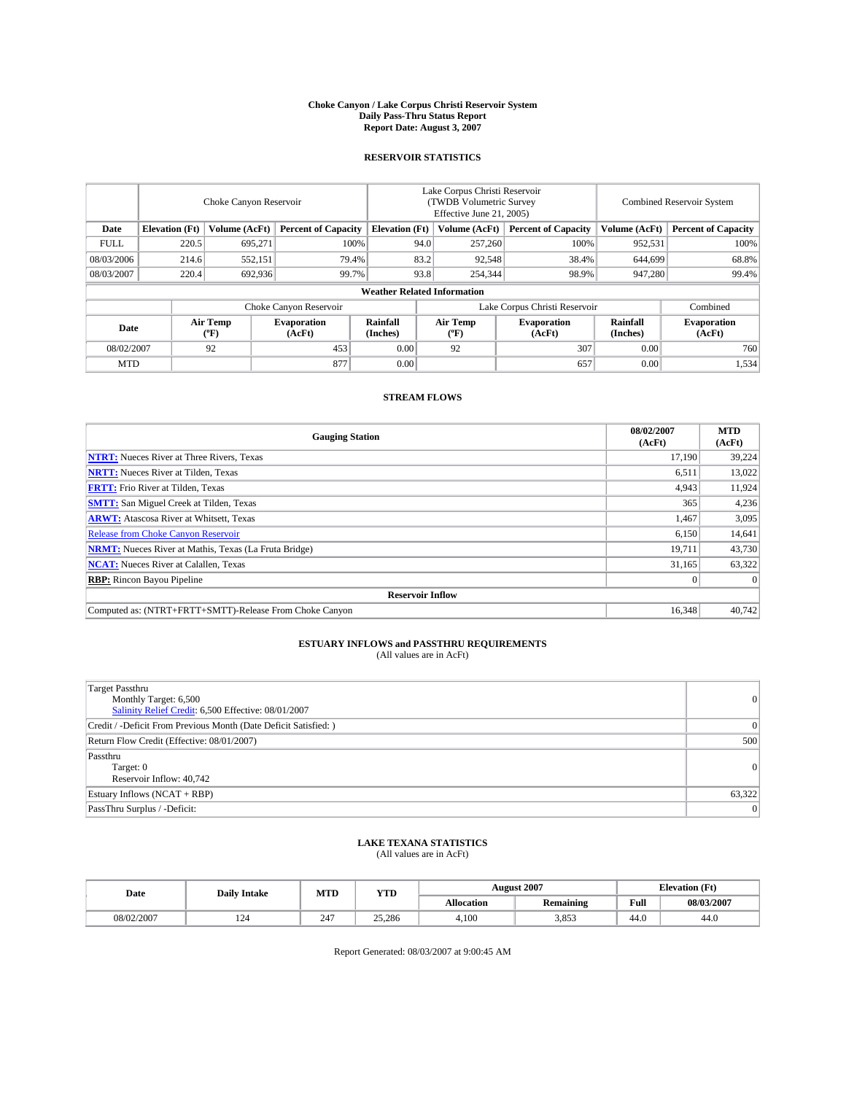#### **Choke Canyon / Lake Corpus Christi Reservoir System Daily Pass-Thru Status Report Report Date: August 3, 2007**

### **RESERVOIR STATISTICS**

|             | Choke Canyon Reservoir             |                  |                              |                       | Lake Corpus Christi Reservoir<br>(TWDB Volumetric Survey<br>Effective June 21, 2005) |        |                               | <b>Combined Reservoir System</b> |                              |  |
|-------------|------------------------------------|------------------|------------------------------|-----------------------|--------------------------------------------------------------------------------------|--------|-------------------------------|----------------------------------|------------------------------|--|
| Date        | <b>Elevation</b> (Ft)              | Volume (AcFt)    | <b>Percent of Capacity</b>   | <b>Elevation</b> (Ft) | Volume (AcFt)                                                                        |        | <b>Percent of Capacity</b>    | Volume (AcFt)                    | <b>Percent of Capacity</b>   |  |
| <b>FULL</b> | 220.5                              | 695.271          | 100%                         |                       | 94.0<br>257,260                                                                      |        | 100%                          | 952,531                          | 100%                         |  |
| 08/03/2006  | 214.6                              | 552.151          | 79.4%                        | 83.2                  |                                                                                      | 92,548 | 38.4%                         | 644,699                          | 68.8%                        |  |
| 08/03/2007  | 220.4                              | 692,936          | 99.7%                        |                       | 93.8<br>254,344                                                                      |        | 98.9%                         | 947,280                          | 99.4%                        |  |
|             | <b>Weather Related Information</b> |                  |                              |                       |                                                                                      |        |                               |                                  |                              |  |
|             |                                    |                  | Choke Canyon Reservoir       |                       |                                                                                      |        | Lake Corpus Christi Reservoir |                                  | Combined                     |  |
| Date        |                                    | Air Temp<br>("F) | <b>Evaporation</b><br>(AcFt) | Rainfall<br>(Inches)  | Air Temp<br>("F)                                                                     |        | <b>Evaporation</b><br>(AcFt)  | Rainfall<br>(Inches)             | <b>Evaporation</b><br>(AcFt) |  |
| 08/02/2007  |                                    | 92               | 453                          | 0.00                  | 92                                                                                   |        | 307                           | 0.00                             | 760                          |  |
| <b>MTD</b>  |                                    |                  | 877                          | 0.00                  |                                                                                      |        | 657                           | 0.00                             | 1,534                        |  |

### **STREAM FLOWS**

| <b>Gauging Station</b>                                       | 08/02/2007<br>(AcFt) | <b>MTD</b><br>(AcFt) |
|--------------------------------------------------------------|----------------------|----------------------|
| <b>NTRT:</b> Nueces River at Three Rivers, Texas             | 17.190               | 39.224               |
| <b>NRTT:</b> Nueces River at Tilden, Texas                   | 6.511                | 13,022               |
| <b>FRTT:</b> Frio River at Tilden, Texas                     | 4,943                | 11,924               |
| <b>SMTT:</b> San Miguel Creek at Tilden, Texas               | 365                  | 4,236                |
| <b>ARWT:</b> Atascosa River at Whitsett, Texas               | 1,467                | 3,095                |
| <b>Release from Choke Canyon Reservoir</b>                   | 6,150                | 14,641               |
| <b>NRMT:</b> Nueces River at Mathis, Texas (La Fruta Bridge) | 19,711               | 43,730               |
| <b>NCAT:</b> Nueces River at Calallen, Texas                 | 31,165               | 63,322               |
| <b>RBP:</b> Rincon Bayou Pipeline                            |                      | $\Omega$             |
| <b>Reservoir Inflow</b>                                      |                      |                      |
| Computed as: (NTRT+FRTT+SMTT)-Release From Choke Canyon      | 16.348               | 40.742               |

# **ESTUARY INFLOWS and PASSTHRU REQUIREMENTS**<br>(All values are in AcFt)

| <b>Target Passthru</b><br>Monthly Target: 6,500<br>Salinity Relief Credit: 6,500 Effective: 08/01/2007 | 0               |
|--------------------------------------------------------------------------------------------------------|-----------------|
| Credit / -Deficit From Previous Month (Date Deficit Satisfied: )                                       | $\vert 0 \vert$ |
| Return Flow Credit (Effective: 08/01/2007)                                                             | 500             |
| Passthru<br>Target: 0<br>Reservoir Inflow: 40,742                                                      | 0               |
| Estuary Inflows (NCAT + RBP)                                                                           | 63,322          |
| PassThru Surplus / -Deficit:                                                                           | 0               |

## **LAKE TEXANA STATISTICS** (All values are in AcFt)

| Date       | <b>Daily Intake</b> | MTD             | <b>YTD</b> |                   | <b>August 2007</b> | <b>Elevation</b> (Ft) |            |
|------------|---------------------|-----------------|------------|-------------------|--------------------|-----------------------|------------|
|            |                     |                 |            | <b>Allocation</b> | <b>Remaining</b>   | Full                  | 08/03/2007 |
| 08/02/2007 | 124                 | $\sim$ 45<br>24 | 25,286     | 4.100             | 3.853              | 44.0                  | 44.0       |

Report Generated: 08/03/2007 at 9:00:45 AM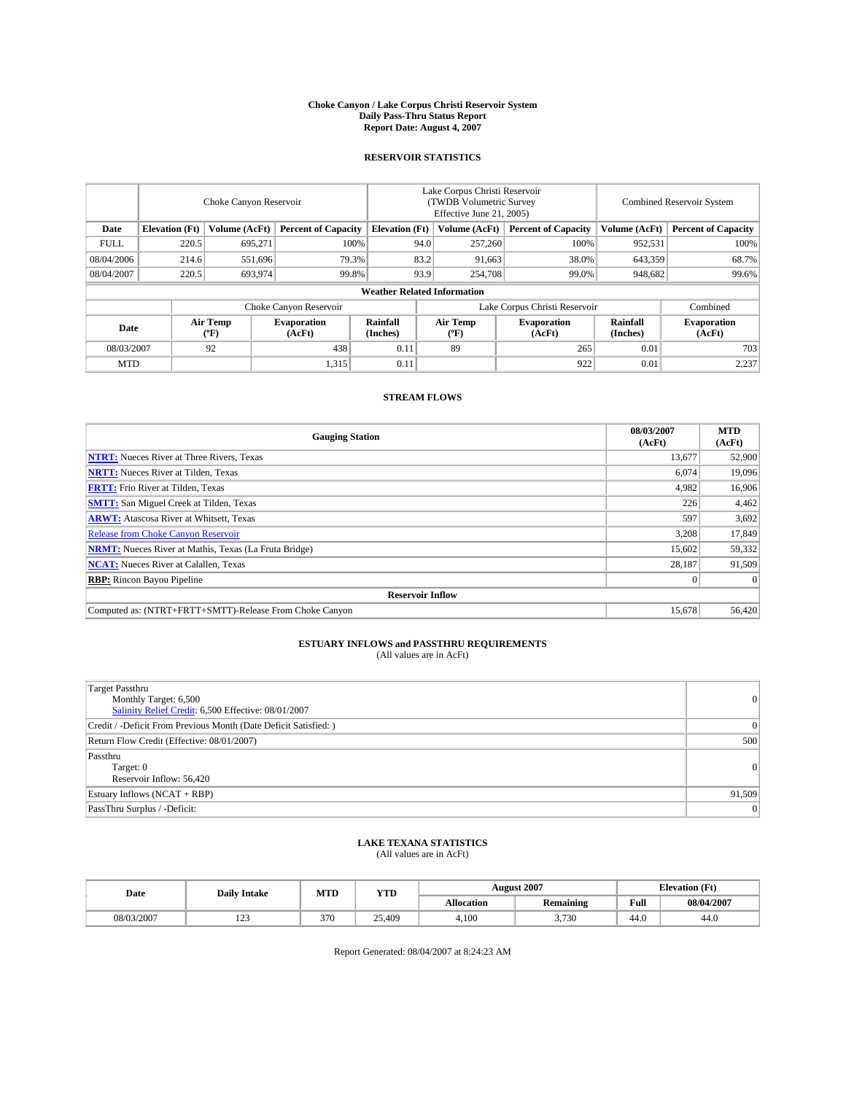#### **Choke Canyon / Lake Corpus Christi Reservoir System Daily Pass-Thru Status Report Report Date: August 4, 2007**

### **RESERVOIR STATISTICS**

|             | Choke Canyon Reservoir             |                  |                              |                       | Lake Corpus Christi Reservoir<br>(TWDB Volumetric Survey<br>Effective June 21, 2005) |                  |                               | Combined Reservoir System |                              |  |
|-------------|------------------------------------|------------------|------------------------------|-----------------------|--------------------------------------------------------------------------------------|------------------|-------------------------------|---------------------------|------------------------------|--|
| Date        | <b>Elevation</b> (Ft)              | Volume (AcFt)    | <b>Percent of Capacity</b>   | <b>Elevation</b> (Ft) |                                                                                      | Volume (AcFt)    | <b>Percent of Capacity</b>    | Volume (AcFt)             | <b>Percent of Capacity</b>   |  |
| <b>FULL</b> | 220.5                              | 695.271          | 100%                         |                       | 94.0                                                                                 | 257,260          | 100%                          | 952,531                   | 100%                         |  |
| 08/04/2006  | 214.6                              | 551,696          | 79.3%                        |                       | 83.2                                                                                 | 91,663           | 38.0%                         | 643,359                   | 68.7%                        |  |
| 08/04/2007  | 220.5                              | 693,974          | 99.8%                        |                       | 93.9                                                                                 | 254,708          | 99.0%                         | 948,682                   | 99.6%                        |  |
|             | <b>Weather Related Information</b> |                  |                              |                       |                                                                                      |                  |                               |                           |                              |  |
|             |                                    |                  | Choke Canyon Reservoir       |                       |                                                                                      |                  | Lake Corpus Christi Reservoir |                           | Combined                     |  |
| Date        |                                    | Air Temp<br>(°F) | <b>Evaporation</b><br>(AcFt) | Rainfall<br>(Inches)  |                                                                                      | Air Temp<br>("F) | <b>Evaporation</b><br>(AcFt)  | Rainfall<br>(Inches)      | <b>Evaporation</b><br>(AcFt) |  |
| 08/03/2007  |                                    | 92               | 438                          | 0.11                  |                                                                                      | 89               | 265                           | 0.01                      | 703                          |  |
| <b>MTD</b>  |                                    |                  | 1,315                        | 0.11                  |                                                                                      |                  | 922                           | 0.01                      | 2,237                        |  |

### **STREAM FLOWS**

| <b>Gauging Station</b>                                       | 08/03/2007<br>(AcFt) | <b>MTD</b><br>(AcFt) |
|--------------------------------------------------------------|----------------------|----------------------|
| <b>NTRT:</b> Nueces River at Three Rivers, Texas             | 13,677               | 52,900               |
| <b>NRTT:</b> Nueces River at Tilden, Texas                   | 6.074                | 19.096               |
| <b>FRTT:</b> Frio River at Tilden, Texas                     | 4,982                | 16,906               |
| <b>SMTT:</b> San Miguel Creek at Tilden, Texas               | 226                  | 4,462                |
| <b>ARWT:</b> Atascosa River at Whitsett, Texas               | 597                  | 3,692                |
| <b>Release from Choke Canyon Reservoir</b>                   | 3,208                | 17,849               |
| <b>NRMT:</b> Nueces River at Mathis, Texas (La Fruta Bridge) | 15,602               | 59,332               |
| <b>NCAT:</b> Nueces River at Calallen, Texas                 | 28.187               | 91,509               |
| <b>RBP:</b> Rincon Bayou Pipeline                            |                      | $\Omega$             |
| <b>Reservoir Inflow</b>                                      |                      |                      |
| Computed as: (NTRT+FRTT+SMTT)-Release From Choke Canyon      | 15,678               | 56.420               |

# **ESTUARY INFLOWS and PASSTHRU REQUIREMENTS**<br>(All values are in AcFt)

| <b>Target Passthru</b><br>Monthly Target: 6,500<br>Salinity Relief Credit: 6,500 Effective: 08/01/2007 | 0               |
|--------------------------------------------------------------------------------------------------------|-----------------|
| Credit / -Deficit From Previous Month (Date Deficit Satisfied: )                                       | $\vert 0 \vert$ |
| Return Flow Credit (Effective: 08/01/2007)                                                             | 500             |
| Passthru<br>Target: 0<br>Reservoir Inflow: 56,420                                                      | 0               |
| Estuary Inflows (NCAT + RBP)                                                                           | 91,509          |
| PassThru Surplus / -Deficit:                                                                           | 0               |

## **LAKE TEXANA STATISTICS** (All values are in AcFt)

| Date       | <b>Daily Intake</b> | MTD | <b>YTD</b> |                   | <b>August 2007</b> | <b>Elevation</b> (Ft) |            |
|------------|---------------------|-----|------------|-------------------|--------------------|-----------------------|------------|
|            |                     |     |            | <b>Allocation</b> | <b>Remaining</b>   | Full                  | 08/04/2007 |
| 08/03/2007 | 122<br>رے 1         | 370 | 25.409     | 4.100             | 3.730              | 44.0                  | 44.0       |

Report Generated: 08/04/2007 at 8:24:23 AM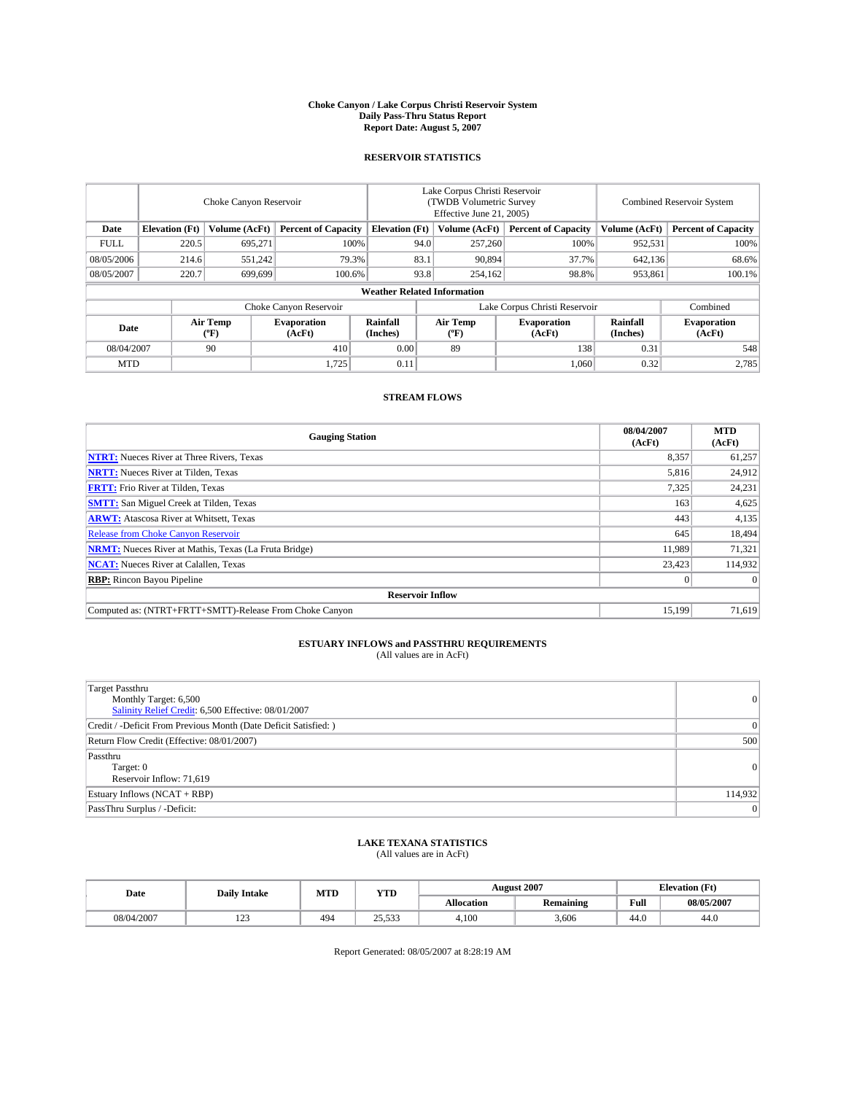#### **Choke Canyon / Lake Corpus Christi Reservoir System Daily Pass-Thru Status Report Report Date: August 5, 2007**

### **RESERVOIR STATISTICS**

|             | Choke Canyon Reservoir             |                               |                              |                       | Lake Corpus Christi Reservoir<br>(TWDB Volumetric Survey<br>Effective June 21, 2005) |                           |                              |                      | Combined Reservoir System    |  |  |
|-------------|------------------------------------|-------------------------------|------------------------------|-----------------------|--------------------------------------------------------------------------------------|---------------------------|------------------------------|----------------------|------------------------------|--|--|
| Date        | <b>Elevation</b> (Ft)              | Volume (AcFt)                 | <b>Percent of Capacity</b>   | <b>Elevation</b> (Ft) |                                                                                      | Volume (AcFt)             | <b>Percent of Capacity</b>   | Volume (AcFt)        | <b>Percent of Capacity</b>   |  |  |
| <b>FULL</b> | 220.5                              | 695.271                       |                              | 100%                  | 94.0                                                                                 | 257,260                   | 100%                         | 952,531              | 100%                         |  |  |
| 08/05/2006  | 214.6                              | 551,242                       | 79.3%                        |                       | 83.1                                                                                 | 90,894                    | 37.7%                        | 642,136              | 68.6%                        |  |  |
| 08/05/2007  | 220.7                              | 699.699                       | 100.6%                       |                       | 93.8                                                                                 | 254,162                   | 98.8%                        | 953,861              | 100.1%                       |  |  |
|             | <b>Weather Related Information</b> |                               |                              |                       |                                                                                      |                           |                              |                      |                              |  |  |
|             |                                    | Lake Corpus Christi Reservoir |                              |                       |                                                                                      | Combined                  |                              |                      |                              |  |  |
| Date        |                                    | Air Temp<br>(°F)              | <b>Evaporation</b><br>(AcFt) | Rainfall<br>(Inches)  |                                                                                      | Air Temp<br>$^{\circ}$ F) | <b>Evaporation</b><br>(AcFt) | Rainfall<br>(Inches) | <b>Evaporation</b><br>(AcFt) |  |  |
| 08/04/2007  |                                    | 90                            | 410                          | 0.00                  |                                                                                      | 89                        | 138                          | 0.31                 | 548                          |  |  |
| <b>MTD</b>  |                                    |                               | 1,725                        | 0.11                  |                                                                                      |                           | 1,060                        | 0.32                 | 2,785                        |  |  |

### **STREAM FLOWS**

| <b>Gauging Station</b>                                       | 08/04/2007<br>(AcFt) | <b>MTD</b><br>(AcFt) |
|--------------------------------------------------------------|----------------------|----------------------|
| <b>NTRT:</b> Nueces River at Three Rivers, Texas             | 8,357                | 61,257               |
| <b>NRTT:</b> Nueces River at Tilden, Texas                   | 5.816                | 24,912               |
| <b>FRTT:</b> Frio River at Tilden, Texas                     | 7,325                | 24,231               |
| <b>SMTT:</b> San Miguel Creek at Tilden, Texas               | 163                  | 4,625                |
| <b>ARWT:</b> Atascosa River at Whitsett, Texas               | 443                  | 4,135                |
| <b>Release from Choke Canyon Reservoir</b>                   | 645                  | 18,494               |
| <b>NRMT:</b> Nueces River at Mathis, Texas (La Fruta Bridge) | 11.989               | 71,321               |
| <b>NCAT:</b> Nueces River at Calallen, Texas                 | 23,423               | 114,932              |
| <b>RBP:</b> Rincon Bayou Pipeline                            | $\mathbf{0}$         | $\Omega$             |
| <b>Reservoir Inflow</b>                                      |                      |                      |
| Computed as: (NTRT+FRTT+SMTT)-Release From Choke Canyon      | 15.199               | 71,619               |

# **ESTUARY INFLOWS and PASSTHRU REQUIREMENTS**<br>(All values are in AcFt)

| <b>Target Passthru</b><br>Monthly Target: 6,500<br>Salinity Relief Credit: 6,500 Effective: 08/01/2007 | $\overline{0}$ |
|--------------------------------------------------------------------------------------------------------|----------------|
| Credit / -Deficit From Previous Month (Date Deficit Satisfied: )                                       | $\Omega$       |
| Return Flow Credit (Effective: 08/01/2007)                                                             | 500            |
| Passthru<br>Target: 0<br>Reservoir Inflow: 71,619                                                      | $\Omega$       |
| Estuary Inflows (NCAT + RBP)                                                                           | 114,932        |
| PassThru Surplus / -Deficit:                                                                           | $\Omega$       |

## **LAKE TEXANA STATISTICS** (All values are in AcFt)

| Date       | <b>Daily Intake</b> | MTD | <b>YTD</b>                   |                   | <b>August 2007</b> | <b>Elevation</b> (Ft) |            |
|------------|---------------------|-----|------------------------------|-------------------|--------------------|-----------------------|------------|
|            |                     |     |                              | <b>Allocation</b> | <b>Remaining</b>   | Full                  | 08/05/2007 |
| 08/04/2007 | 122<br>رے 1         | 494 | $\sim$<br>500<br>ر ر ر ر ر ب | 4.100             | 3.606              | 44.0                  | 44.0       |

Report Generated: 08/05/2007 at 8:28:19 AM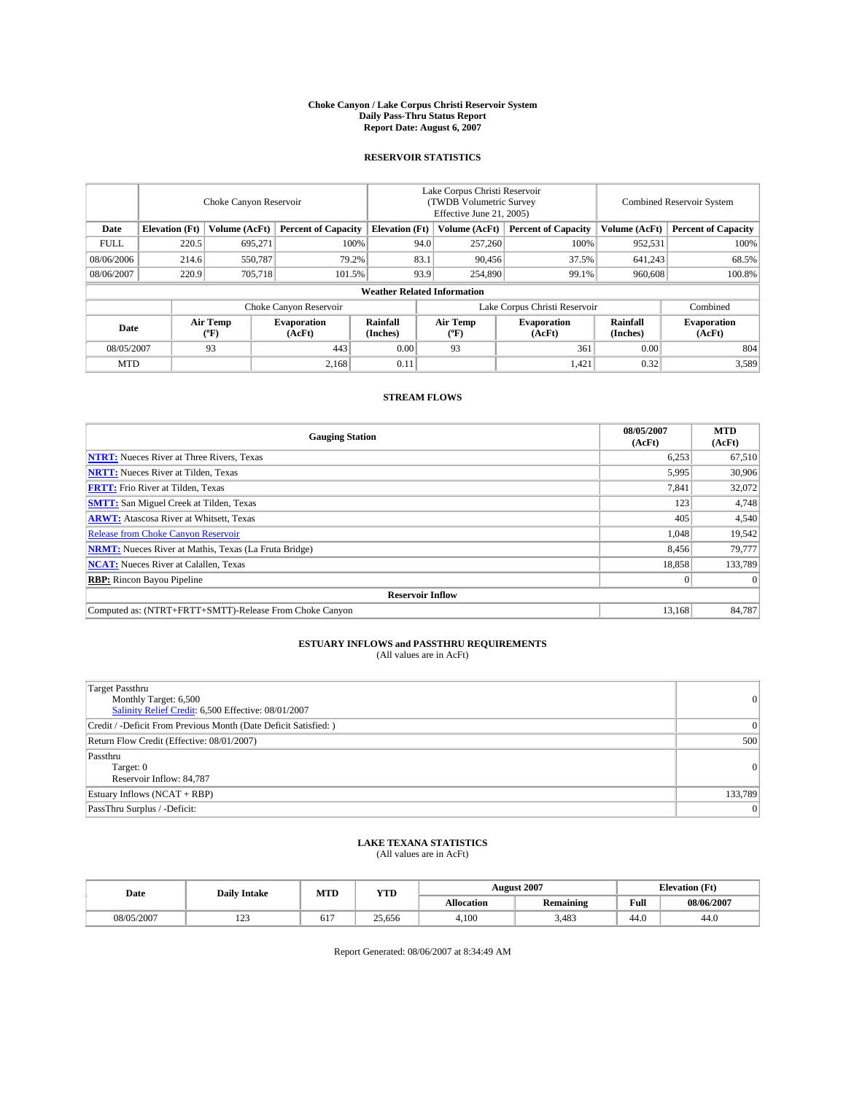#### **Choke Canyon / Lake Corpus Christi Reservoir System Daily Pass-Thru Status Report Report Date: August 6, 2007**

### **RESERVOIR STATISTICS**

|             | Choke Canyon Reservoir             |                  |                              |                       | Lake Corpus Christi Reservoir<br>(TWDB Volumetric Survey<br>Effective June 21, 2005) |                  |                              | <b>Combined Reservoir System</b> |                              |  |
|-------------|------------------------------------|------------------|------------------------------|-----------------------|--------------------------------------------------------------------------------------|------------------|------------------------------|----------------------------------|------------------------------|--|
| Date        | <b>Elevation</b> (Ft)              | Volume (AcFt)    | <b>Percent of Capacity</b>   | <b>Elevation</b> (Ft) |                                                                                      | Volume (AcFt)    | <b>Percent of Capacity</b>   | Volume (AcFt)                    | <b>Percent of Capacity</b>   |  |
| <b>FULL</b> | 220.5                              | 695.271          |                              | 100%                  | 94.0                                                                                 | 257,260          | 100%                         | 952,531                          | 100%                         |  |
| 08/06/2006  | 214.6                              | 550,787          |                              | 79.2%                 | 83.1                                                                                 | 90,456           | 37.5%                        | 641,243                          | 68.5%                        |  |
| 08/06/2007  | 220.9                              | 705.718          | 101.5%                       |                       | 93.9                                                                                 | 254,890          | 99.1%                        | 960,608                          | $100.8\%$                    |  |
|             | <b>Weather Related Information</b> |                  |                              |                       |                                                                                      |                  |                              |                                  |                              |  |
|             |                                    |                  | Choke Canyon Reservoir       |                       | Lake Corpus Christi Reservoir                                                        |                  |                              |                                  | Combined                     |  |
| Date        |                                    | Air Temp<br>(°F) | <b>Evaporation</b><br>(AcFt) | Rainfall<br>(Inches)  |                                                                                      | Air Temp<br>("F) | <b>Evaporation</b><br>(AcFt) | Rainfall<br>(Inches)             | <b>Evaporation</b><br>(AcFt) |  |
| 08/05/2007  |                                    | 93               | 443                          | 0.00                  |                                                                                      | 93               | 361                          | 0.00                             | 804                          |  |
| <b>MTD</b>  |                                    |                  | 2,168                        | 0.11                  |                                                                                      |                  | 1,421                        | 0.32                             | 3,589                        |  |

### **STREAM FLOWS**

| <b>Gauging Station</b>                                       | 08/05/2007<br>(AcFt) | <b>MTD</b><br>(AcFt) |
|--------------------------------------------------------------|----------------------|----------------------|
| <b>NTRT:</b> Nueces River at Three Rivers, Texas             | 6,253                | 67,510               |
| <b>NRTT:</b> Nueces River at Tilden, Texas                   | 5.995                | 30,906               |
| <b>FRTT:</b> Frio River at Tilden, Texas                     | 7,841                | 32,072               |
| <b>SMTT:</b> San Miguel Creek at Tilden, Texas               | 123                  | 4,748                |
| <b>ARWT:</b> Atascosa River at Whitsett, Texas               | 405                  | 4,540                |
| <b>Release from Choke Canyon Reservoir</b>                   | 1,048                | 19,542               |
| <b>NRMT:</b> Nueces River at Mathis, Texas (La Fruta Bridge) | 8,456                | 79,777               |
| <b>NCAT:</b> Nueces River at Calallen, Texas                 | 18,858               | 133,789              |
| <b>RBP:</b> Rincon Bayou Pipeline                            | $\mathbf{0}$         | $\Omega$             |
| <b>Reservoir Inflow</b>                                      |                      |                      |
| Computed as: (NTRT+FRTT+SMTT)-Release From Choke Canyon      | 13.168               | 84,787               |

# **ESTUARY INFLOWS and PASSTHRU REQUIREMENTS**<br>(All values are in AcFt)

| <b>Target Passthru</b><br>Monthly Target: 6,500<br>Salinity Relief Credit: 6,500 Effective: 08/01/2007 | $\overline{0}$ |
|--------------------------------------------------------------------------------------------------------|----------------|
| Credit / -Deficit From Previous Month (Date Deficit Satisfied: )                                       | 0              |
| Return Flow Credit (Effective: 08/01/2007)                                                             | 500            |
| Passthru<br>Target: 0<br>Reservoir Inflow: 84,787                                                      | $\Omega$       |
| Estuary Inflows (NCAT + RBP)                                                                           | 133,789        |
| PassThru Surplus / -Deficit:                                                                           | $\Omega$       |

## **LAKE TEXANA STATISTICS** (All values are in AcFt)

| Date       | <b>Daily Intake</b>       | MTD | <b>YTD</b> |                   | <b>August 2007</b> | <b>Elevation</b> (Ft) |            |
|------------|---------------------------|-----|------------|-------------------|--------------------|-----------------------|------------|
|            |                           |     |            | <b>Allocation</b> | <b>Remaining</b>   | Full                  | 08/06/2007 |
| 08/05/2007 | 10 <sup>o</sup><br>ب سے ج | ОI  | 25.656     | 4.100             | 3.483              | 44.0                  | 44.0       |

Report Generated: 08/06/2007 at 8:34:49 AM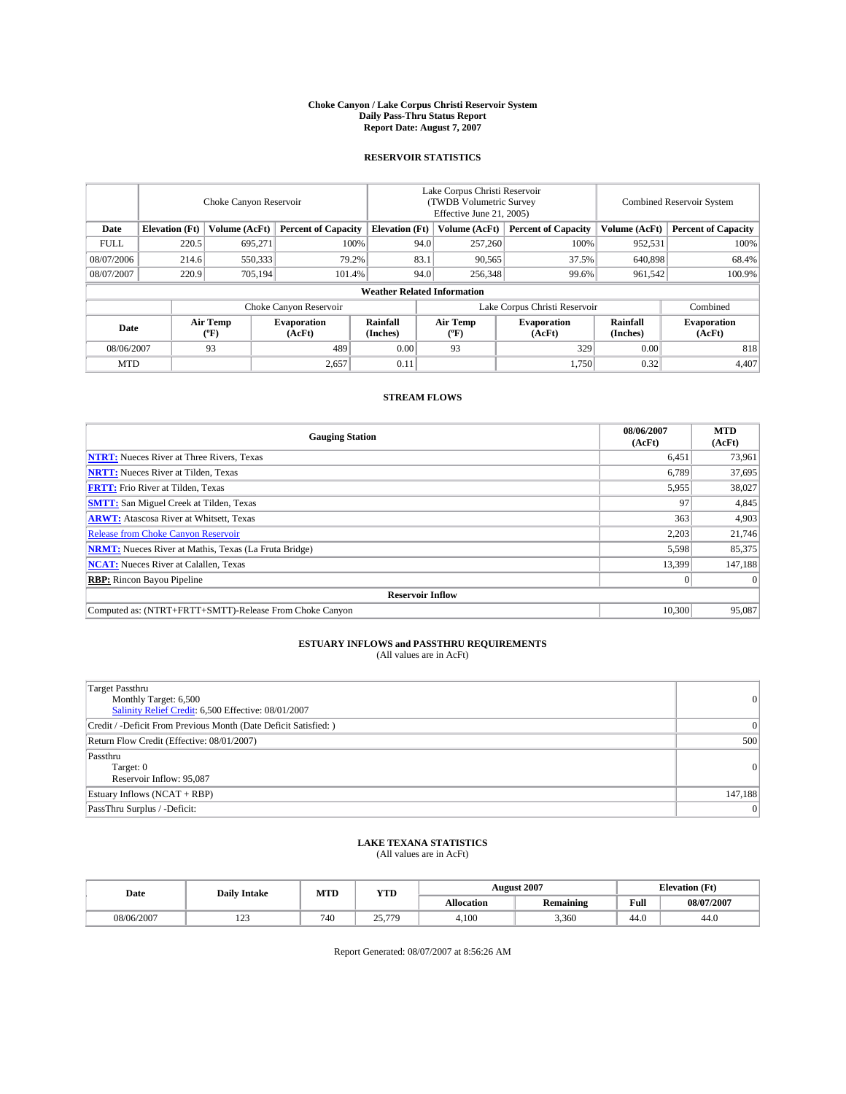#### **Choke Canyon / Lake Corpus Christi Reservoir System Daily Pass-Thru Status Report Report Date: August 7, 2007**

### **RESERVOIR STATISTICS**

|             | Choke Canyon Reservoir             |                  |                              |                       | Lake Corpus Christi Reservoir<br>(TWDB Volumetric Survey<br>Effective June 21, 2005) |                  |                               | <b>Combined Reservoir System</b> |                              |  |
|-------------|------------------------------------|------------------|------------------------------|-----------------------|--------------------------------------------------------------------------------------|------------------|-------------------------------|----------------------------------|------------------------------|--|
| Date        | <b>Elevation</b> (Ft)              | Volume (AcFt)    | <b>Percent of Capacity</b>   | <b>Elevation</b> (Ft) |                                                                                      | Volume (AcFt)    | <b>Percent of Capacity</b>    | Volume (AcFt)                    | <b>Percent of Capacity</b>   |  |
| <b>FULL</b> | 220.5                              | 695.271          |                              | 100%                  | 94.0                                                                                 | 257,260          | 100%                          | 952,531                          | 100%                         |  |
| 08/07/2006  | 214.6                              | 550,333          |                              | 79.2%                 | 83.1                                                                                 | 90,565           | 37.5%                         | 640,898                          | 68.4%                        |  |
| 08/07/2007  | 220.9                              | 705.194          | 101.4%                       |                       | 94.0                                                                                 | 256,348          | 99.6%                         | 961.542                          | $100.9\%$                    |  |
|             | <b>Weather Related Information</b> |                  |                              |                       |                                                                                      |                  |                               |                                  |                              |  |
|             |                                    |                  | Choke Canyon Reservoir       |                       |                                                                                      |                  | Lake Corpus Christi Reservoir |                                  | Combined                     |  |
| Date        |                                    | Air Temp<br>(°F) | <b>Evaporation</b><br>(AcFt) | Rainfall<br>(Inches)  |                                                                                      | Air Temp<br>("F) | <b>Evaporation</b><br>(AcFt)  | Rainfall<br>(Inches)             | <b>Evaporation</b><br>(AcFt) |  |
| 08/06/2007  |                                    | 93               | 489                          | 0.00                  |                                                                                      | 93               | 329                           | 0.00                             | 818                          |  |
| <b>MTD</b>  |                                    |                  | 2,657                        | 0.11                  |                                                                                      |                  | 1,750                         | 0.32                             | 4,407                        |  |

### **STREAM FLOWS**

| <b>Gauging Station</b>                                       | 08/06/2007<br>(AcFt) | <b>MTD</b><br>(AcFt) |
|--------------------------------------------------------------|----------------------|----------------------|
| <b>NTRT:</b> Nueces River at Three Rivers, Texas             | 6,451                | 73,961               |
| <b>NRTT:</b> Nueces River at Tilden, Texas                   | 6.789                | 37,695               |
| <b>FRTT:</b> Frio River at Tilden, Texas                     | 5,955                | 38,027               |
| <b>SMTT:</b> San Miguel Creek at Tilden, Texas               | 97                   | 4,845                |
| <b>ARWT:</b> Atascosa River at Whitsett, Texas               | 363                  | 4,903                |
| <b>Release from Choke Canyon Reservoir</b>                   | 2,203                | 21,746               |
| <b>NRMT:</b> Nueces River at Mathis, Texas (La Fruta Bridge) | 5,598                | 85,375               |
| <b>NCAT:</b> Nueces River at Calallen, Texas                 | 13.399               | 147,188              |
| <b>RBP:</b> Rincon Bayou Pipeline                            | $\mathbf{0}$         | $\Omega$             |
| <b>Reservoir Inflow</b>                                      |                      |                      |
| Computed as: (NTRT+FRTT+SMTT)-Release From Choke Canyon      | 10,300               | 95.087               |

# **ESTUARY INFLOWS and PASSTHRU REQUIREMENTS**<br>(All values are in AcFt)

| <b>Target Passthru</b><br>Monthly Target: 6,500<br>Salinity Relief Credit: 6,500 Effective: 08/01/2007 | $\overline{0}$ |
|--------------------------------------------------------------------------------------------------------|----------------|
| Credit / -Deficit From Previous Month (Date Deficit Satisfied: )                                       | $\Omega$       |
| Return Flow Credit (Effective: 08/01/2007)                                                             | 500            |
| Passthru<br>Target: 0<br>Reservoir Inflow: 95,087                                                      | $\Omega$       |
| Estuary Inflows (NCAT + RBP)                                                                           | 147,188        |
| PassThru Surplus / -Deficit:                                                                           | $\Omega$       |

## **LAKE TEXANA STATISTICS** (All values are in AcFt)

| Date       | <b>Daily Intake</b>       | MTD | <b>YTD</b>       |                   | <b>August 2007</b> | <b>Elevation</b> (Ft) |            |
|------------|---------------------------|-----|------------------|-------------------|--------------------|-----------------------|------------|
|            |                           |     |                  | <b>Allocation</b> | <b>Remaining</b>   | Full                  | 08/07/2007 |
| 08/06/2007 | 10 <sup>o</sup><br>ل کے 1 | 740 | 25.779<br>، پە ب | 4.100             | 3,360              | 44.0                  | 44.0       |

Report Generated: 08/07/2007 at 8:56:26 AM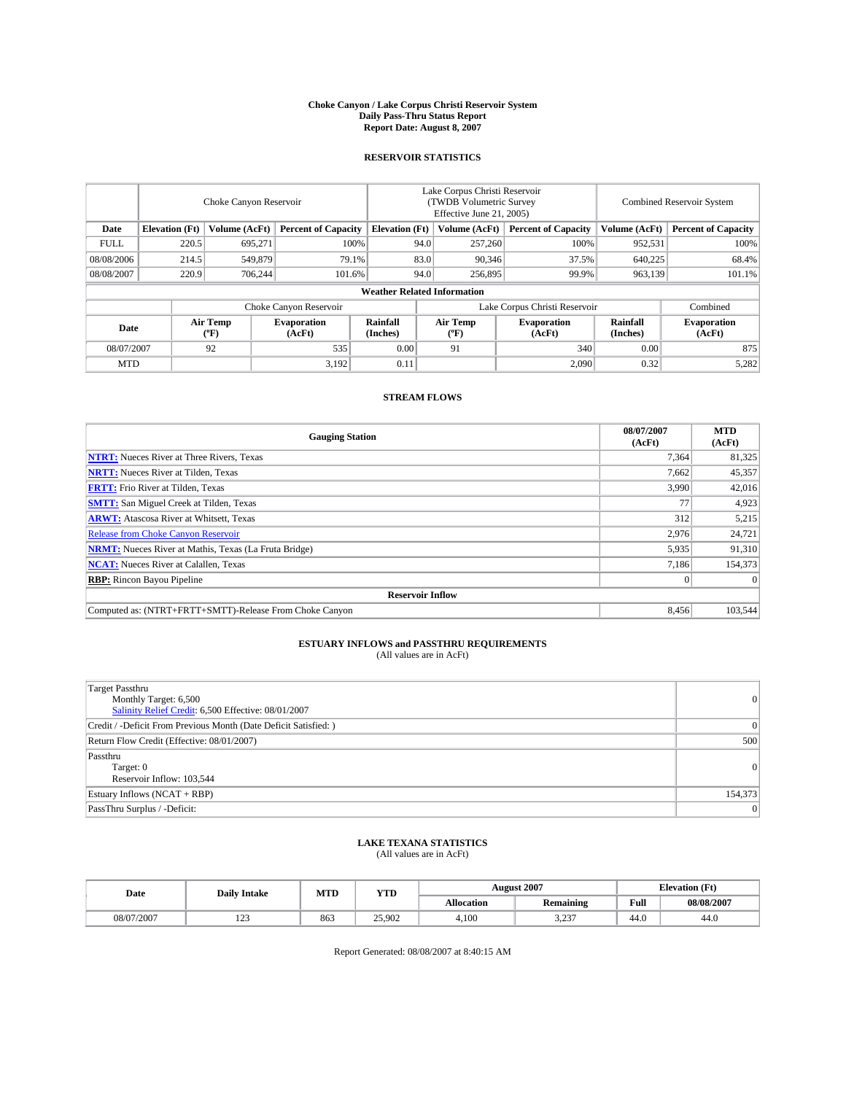#### **Choke Canyon / Lake Corpus Christi Reservoir System Daily Pass-Thru Status Report Report Date: August 8, 2007**

### **RESERVOIR STATISTICS**

|             | Choke Canyon Reservoir             |                  |                              |                       | Lake Corpus Christi Reservoir<br>(TWDB Volumetric Survey<br>Effective June 21, 2005) |                  |                               | <b>Combined Reservoir System</b> |                              |  |
|-------------|------------------------------------|------------------|------------------------------|-----------------------|--------------------------------------------------------------------------------------|------------------|-------------------------------|----------------------------------|------------------------------|--|
| Date        | <b>Elevation</b> (Ft)              | Volume (AcFt)    | <b>Percent of Capacity</b>   | <b>Elevation</b> (Ft) |                                                                                      | Volume (AcFt)    | <b>Percent of Capacity</b>    | Volume (AcFt)                    | <b>Percent of Capacity</b>   |  |
| <b>FULL</b> | 220.5                              | 695.271          |                              | 100%                  | 94.0                                                                                 | 257,260          | 100%                          | 952,531                          | 100%                         |  |
| 08/08/2006  | 214.5                              | 549,879          |                              | 79.1%                 | 83.0                                                                                 | 90,346           | 37.5%                         | 640,225                          | 68.4%                        |  |
| 08/08/2007  | 220.9                              | 706.244          | 101.6%                       |                       | 94.0                                                                                 | 256,895          | 99.9%                         | 963.139                          | 101.1%                       |  |
|             | <b>Weather Related Information</b> |                  |                              |                       |                                                                                      |                  |                               |                                  |                              |  |
|             |                                    |                  | Choke Canyon Reservoir       |                       |                                                                                      |                  | Lake Corpus Christi Reservoir |                                  | Combined                     |  |
| Date        |                                    | Air Temp<br>(°F) | <b>Evaporation</b><br>(AcFt) | Rainfall<br>(Inches)  |                                                                                      | Air Temp<br>("F) | <b>Evaporation</b><br>(AcFt)  | Rainfall<br>(Inches)             | <b>Evaporation</b><br>(AcFt) |  |
| 08/07/2007  |                                    | 92               | 535                          | 0.00                  |                                                                                      | 91               | 340                           | 0.00                             | 875                          |  |
| <b>MTD</b>  |                                    |                  | 3,192                        | 0.11                  |                                                                                      |                  | 2,090                         | 0.32                             | 5,282                        |  |

### **STREAM FLOWS**

| <b>Gauging Station</b>                                       | 08/07/2007<br>(AcFt) | <b>MTD</b><br>(AcFt) |
|--------------------------------------------------------------|----------------------|----------------------|
| <b>NTRT:</b> Nueces River at Three Rivers, Texas             | 7,364                | 81,325               |
| <b>NRTT:</b> Nueces River at Tilden, Texas                   | 7.662                | 45,357               |
| <b>FRTT:</b> Frio River at Tilden, Texas                     | 3,990                | 42,016               |
| <b>SMTT:</b> San Miguel Creek at Tilden, Texas               | 77                   | 4,923                |
| <b>ARWT:</b> Atascosa River at Whitsett, Texas               | 312                  | 5,215                |
| <b>Release from Choke Canyon Reservoir</b>                   | 2,976                | 24,721               |
| <b>NRMT:</b> Nueces River at Mathis, Texas (La Fruta Bridge) | 5,935                | 91,310               |
| <b>NCAT:</b> Nueces River at Calallen, Texas                 | 7,186                | 154,373              |
| <b>RBP:</b> Rincon Bayou Pipeline                            | $\mathbf{0}$         | $\Omega$             |
| <b>Reservoir Inflow</b>                                      |                      |                      |
| Computed as: (NTRT+FRTT+SMTT)-Release From Choke Canyon      | 8.456                | 103,544              |

# **ESTUARY INFLOWS and PASSTHRU REQUIREMENTS**<br>(All values are in AcFt)

| <b>Target Passthru</b><br>Monthly Target: 6,500<br>Salinity Relief Credit: 6,500 Effective: 08/01/2007 | 0        |
|--------------------------------------------------------------------------------------------------------|----------|
| Credit / -Deficit From Previous Month (Date Deficit Satisfied: )                                       | 0        |
| Return Flow Credit (Effective: 08/01/2007)                                                             | 500      |
| Passthru<br>Target: 0<br>Reservoir Inflow: 103,544                                                     | $\Omega$ |
| Estuary Inflows (NCAT + RBP)                                                                           | 154,373  |
| PassThru Surplus / -Deficit:                                                                           | $\Omega$ |

## **LAKE TEXANA STATISTICS** (All values are in AcFt)

| Date       | <b>Daily Intake</b>       | MTD | <b>YTD</b> |                   | <b>August 2007</b> | <b>Elevation</b> (Ft) |            |
|------------|---------------------------|-----|------------|-------------------|--------------------|-----------------------|------------|
|            |                           |     |            | <b>Allocation</b> | <b>Remaining</b>   | Full                  | 08/08/2007 |
| 08/07/2007 | 10 <sup>o</sup><br>ب سے ج | 863 | 25.902     | 4.100             | 2.22<br>ر _ _      | 44.0                  | 44.0       |

Report Generated: 08/08/2007 at 8:40:15 AM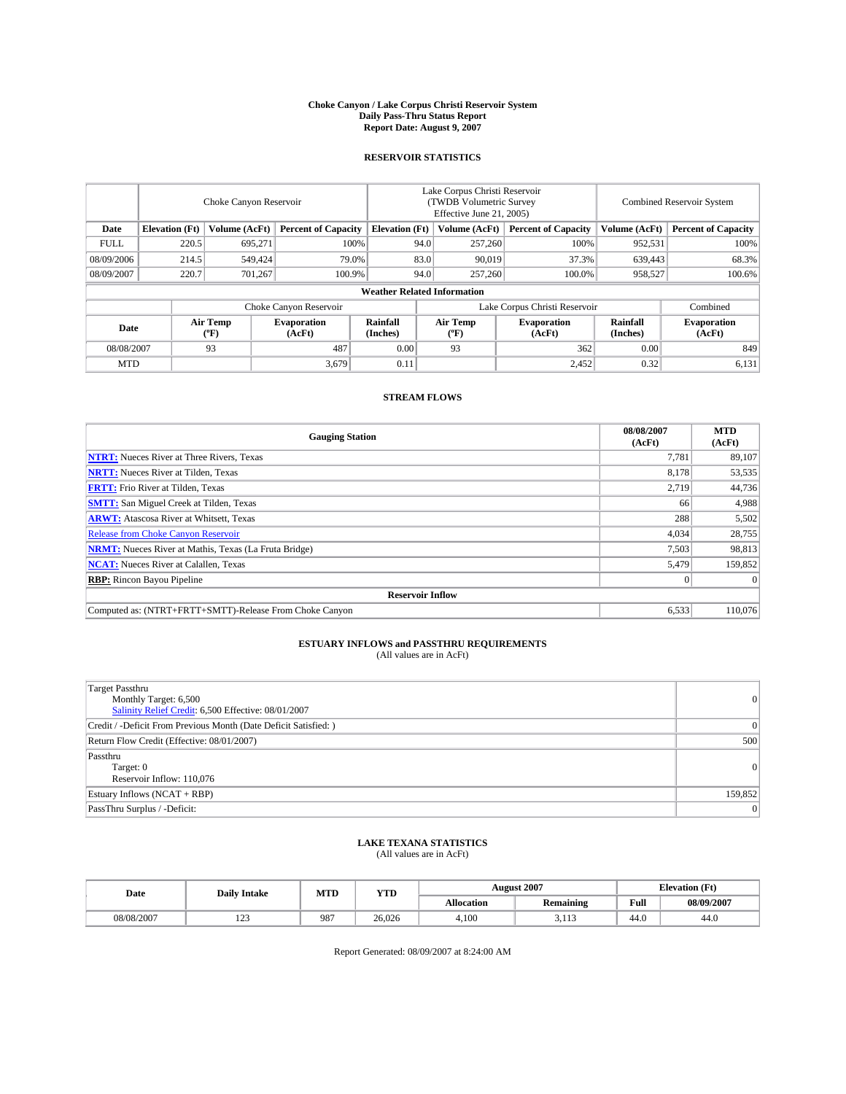#### **Choke Canyon / Lake Corpus Christi Reservoir System Daily Pass-Thru Status Report Report Date: August 9, 2007**

### **RESERVOIR STATISTICS**

|             | Choke Canyon Reservoir             |                  |                              |                       | Lake Corpus Christi Reservoir<br>(TWDB Volumetric Survey<br>Effective June 21, 2005) |                  |                               | <b>Combined Reservoir System</b> |                              |  |
|-------------|------------------------------------|------------------|------------------------------|-----------------------|--------------------------------------------------------------------------------------|------------------|-------------------------------|----------------------------------|------------------------------|--|
| Date        | <b>Elevation</b> (Ft)              | Volume (AcFt)    | <b>Percent of Capacity</b>   | <b>Elevation</b> (Ft) |                                                                                      | Volume (AcFt)    | <b>Percent of Capacity</b>    | Volume (AcFt)                    | <b>Percent of Capacity</b>   |  |
| <b>FULL</b> | 220.5                              | 695.271          |                              | 100%                  | 94.0                                                                                 | 257,260          | 100%                          | 952,531                          | 100%                         |  |
| 08/09/2006  | 214.5                              | 549,424          |                              | 79.0%                 | 83.0                                                                                 | 90.019           | 37.3%                         | 639,443                          | 68.3%                        |  |
| 08/09/2007  | 220.7                              | 701.267          | 100.9%                       |                       | 94.0                                                                                 | 257,260          | 100.0%                        | 958.527                          | $100.6\%$                    |  |
|             | <b>Weather Related Information</b> |                  |                              |                       |                                                                                      |                  |                               |                                  |                              |  |
|             |                                    |                  | Choke Canyon Reservoir       |                       |                                                                                      |                  | Lake Corpus Christi Reservoir |                                  | Combined                     |  |
| Date        |                                    | Air Temp<br>(°F) | <b>Evaporation</b><br>(AcFt) | Rainfall<br>(Inches)  |                                                                                      | Air Temp<br>("F) | <b>Evaporation</b><br>(AcFt)  | Rainfall<br>(Inches)             | <b>Evaporation</b><br>(AcFt) |  |
| 08/08/2007  |                                    | 93               | 487                          | 0.00                  |                                                                                      | 93               | 362                           | 0.00                             | 849                          |  |
| <b>MTD</b>  |                                    |                  | 3,679                        | 0.11                  |                                                                                      |                  | 2,452                         | 0.32                             | 6,131                        |  |

### **STREAM FLOWS**

| <b>Gauging Station</b>                                       | 08/08/2007<br>(AcFt) | <b>MTD</b><br>(AcFt) |
|--------------------------------------------------------------|----------------------|----------------------|
| <b>NTRT:</b> Nueces River at Three Rivers, Texas             | 7,781                | 89,107               |
| <b>NRTT:</b> Nueces River at Tilden, Texas                   | 8.178                | 53,535               |
| <b>FRTT:</b> Frio River at Tilden, Texas                     | 2,719                | 44,736               |
| <b>SMTT:</b> San Miguel Creek at Tilden, Texas               | 66                   | 4,988                |
| <b>ARWT:</b> Atascosa River at Whitsett, Texas               | 288                  | 5,502                |
| <b>Release from Choke Canyon Reservoir</b>                   | 4,034                | 28,755               |
| <b>NRMT:</b> Nueces River at Mathis, Texas (La Fruta Bridge) | 7,503                | 98,813               |
| <b>NCAT:</b> Nueces River at Calallen, Texas                 | 5,479                | 159,852              |
| <b>RBP:</b> Rincon Bayou Pipeline                            | $\mathbf{0}$         | $\Omega$             |
| <b>Reservoir Inflow</b>                                      |                      |                      |
| Computed as: (NTRT+FRTT+SMTT)-Release From Choke Canyon      | 6.533                | 110,076              |

# **ESTUARY INFLOWS and PASSTHRU REQUIREMENTS**<br>(All values are in AcFt)

| <b>Target Passthru</b><br>Monthly Target: 6,500<br>Salinity Relief Credit: 6,500 Effective: 08/01/2007 | 0        |
|--------------------------------------------------------------------------------------------------------|----------|
| Credit / -Deficit From Previous Month (Date Deficit Satisfied: )                                       | 0        |
| Return Flow Credit (Effective: 08/01/2007)                                                             | 500      |
| Passthru<br>Target: 0<br>Reservoir Inflow: 110,076                                                     | $\Omega$ |
| Estuary Inflows (NCAT + RBP)                                                                           | 159,852  |
| PassThru Surplus / -Deficit:                                                                           | $\Omega$ |

## **LAKE TEXANA STATISTICS** (All values are in AcFt)

| Date       | <b>Daily Intake</b>       | MTD | <b>YTD</b> |                   | <b>August 2007</b> | <b>Elevation</b> (Ft) |            |
|------------|---------------------------|-----|------------|-------------------|--------------------|-----------------------|------------|
|            |                           |     |            | <b>Allocation</b> | <b>Remaining</b>   | Full                  | 08/09/2007 |
| 08/08/2007 | 10 <sup>o</sup><br>ل کے 1 | 987 | 26,026     | 4.100             | 2.112<br>د، ، ، ،  | 44.0                  | 44.0       |

Report Generated: 08/09/2007 at 8:24:00 AM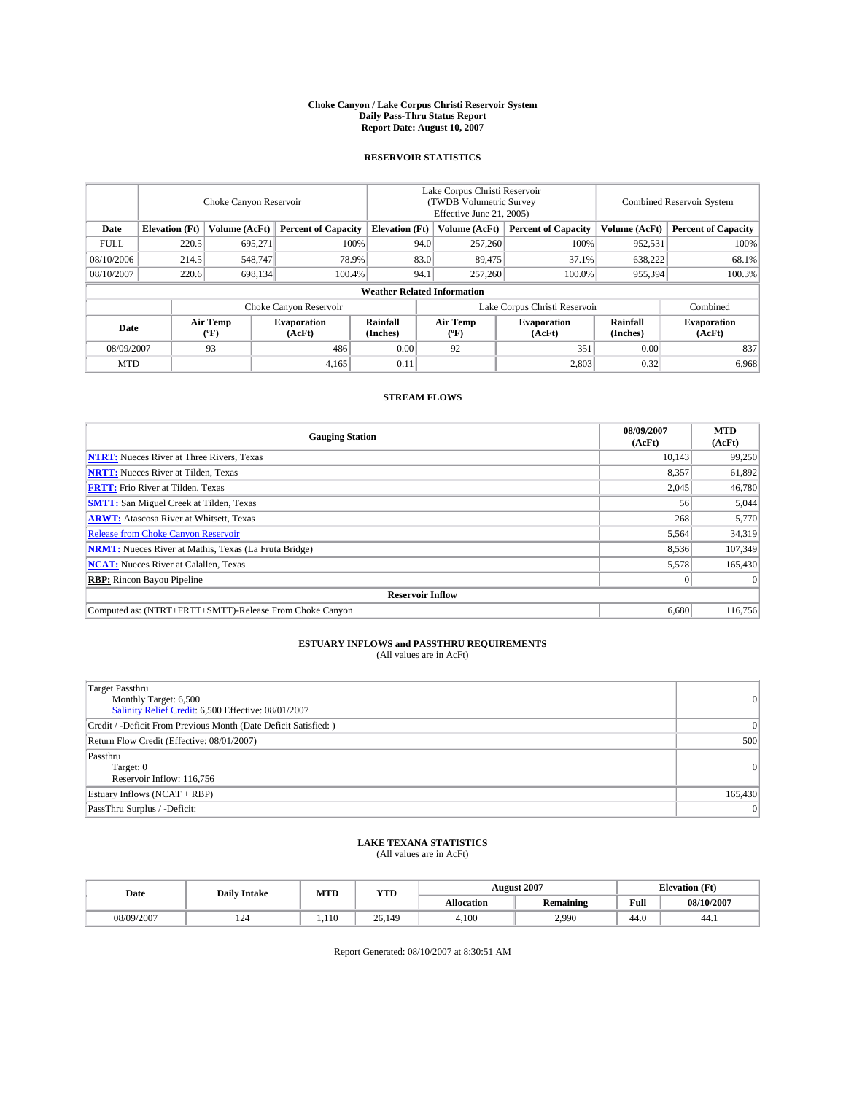#### **Choke Canyon / Lake Corpus Christi Reservoir System Daily Pass-Thru Status Report Report Date: August 10, 2007**

### **RESERVOIR STATISTICS**

|             | Choke Canyon Reservoir |                  |                              |                                    | Lake Corpus Christi Reservoir<br>(TWDB Volumetric Survey<br>Effective June 21, 2005) |                                           |                               | Combined Reservoir System |                              |  |
|-------------|------------------------|------------------|------------------------------|------------------------------------|--------------------------------------------------------------------------------------|-------------------------------------------|-------------------------------|---------------------------|------------------------------|--|
| Date        | <b>Elevation</b> (Ft)  | Volume (AcFt)    | <b>Percent of Capacity</b>   | <b>Elevation</b> (Ft)              |                                                                                      | Volume (AcFt)                             | <b>Percent of Capacity</b>    | Volume (AcFt)             | <b>Percent of Capacity</b>   |  |
| <b>FULL</b> | 220.5                  | 695.271          | 100%                         |                                    | 94.0                                                                                 | 257,260                                   | 100%                          | 952,531                   | 100%                         |  |
| 08/10/2006  | 214.5                  | 548,747          | 78.9%                        |                                    | 83.0                                                                                 | 89,475                                    | 37.1%                         | 638,222                   | 68.1%                        |  |
| 08/10/2007  | 220.6                  | 698,134          | 100.4%                       |                                    | 94.1                                                                                 | 257,260                                   | 100.0%                        | 955,394                   | 100.3%                       |  |
|             |                        |                  |                              | <b>Weather Related Information</b> |                                                                                      |                                           |                               |                           |                              |  |
|             |                        |                  | Choke Canyon Reservoir       |                                    |                                                                                      |                                           | Lake Corpus Christi Reservoir |                           | Combined                     |  |
| Date        |                        | Air Temp<br>(°F) | <b>Evaporation</b><br>(AcFt) | Rainfall<br>(Inches)               |                                                                                      | Air Temp<br>$({}^{\mathrm{o}}\mathrm{F})$ | <b>Evaporation</b><br>(AcFt)  | Rainfall<br>(Inches)      | <b>Evaporation</b><br>(AcFt) |  |
| 08/09/2007  |                        | 93               | 486                          | 0.00                               |                                                                                      | 92                                        | 351                           | 0.00                      | 837                          |  |
| <b>MTD</b>  |                        |                  | 4,165                        | 0.11                               |                                                                                      |                                           | 2,803                         | 0.32                      | 6,968                        |  |

### **STREAM FLOWS**

| <b>Gauging Station</b>                                       | 08/09/2007<br>(AcFt) | <b>MTD</b><br>(AcFt) |
|--------------------------------------------------------------|----------------------|----------------------|
| <b>NTRT:</b> Nueces River at Three Rivers, Texas             | 10,143               | 99,250               |
| <b>NRTT:</b> Nueces River at Tilden, Texas                   | 8.357                | 61,892               |
| <b>FRTT:</b> Frio River at Tilden, Texas                     | 2,045                | 46,780               |
| <b>SMTT:</b> San Miguel Creek at Tilden, Texas               | 56                   | 5,044                |
| <b>ARWT:</b> Atascosa River at Whitsett, Texas               | 268                  | 5,770                |
| <b>Release from Choke Canyon Reservoir</b>                   | 5,564                | 34,319               |
| <b>NRMT:</b> Nueces River at Mathis, Texas (La Fruta Bridge) | 8,536                | 107.349              |
| <b>NCAT:</b> Nueces River at Calallen, Texas                 | 5,578                | 165,430              |
| <b>RBP:</b> Rincon Bayou Pipeline                            | $\mathbf{0}$         | $\Omega$             |
| <b>Reservoir Inflow</b>                                      |                      |                      |
| Computed as: (NTRT+FRTT+SMTT)-Release From Choke Canyon      | 6.680                | 116,756              |

# **ESTUARY INFLOWS and PASSTHRU REQUIREMENTS**<br>(All values are in AcFt)

| <b>Target Passthru</b><br>Monthly Target: 6,500<br>Salinity Relief Credit: 6,500 Effective: 08/01/2007 | $\overline{0}$ |
|--------------------------------------------------------------------------------------------------------|----------------|
| Credit / -Deficit From Previous Month (Date Deficit Satisfied: )                                       | 0              |
| Return Flow Credit (Effective: 08/01/2007)                                                             | 500            |
| Passthru<br>Target: 0<br>Reservoir Inflow: 116,756                                                     | 0              |
| Estuary Inflows (NCAT + RBP)                                                                           | 165,430        |
| PassThru Surplus / -Deficit:                                                                           | $\vert$ 0      |

## **LAKE TEXANA STATISTICS** (All values are in AcFt)

| Date       | <b>Daily Intake</b> | MTD  | <b>YTD</b> |                   | <b>August 2007</b> |      | <b>Elevation</b> (Ft) |
|------------|---------------------|------|------------|-------------------|--------------------|------|-----------------------|
|            |                     |      |            | <b>Allocation</b> | <b>Remaining</b>   | Full | 08/10/2007            |
| 08/09/2007 | 124                 | .110 | 26,149     | 4.100             | 2,990              | 44.0 | 44.1                  |

Report Generated: 08/10/2007 at 8:30:51 AM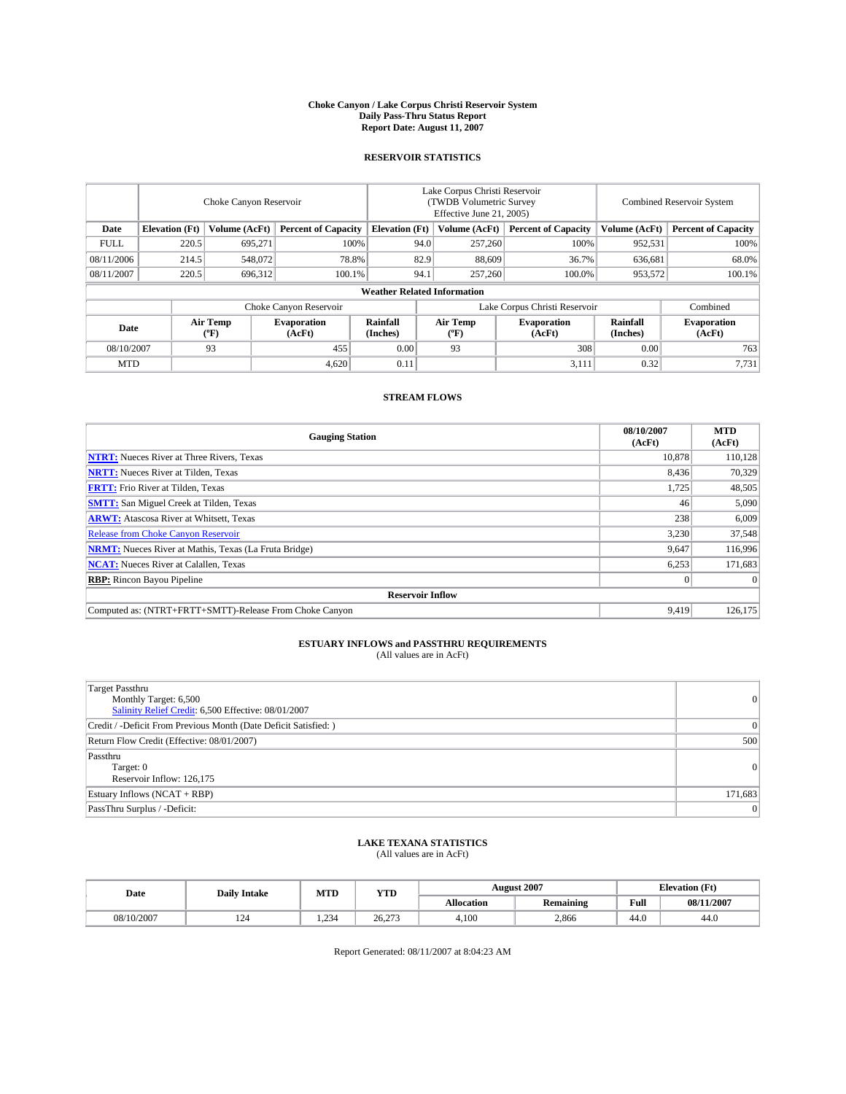#### **Choke Canyon / Lake Corpus Christi Reservoir System Daily Pass-Thru Status Report Report Date: August 11, 2007**

### **RESERVOIR STATISTICS**

|             | Choke Canyon Reservoir |                  |                              |                                                     | Lake Corpus Christi Reservoir<br>(TWDB Volumetric Survey<br>Effective June 21, 2005) |                                           |                               | Combined Reservoir System |                              |  |
|-------------|------------------------|------------------|------------------------------|-----------------------------------------------------|--------------------------------------------------------------------------------------|-------------------------------------------|-------------------------------|---------------------------|------------------------------|--|
| Date        | <b>Elevation</b> (Ft)  | Volume (AcFt)    |                              | <b>Percent of Capacity</b><br><b>Elevation</b> (Ft) |                                                                                      | Volume (AcFt)                             | <b>Percent of Capacity</b>    | Volume (AcFt)             | <b>Percent of Capacity</b>   |  |
| <b>FULL</b> | 220.5                  | 695.271          |                              | 100%                                                | 94.0                                                                                 | 257,260                                   | 100%                          | 952,531                   | 100%                         |  |
| 08/11/2006  | 214.5                  | 548,072          | 78.8%                        |                                                     | 82.9                                                                                 | 88,609                                    | 36.7%                         | 636,681                   | 68.0%                        |  |
| 08/11/2007  | 220.5                  | 696,312          | 100.1%                       |                                                     | 94.1                                                                                 | 257,260                                   | 100.0%                        | 953,572                   | 100.1%                       |  |
|             |                        |                  |                              | <b>Weather Related Information</b>                  |                                                                                      |                                           |                               |                           |                              |  |
|             |                        |                  | Choke Canyon Reservoir       |                                                     |                                                                                      |                                           | Lake Corpus Christi Reservoir |                           | Combined                     |  |
| Date        |                        | Air Temp<br>(°F) | <b>Evaporation</b><br>(AcFt) | Rainfall<br>(Inches)                                |                                                                                      | Air Temp<br>$({}^{\mathrm{o}}\mathrm{F})$ | <b>Evaporation</b><br>(AcFt)  | Rainfall<br>(Inches)      | <b>Evaporation</b><br>(AcFt) |  |
| 08/10/2007  |                        | 93               | 455                          | 0.00                                                |                                                                                      | 93                                        | 308                           | 0.00                      | 763                          |  |
| <b>MTD</b>  |                        |                  | 4,620                        | 0.11                                                |                                                                                      |                                           | 3,111                         | 0.32                      | 7,731                        |  |

### **STREAM FLOWS**

| <b>Gauging Station</b>                                       | 08/10/2007<br>(AcFt) | <b>MTD</b><br>(AcFt) |
|--------------------------------------------------------------|----------------------|----------------------|
| <b>NTRT:</b> Nueces River at Three Rivers, Texas             | 10.878               | 110,128              |
| <b>NRTT:</b> Nueces River at Tilden, Texas                   | 8.436                | 70,329               |
| <b>FRTT:</b> Frio River at Tilden, Texas                     | 1,725                | 48,505               |
| <b>SMTT:</b> San Miguel Creek at Tilden, Texas               | 46                   | 5,090                |
| <b>ARWT:</b> Atascosa River at Whitsett, Texas               | 238                  | 6,009                |
| <b>Release from Choke Canyon Reservoir</b>                   | 3,230                | 37,548               |
| <b>NRMT:</b> Nueces River at Mathis, Texas (La Fruta Bridge) | 9,647                | 116,996              |
| <b>NCAT:</b> Nueces River at Calallen, Texas                 | 6,253                | 171,683              |
| <b>RBP:</b> Rincon Bayou Pipeline                            | $\mathbf{0}$         | $\Omega$             |
| <b>Reservoir Inflow</b>                                      |                      |                      |
| Computed as: (NTRT+FRTT+SMTT)-Release From Choke Canyon      | 9.419                | 126,175              |

# **ESTUARY INFLOWS and PASSTHRU REQUIREMENTS**<br>(All values are in AcFt)

| <b>Target Passthru</b><br>Monthly Target: 6,500<br>Salinity Relief Credit: 6,500 Effective: 08/01/2007 |           |
|--------------------------------------------------------------------------------------------------------|-----------|
| Credit / -Deficit From Previous Month (Date Deficit Satisfied: )                                       |           |
| Return Flow Credit (Effective: 08/01/2007)                                                             | 500       |
| Passthru<br>Target: 0<br>Reservoir Inflow: 126,175                                                     | $\Omega$  |
| Estuary Inflows (NCAT + RBP)                                                                           | 171,683   |
| PassThru Surplus / -Deficit:                                                                           | $\vert$ 0 |

## **LAKE TEXANA STATISTICS** (All values are in AcFt)

| Date       | <b>Daily Intake</b> | MTD   | <b>YTD</b> |                   | <b>August 2007</b> |      | <b>Elevation</b> (Ft) |
|------------|---------------------|-------|------------|-------------------|--------------------|------|-----------------------|
|            |                     |       |            | <b>Allocation</b> | <b>Remaining</b>   | Full | 08/11/2007            |
| 08/10/2007 | 124                 | 1.234 | 26.273     | 4.100             | 2,866              | 44.0 | 44.0                  |

Report Generated: 08/11/2007 at 8:04:23 AM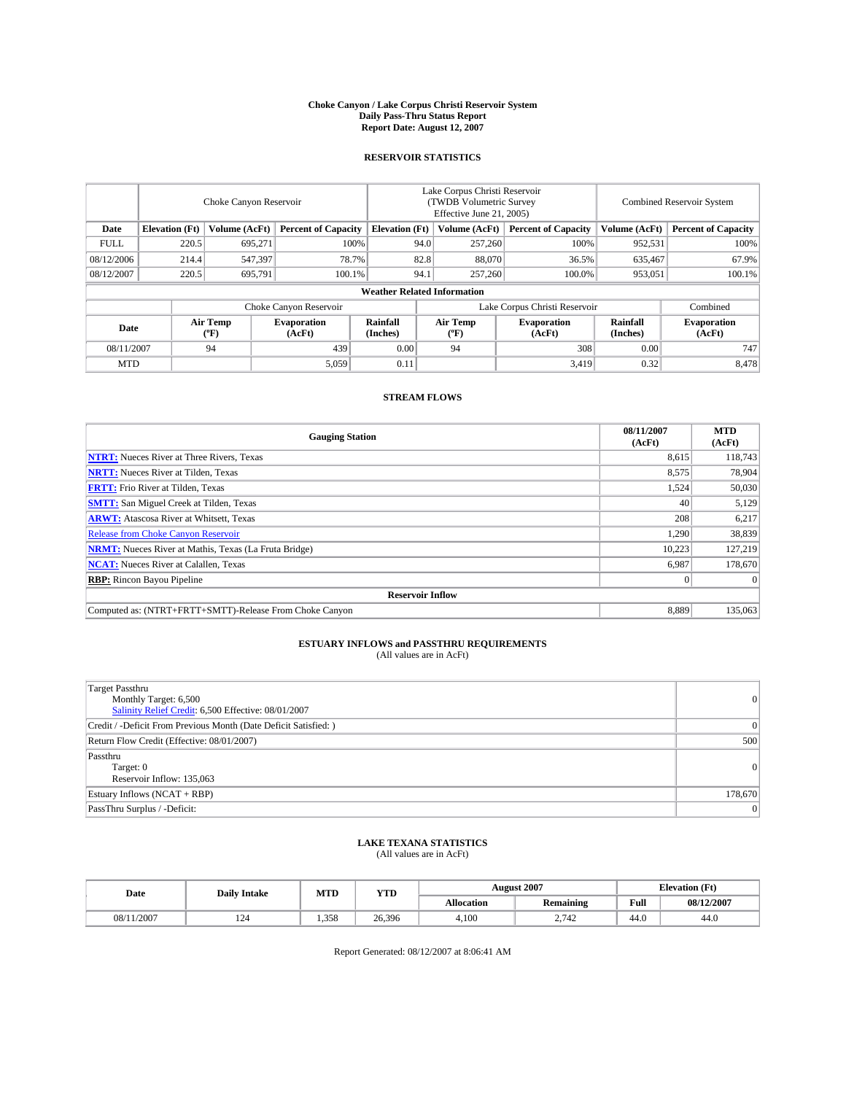#### **Choke Canyon / Lake Corpus Christi Reservoir System Daily Pass-Thru Status Report Report Date: August 12, 2007**

### **RESERVOIR STATISTICS**

|             | Choke Canyon Reservoir |                  |                              |                                    | Lake Corpus Christi Reservoir<br>(TWDB Volumetric Survey<br>Effective June 21, 2005) |                  |                               | Combined Reservoir System |                              |  |
|-------------|------------------------|------------------|------------------------------|------------------------------------|--------------------------------------------------------------------------------------|------------------|-------------------------------|---------------------------|------------------------------|--|
| Date        | <b>Elevation</b> (Ft)  | Volume (AcFt)    | <b>Percent of Capacity</b>   | <b>Elevation</b> (Ft)              |                                                                                      | Volume (AcFt)    | <b>Percent of Capacity</b>    | Volume (AcFt)             | <b>Percent of Capacity</b>   |  |
| <b>FULL</b> | 220.5                  | 695.271          | 100%                         |                                    | 94.0                                                                                 | 257,260          | 100%                          | 952,531                   | 100%                         |  |
| 08/12/2006  | 214.4                  | 547,397          | 78.7%                        |                                    | 82.8                                                                                 | 88,070           | 36.5%                         | 635,467                   | 67.9%                        |  |
| 08/12/2007  | 220.5                  | 695,791          | 100.1%                       |                                    | 94.1                                                                                 | 257,260          | 100.0%                        | 953,051                   | 100.1%                       |  |
|             |                        |                  |                              | <b>Weather Related Information</b> |                                                                                      |                  |                               |                           |                              |  |
|             |                        |                  | Choke Canyon Reservoir       |                                    |                                                                                      |                  | Lake Corpus Christi Reservoir |                           | Combined                     |  |
| Date        |                        | Air Temp<br>(°F) | <b>Evaporation</b><br>(AcFt) | Rainfall<br>(Inches)               |                                                                                      | Air Temp<br>("F) | <b>Evaporation</b><br>(AcFt)  | Rainfall<br>(Inches)      | <b>Evaporation</b><br>(AcFt) |  |
| 08/11/2007  |                        | 94               | 439                          | 0.00                               |                                                                                      | 94               | 308                           | 0.00                      | 747                          |  |
| <b>MTD</b>  |                        |                  | 5,059                        | 0.11                               |                                                                                      |                  | 3,419                         | 0.32                      | 8,478                        |  |

### **STREAM FLOWS**

| <b>Gauging Station</b>                                       | 08/11/2007<br>(AcFt) | <b>MTD</b><br>(AcFt) |
|--------------------------------------------------------------|----------------------|----------------------|
| <b>NTRT:</b> Nueces River at Three Rivers, Texas             | 8,615                | 118,743              |
| <b>NRTT:</b> Nueces River at Tilden, Texas                   | 8.575                | 78.904               |
| <b>FRTT:</b> Frio River at Tilden, Texas                     | 1,524                | 50,030               |
| <b>SMTT:</b> San Miguel Creek at Tilden, Texas               | 40                   | 5,129                |
| <b>ARWT:</b> Atascosa River at Whitsett, Texas               | 208                  | 6,217                |
| <b>Release from Choke Canyon Reservoir</b>                   | 1,290                | 38,839               |
| <b>NRMT:</b> Nueces River at Mathis, Texas (La Fruta Bridge) | 10.223               | 127.219              |
| <b>NCAT:</b> Nueces River at Calallen, Texas                 | 6,987                | 178,670              |
| <b>RBP:</b> Rincon Bayou Pipeline                            | $\mathbf{0}$         | $\Omega$             |
| <b>Reservoir Inflow</b>                                      |                      |                      |
| Computed as: (NTRT+FRTT+SMTT)-Release From Choke Canyon      | 8.889                | 135,063              |

# **ESTUARY INFLOWS and PASSTHRU REQUIREMENTS**<br>(All values are in AcFt)

| <b>Target Passthru</b><br>Monthly Target: 6,500<br>Salinity Relief Credit: 6,500 Effective: 08/01/2007 | $\overline{0}$  |
|--------------------------------------------------------------------------------------------------------|-----------------|
| Credit / -Deficit From Previous Month (Date Deficit Satisfied: )                                       | $\vert 0 \vert$ |
| Return Flow Credit (Effective: 08/01/2007)                                                             | 500             |
| Passthru<br>Target: 0<br>Reservoir Inflow: 135,063                                                     | 0               |
| Estuary Inflows (NCAT + RBP)                                                                           | 178,670         |
| PassThru Surplus / -Deficit:                                                                           | 0               |

## **LAKE TEXANA STATISTICS** (All values are in AcFt)

| Date       | <b>Daily Intake</b> | MTD   | <b>YTD</b> |                   | <b>August 2007</b> | <b>Elevation</b> (Ft) |            |
|------------|---------------------|-------|------------|-------------------|--------------------|-----------------------|------------|
|            |                     |       |            | <b>Allocation</b> | <b>Remaining</b>   | Full                  | 08/12/2007 |
| 08/11/2007 | 124                 | 1.358 | 26.396     | 4.100             | 2.742              | 44.0                  | 44.0       |

Report Generated: 08/12/2007 at 8:06:41 AM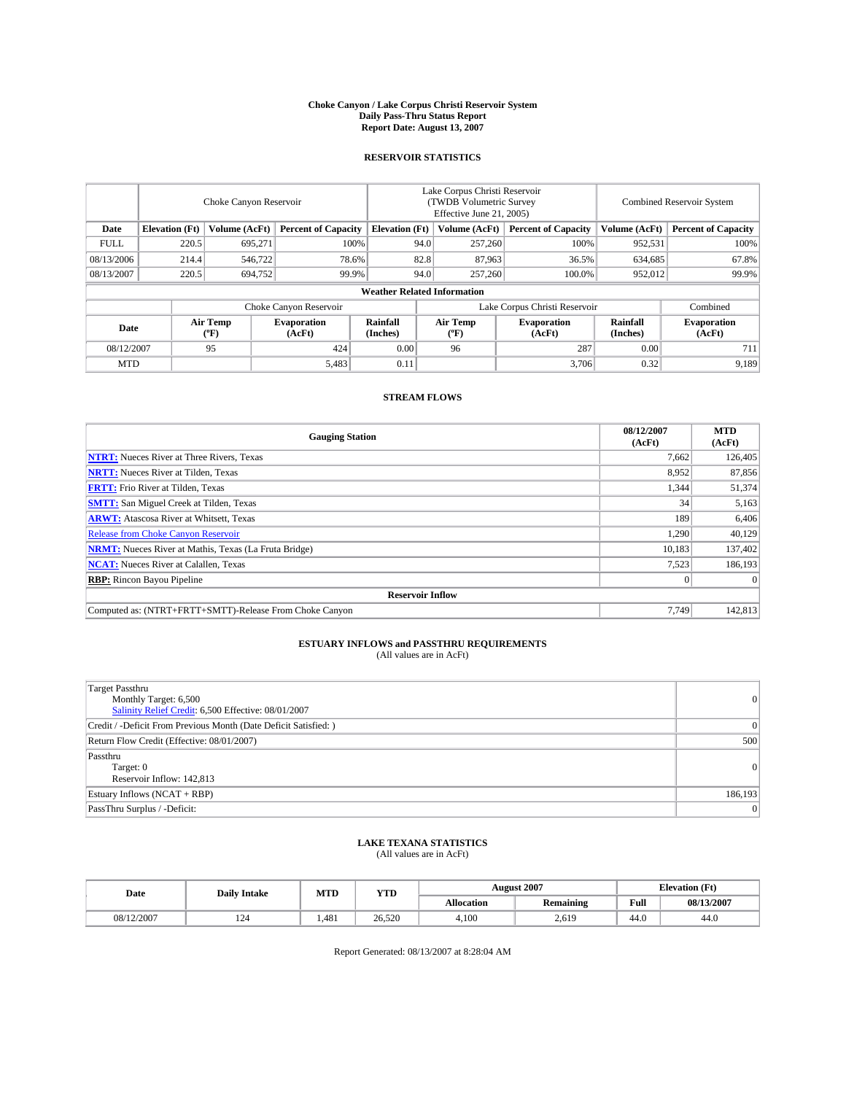#### **Choke Canyon / Lake Corpus Christi Reservoir System Daily Pass-Thru Status Report Report Date: August 13, 2007**

### **RESERVOIR STATISTICS**

|             | Choke Canyon Reservoir             |                  |                              |                       | Lake Corpus Christi Reservoir<br>(TWDB Volumetric Survey<br>Effective June 21, 2005) |                  |                               | Combined Reservoir System |                              |  |
|-------------|------------------------------------|------------------|------------------------------|-----------------------|--------------------------------------------------------------------------------------|------------------|-------------------------------|---------------------------|------------------------------|--|
| Date        | <b>Elevation</b> (Ft)              | Volume (AcFt)    | <b>Percent of Capacity</b>   | <b>Elevation</b> (Ft) |                                                                                      | Volume (AcFt)    | <b>Percent of Capacity</b>    | Volume (AcFt)             | <b>Percent of Capacity</b>   |  |
| <b>FULL</b> | 220.5                              | 695.271          | 100%                         |                       | 94.0                                                                                 | 257,260          | 100%                          | 952,531                   | 100%                         |  |
| 08/13/2006  | 214.4                              | 546,722          | 78.6%                        |                       | 82.8                                                                                 | 87,963           | 36.5%                         | 634,685                   | 67.8%                        |  |
| 08/13/2007  | 220.5                              | 694,752          | 99.9%                        |                       | 94.0                                                                                 | 257,260          | 100.0%                        | 952,012                   | 99.9%                        |  |
|             | <b>Weather Related Information</b> |                  |                              |                       |                                                                                      |                  |                               |                           |                              |  |
|             |                                    |                  | Choke Canyon Reservoir       |                       |                                                                                      |                  | Lake Corpus Christi Reservoir |                           | Combined                     |  |
| Date        |                                    | Air Temp<br>(°F) | <b>Evaporation</b><br>(AcFt) | Rainfall<br>(Inches)  |                                                                                      | Air Temp<br>("F) | <b>Evaporation</b><br>(AcFt)  | Rainfall<br>(Inches)      | <b>Evaporation</b><br>(AcFt) |  |
| 08/12/2007  |                                    | 95               | 424                          | 0.00                  |                                                                                      | 96               | 287                           | 0.00                      | 711                          |  |
| <b>MTD</b>  |                                    |                  | 5,483                        | 0.11                  |                                                                                      |                  | 3,706                         | 0.32                      | 9,189                        |  |

### **STREAM FLOWS**

| <b>Gauging Station</b>                                       | 08/12/2007<br>(AcFt) | <b>MTD</b><br>(AcFt) |
|--------------------------------------------------------------|----------------------|----------------------|
| <b>NTRT:</b> Nueces River at Three Rivers, Texas             | 7,662                | 126,405              |
| <b>NRTT:</b> Nueces River at Tilden, Texas                   | 8.952                | 87,856               |
| <b>FRTT:</b> Frio River at Tilden, Texas                     | 1,344                | 51,374               |
| <b>SMTT:</b> San Miguel Creek at Tilden, Texas               | 34                   | 5,163                |
| <b>ARWT:</b> Atascosa River at Whitsett, Texas               | 189                  | 6,406                |
| <b>Release from Choke Canyon Reservoir</b>                   | 1,290                | 40,129               |
| <b>NRMT:</b> Nueces River at Mathis, Texas (La Fruta Bridge) | 10.183               | 137,402              |
| <b>NCAT:</b> Nueces River at Calallen, Texas                 | 7,523                | 186,193              |
| <b>RBP:</b> Rincon Bayou Pipeline                            | $\mathbf{0}$         | $\Omega$             |
| <b>Reservoir Inflow</b>                                      |                      |                      |
| Computed as: (NTRT+FRTT+SMTT)-Release From Choke Canyon      | 7.749                | 142,813              |

# **ESTUARY INFLOWS and PASSTHRU REQUIREMENTS**<br>(All values are in AcFt)

| <b>Target Passthru</b><br>Monthly Target: 6,500<br>Salinity Relief Credit: 6,500 Effective: 08/01/2007 | $\overline{0}$ |
|--------------------------------------------------------------------------------------------------------|----------------|
| Credit / -Deficit From Previous Month (Date Deficit Satisfied: )                                       | 0              |
| Return Flow Credit (Effective: 08/01/2007)                                                             | 500            |
| Passthru<br>Target: 0<br>Reservoir Inflow: 142,813                                                     | 0              |
| Estuary Inflows (NCAT + RBP)                                                                           | 186,193        |
| PassThru Surplus / -Deficit:                                                                           | $\vert$ 0      |

## **LAKE TEXANA STATISTICS** (All values are in AcFt)

| Date       | <b>Daily Intake</b> | MTD   | <b>YTD</b> |                   | <b>August 2007</b> | <b>Elevation</b> (Ft) |            |
|------------|---------------------|-------|------------|-------------------|--------------------|-----------------------|------------|
|            |                     |       |            | <b>Allocation</b> | <b>Remaining</b>   | Full                  | 08/13/2007 |
| 08/12/2007 | 124                 | 1.481 | 26.520     | 4.100             | 2,619              | 44.0                  | 44.0       |

Report Generated: 08/13/2007 at 8:28:04 AM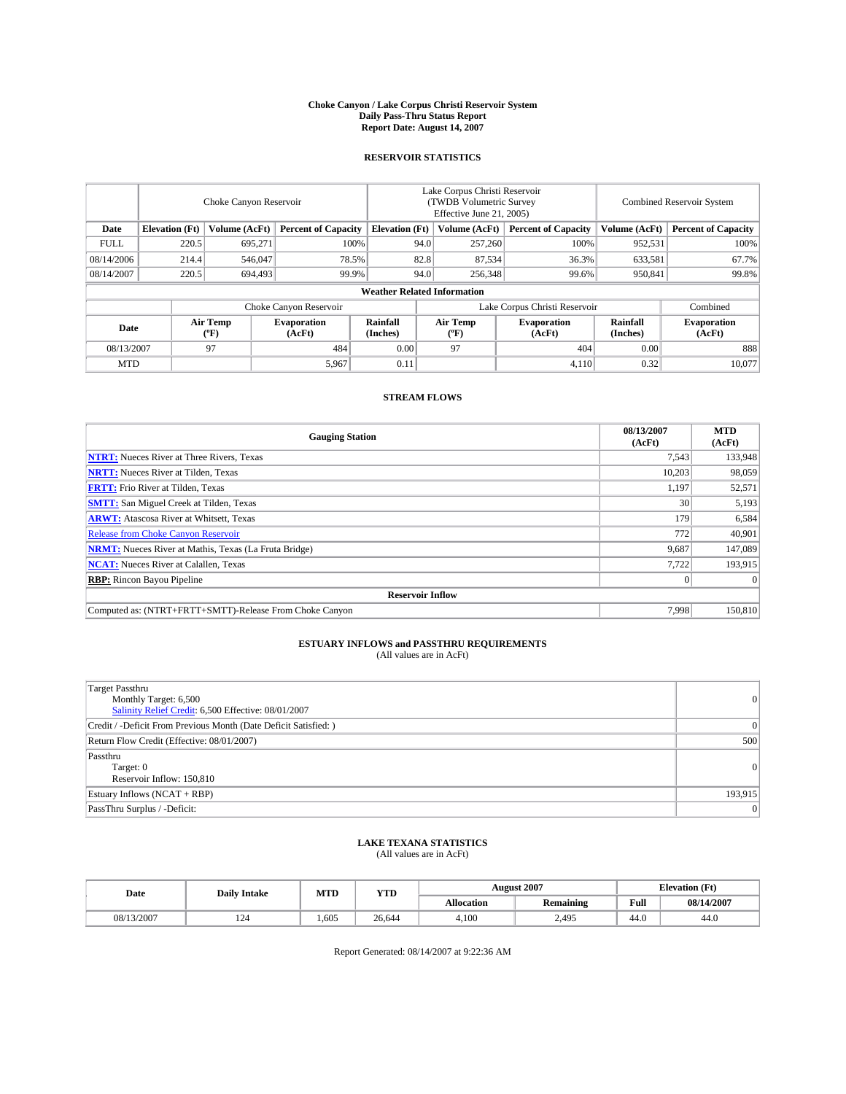#### **Choke Canyon / Lake Corpus Christi Reservoir System Daily Pass-Thru Status Report Report Date: August 14, 2007**

### **RESERVOIR STATISTICS**

|             | Choke Canyon Reservoir |                  |                              |                                    | Lake Corpus Christi Reservoir<br>(TWDB Volumetric Survey<br>Effective June 21, 2005) |                  |                               |                      | Combined Reservoir System    |  |  |
|-------------|------------------------|------------------|------------------------------|------------------------------------|--------------------------------------------------------------------------------------|------------------|-------------------------------|----------------------|------------------------------|--|--|
| Date        | <b>Elevation</b> (Ft)  | Volume (AcFt)    | <b>Percent of Capacity</b>   | <b>Elevation</b> (Ft)              |                                                                                      | Volume (AcFt)    | <b>Percent of Capacity</b>    | Volume (AcFt)        | <b>Percent of Capacity</b>   |  |  |
| <b>FULL</b> | 220.5                  | 695.271          | 100%                         |                                    | 94.0                                                                                 | 257,260          | 100%                          | 952,531              | 100%                         |  |  |
| 08/14/2006  | 214.4                  | 546,047          | 78.5%                        |                                    | 82.8                                                                                 | 87,534           | 36.3%                         | 633,581              | 67.7%                        |  |  |
| 08/14/2007  | 220.5                  | 694,493          | 99.9%                        |                                    | 94.0                                                                                 | 256,348          | 99.6%                         | 950,841              | 99.8%                        |  |  |
|             |                        |                  |                              | <b>Weather Related Information</b> |                                                                                      |                  |                               |                      |                              |  |  |
|             |                        |                  | Choke Canyon Reservoir       |                                    |                                                                                      |                  | Lake Corpus Christi Reservoir |                      | Combined                     |  |  |
| Date        |                        | Air Temp<br>(°F) | <b>Evaporation</b><br>(AcFt) | Rainfall<br>(Inches)               |                                                                                      | Air Temp<br>("F) | <b>Evaporation</b><br>(AcFt)  | Rainfall<br>(Inches) | <b>Evaporation</b><br>(AcFt) |  |  |
| 08/13/2007  |                        | 97               | 484                          | 0.00                               |                                                                                      | 97               | 404                           | 0.00                 | 888                          |  |  |
| <b>MTD</b>  |                        |                  | 5,967                        | 0.11                               |                                                                                      |                  | 4,110                         | 0.32                 | 10,077                       |  |  |

### **STREAM FLOWS**

| <b>Gauging Station</b>                                       | 08/13/2007<br>(AcFt) | <b>MTD</b><br>(AcFt) |
|--------------------------------------------------------------|----------------------|----------------------|
| <b>NTRT:</b> Nueces River at Three Rivers, Texas             | 7.543                | 133,948              |
| <b>NRTT:</b> Nueces River at Tilden, Texas                   | 10.203               | 98,059               |
| <b>FRTT:</b> Frio River at Tilden, Texas                     | 1,197                | 52,571               |
| <b>SMTT:</b> San Miguel Creek at Tilden, Texas               | 30                   | 5,193                |
| <b>ARWT:</b> Atascosa River at Whitsett, Texas               | 179                  | 6,584                |
| <b>Release from Choke Canyon Reservoir</b>                   | 772                  | 40,901               |
| <b>NRMT:</b> Nueces River at Mathis, Texas (La Fruta Bridge) | 9,687                | 147,089              |
| <b>NCAT:</b> Nueces River at Calallen, Texas                 | 7.722                | 193,915              |
| <b>RBP:</b> Rincon Bayou Pipeline                            | $\mathbf{0}$         | $\Omega$             |
| <b>Reservoir Inflow</b>                                      |                      |                      |
| Computed as: (NTRT+FRTT+SMTT)-Release From Choke Canyon      | 7.998                | 150,810              |

# **ESTUARY INFLOWS and PASSTHRU REQUIREMENTS**<br>(All values are in AcFt)

| <b>Target Passthru</b><br>Monthly Target: 6,500<br>Salinity Relief Credit: 6,500 Effective: 08/01/2007 | 0        |
|--------------------------------------------------------------------------------------------------------|----------|
| Credit / -Deficit From Previous Month (Date Deficit Satisfied: )                                       | $^{(1)}$ |
| Return Flow Credit (Effective: 08/01/2007)                                                             | 500      |
| Passthru<br>Target: 0<br>Reservoir Inflow: 150,810                                                     | $\Omega$ |
| Estuary Inflows (NCAT + RBP)                                                                           | 193,915  |
| PassThru Surplus / -Deficit:                                                                           | $\Omega$ |

# **LAKE TEXANA STATISTICS** (All values are in AcFt)

| Date       | <b>Daily Intake</b> | MTD   | <b>YTD</b> |                   | <b>August 2007</b> |      | <b>Elevation</b> (Ft) |
|------------|---------------------|-------|------------|-------------------|--------------------|------|-----------------------|
|            |                     |       |            | <b>Allocation</b> | <b>Remaining</b>   | Full | 08/14/2007            |
| 08/13/2007 | 124                 | 1.605 | 26.644     | 4.100             | 2,495              | 44.0 | 44.0                  |

Report Generated: 08/14/2007 at 9:22:36 AM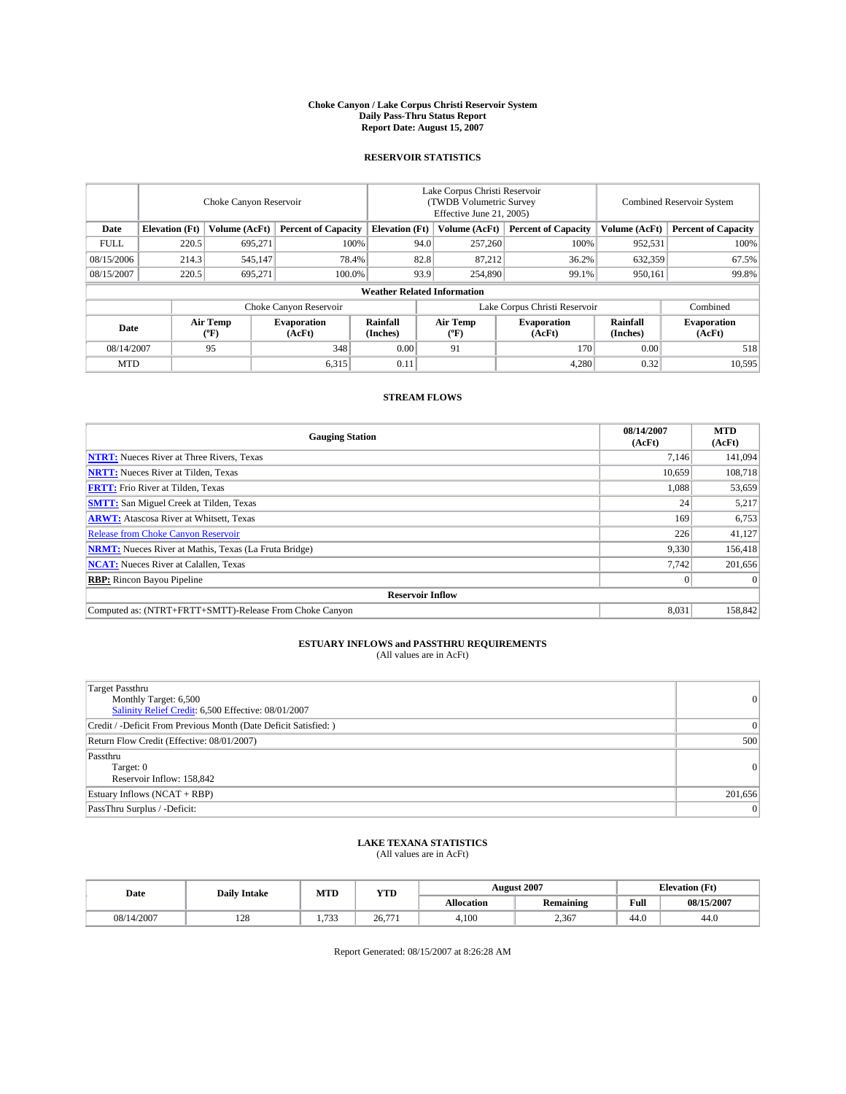#### **Choke Canyon / Lake Corpus Christi Reservoir System Daily Pass-Thru Status Report Report Date: August 15, 2007**

### **RESERVOIR STATISTICS**

|             | Choke Canyon Reservoir             |                  |                              |                       | Lake Corpus Christi Reservoir<br>(TWDB Volumetric Survey<br>Effective June 21, 2005) |                                           |                               | Combined Reservoir System |                              |  |
|-------------|------------------------------------|------------------|------------------------------|-----------------------|--------------------------------------------------------------------------------------|-------------------------------------------|-------------------------------|---------------------------|------------------------------|--|
| Date        | <b>Elevation</b> (Ft)              | Volume (AcFt)    | <b>Percent of Capacity</b>   | <b>Elevation</b> (Ft) |                                                                                      | Volume (AcFt)                             | <b>Percent of Capacity</b>    | Volume (AcFt)             | <b>Percent of Capacity</b>   |  |
| <b>FULL</b> | 220.5                              | 695.271          | 100%                         |                       | 94.0                                                                                 | 257,260                                   | 100%                          | 952,531                   | 100%                         |  |
| 08/15/2006  | 214.3                              | 545,147          | 78.4%                        |                       | 82.8                                                                                 | 87,212                                    | 36.2%                         | 632,359                   | 67.5%                        |  |
| 08/15/2007  | 220.5                              | 695,271          | 100.0%                       |                       | 93.9                                                                                 | 254,890                                   | 99.1%                         | 950,161                   | 99.8%                        |  |
|             | <b>Weather Related Information</b> |                  |                              |                       |                                                                                      |                                           |                               |                           |                              |  |
|             |                                    |                  | Choke Canyon Reservoir       |                       |                                                                                      |                                           | Lake Corpus Christi Reservoir |                           | Combined                     |  |
| Date        |                                    | Air Temp<br>(°F) | <b>Evaporation</b><br>(AcFt) | Rainfall<br>(Inches)  |                                                                                      | Air Temp<br>$({}^{\mathrm{o}}\mathrm{F})$ | <b>Evaporation</b><br>(AcFt)  | Rainfall<br>(Inches)      | <b>Evaporation</b><br>(AcFt) |  |
| 08/14/2007  |                                    | 95               | 348                          | 0.00                  |                                                                                      | 91                                        | 170                           | 0.00                      | 518                          |  |
| <b>MTD</b>  |                                    |                  | 6,315                        | 0.11                  |                                                                                      |                                           | 4,280                         | 0.32                      | 10,595                       |  |

### **STREAM FLOWS**

| <b>Gauging Station</b>                                       | 08/14/2007<br>(AcFt) | <b>MTD</b><br>(AcFt) |
|--------------------------------------------------------------|----------------------|----------------------|
| <b>NTRT:</b> Nueces River at Three Rivers, Texas             | 7.146                | 141,094              |
| <b>NRTT:</b> Nueces River at Tilden, Texas                   | 10.659               | 108.718              |
| <b>FRTT:</b> Frio River at Tilden, Texas                     | 1,088                | 53,659               |
| <b>SMTT:</b> San Miguel Creek at Tilden, Texas               | 24                   | 5,217                |
| <b>ARWT:</b> Atascosa River at Whitsett, Texas               | 169                  | 6,753                |
| <b>Release from Choke Canyon Reservoir</b>                   | 226                  | 41,127               |
| <b>NRMT:</b> Nueces River at Mathis, Texas (La Fruta Bridge) | 9,330                | 156,418              |
| <b>NCAT:</b> Nueces River at Calallen, Texas                 | 7.742                | 201,656              |
| <b>RBP:</b> Rincon Bayou Pipeline                            | $\mathbf{0}$         | $\Omega$             |
| <b>Reservoir Inflow</b>                                      |                      |                      |
| Computed as: (NTRT+FRTT+SMTT)-Release From Choke Canyon      | 8.031                | 158,842              |

# **ESTUARY INFLOWS and PASSTHRU REQUIREMENTS**<br>(All values are in AcFt)

| <b>Target Passthru</b><br>Monthly Target: 6,500<br>Salinity Relief Credit: 6,500 Effective: 08/01/2007 |           |
|--------------------------------------------------------------------------------------------------------|-----------|
| Credit / -Deficit From Previous Month (Date Deficit Satisfied: )                                       |           |
| Return Flow Credit (Effective: 08/01/2007)                                                             | 500       |
| Passthru<br>Target: 0<br>Reservoir Inflow: 158,842                                                     | $\Omega$  |
| Estuary Inflows (NCAT + RBP)                                                                           | 201,656   |
| PassThru Surplus / -Deficit:                                                                           | $\vert$ 0 |

## **LAKE TEXANA STATISTICS** (All values are in AcFt)

| Date       | <b>Daily Intake</b> | MTD  | <b>YTD</b> |                   | <b>August 2007</b> | <b>Elevation</b> (Ft) |            |
|------------|---------------------|------|------------|-------------------|--------------------|-----------------------|------------|
|            |                     |      |            | <b>Allocation</b> | <b>Remaining</b>   | Full                  | 08/15/2007 |
| 08/14/2007 | 128                 | ,733 | 26,771     | 4.100             | 2,367              | 44.0                  | 44.0       |

Report Generated: 08/15/2007 at 8:26:28 AM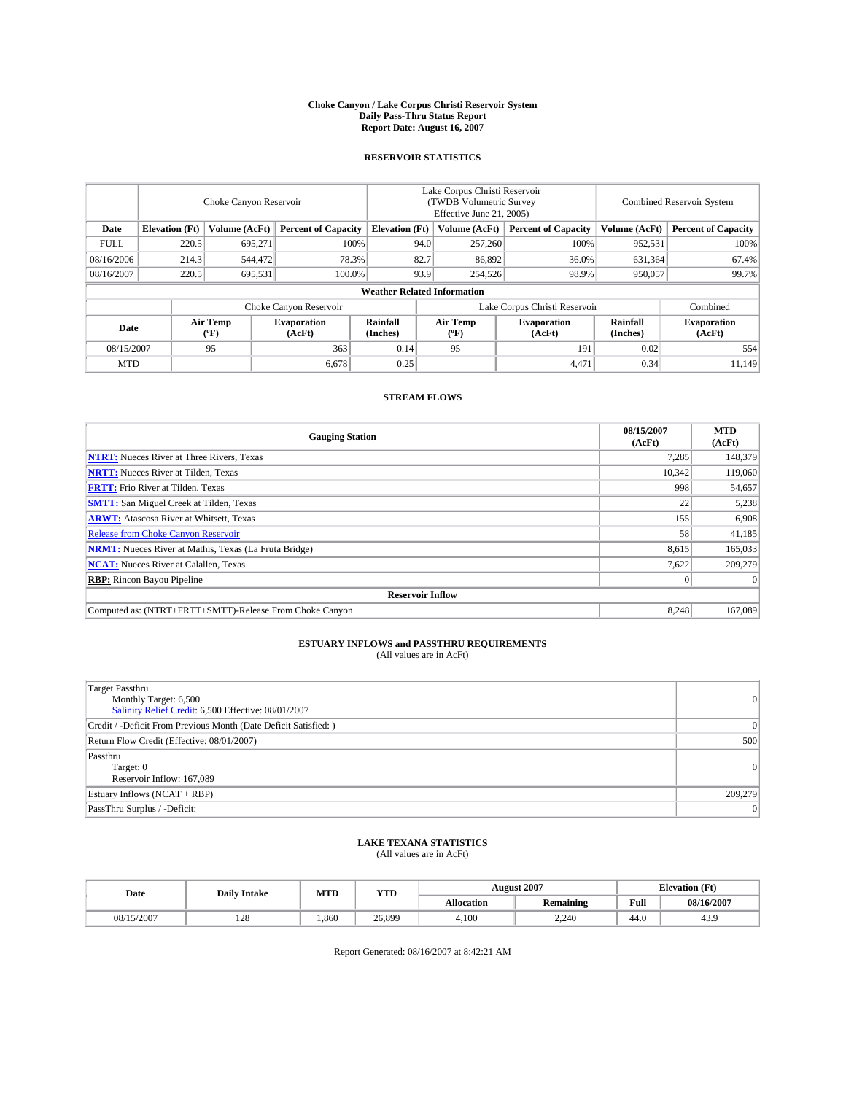#### **Choke Canyon / Lake Corpus Christi Reservoir System Daily Pass-Thru Status Report Report Date: August 16, 2007**

### **RESERVOIR STATISTICS**

|             | Choke Canyon Reservoir             |                  |                              |                       | Lake Corpus Christi Reservoir<br>(TWDB Volumetric Survey<br>Effective June 21, 2005) |                  |                               | Combined Reservoir System |                              |  |
|-------------|------------------------------------|------------------|------------------------------|-----------------------|--------------------------------------------------------------------------------------|------------------|-------------------------------|---------------------------|------------------------------|--|
| Date        | <b>Elevation</b> (Ft)              | Volume (AcFt)    | <b>Percent of Capacity</b>   | <b>Elevation</b> (Ft) |                                                                                      | Volume (AcFt)    | <b>Percent of Capacity</b>    | Volume (AcFt)             | <b>Percent of Capacity</b>   |  |
| <b>FULL</b> | 220.5                              | 695.271          | 100%                         |                       | 94.0                                                                                 | 257,260          | 100%                          | 952,531                   | 100%                         |  |
| 08/16/2006  | 214.3                              | 544,472          | 78.3%                        |                       | 82.7                                                                                 | 86,892           | 36.0%                         | 631,364                   | 67.4%                        |  |
| 08/16/2007  | 220.5                              | 695,531          | 100.0%                       |                       | 93.9                                                                                 | 254,526          | 98.9%                         | 950,057                   | 99.7%                        |  |
|             | <b>Weather Related Information</b> |                  |                              |                       |                                                                                      |                  |                               |                           |                              |  |
|             |                                    |                  | Choke Canyon Reservoir       |                       |                                                                                      |                  | Lake Corpus Christi Reservoir |                           | Combined                     |  |
| Date        |                                    | Air Temp<br>(°F) | <b>Evaporation</b><br>(AcFt) | Rainfall<br>(Inches)  |                                                                                      | Air Temp<br>("F) | <b>Evaporation</b><br>(AcFt)  | Rainfall<br>(Inches)      | <b>Evaporation</b><br>(AcFt) |  |
| 08/15/2007  |                                    | 95               | 363                          | 0.14                  |                                                                                      | 95               | 191                           | 0.02                      | 554                          |  |
| <b>MTD</b>  |                                    |                  | 6,678                        | 0.25                  |                                                                                      |                  | 4,471                         | 0.34                      | 11,149                       |  |

### **STREAM FLOWS**

| <b>Gauging Station</b>                                       | 08/15/2007<br>(AcFt) | <b>MTD</b><br>(AcFt) |
|--------------------------------------------------------------|----------------------|----------------------|
| <b>NTRT:</b> Nueces River at Three Rivers, Texas             | 7,285                | 148,379              |
| <b>NRTT:</b> Nueces River at Tilden, Texas                   | 10.342               | 119,060              |
| <b>FRTT:</b> Frio River at Tilden, Texas                     | 998                  | 54,657               |
| <b>SMTT:</b> San Miguel Creek at Tilden, Texas               | 22                   | 5,238                |
| <b>ARWT:</b> Atascosa River at Whitsett, Texas               | 155                  | 6,908                |
| <b>Release from Choke Canyon Reservoir</b>                   | 58                   | 41,185               |
| <b>NRMT:</b> Nueces River at Mathis, Texas (La Fruta Bridge) | 8,615                | 165,033              |
| <b>NCAT:</b> Nueces River at Calallen, Texas                 | 7,622                | 209,279              |
| <b>RBP:</b> Rincon Bayou Pipeline                            | $\mathbf{0}$         | $\Omega$             |
| <b>Reservoir Inflow</b>                                      |                      |                      |
| Computed as: (NTRT+FRTT+SMTT)-Release From Choke Canyon      | 8.248                | 167,089              |

# **ESTUARY INFLOWS and PASSTHRU REQUIREMENTS**<br>(All values are in AcFt)

| <b>Target Passthru</b><br>Monthly Target: 6,500<br>Salinity Relief Credit: 6,500 Effective: 08/01/2007 |          |
|--------------------------------------------------------------------------------------------------------|----------|
| Credit / -Deficit From Previous Month (Date Deficit Satisfied: )                                       |          |
| Return Flow Credit (Effective: 08/01/2007)                                                             | 500      |
| Passthru<br>Target: 0<br>Reservoir Inflow: 167,089                                                     | $\Omega$ |
| Estuary Inflows (NCAT + RBP)                                                                           | 209,279  |
| PassThru Surplus / -Deficit:                                                                           | $\Omega$ |

## **LAKE TEXANA STATISTICS** (All values are in AcFt)

| Date       | <b>Daily Intake</b> | MTD  | <b>YTD</b> |                   | <b>August 2007</b> | <b>Elevation</b> (Ft) |            |
|------------|---------------------|------|------------|-------------------|--------------------|-----------------------|------------|
|            |                     |      |            | <b>Allocation</b> | <b>Remaining</b>   | Full                  | 08/16/2007 |
| 08/15/2007 | 170<br>140          | .860 | 26.899     | 4.100             | 2.240              | 44.0                  | 43.9       |

Report Generated: 08/16/2007 at 8:42:21 AM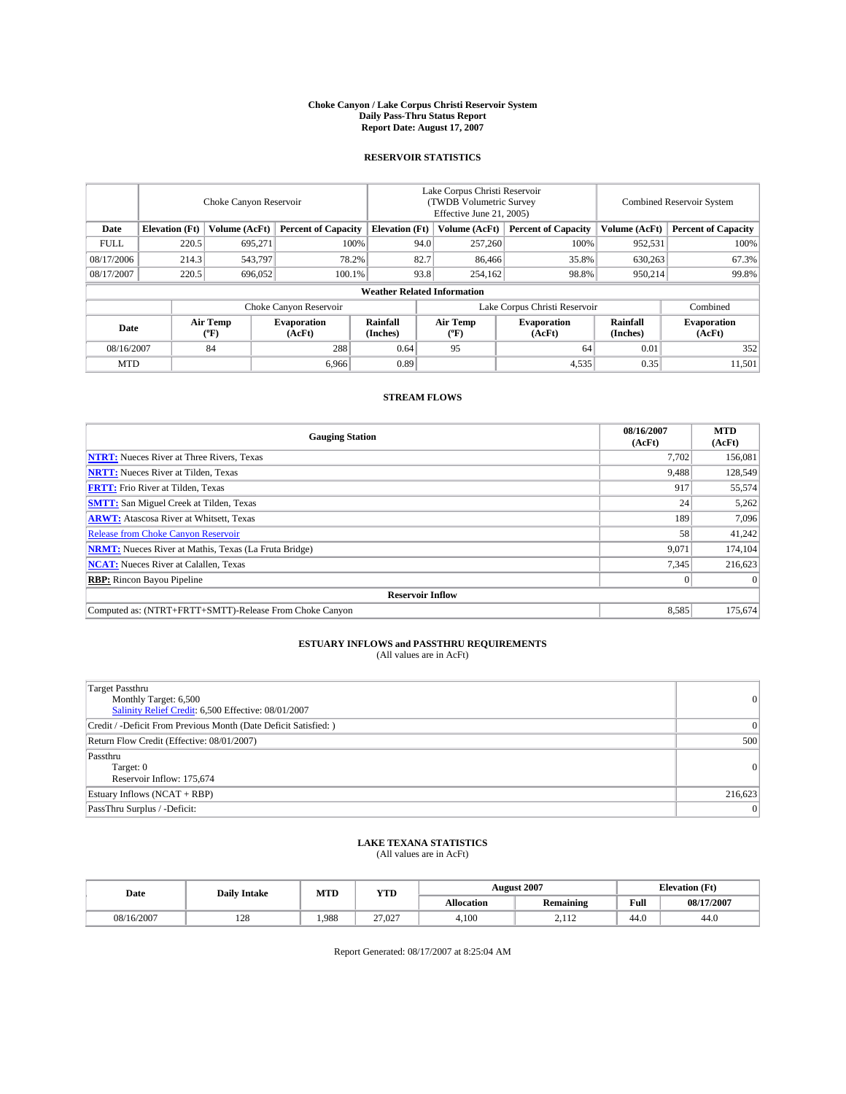#### **Choke Canyon / Lake Corpus Christi Reservoir System Daily Pass-Thru Status Report Report Date: August 17, 2007**

### **RESERVOIR STATISTICS**

|                        | Choke Canyon Reservoir             |                  |                              |                       | Lake Corpus Christi Reservoir<br>(TWDB Volumetric Survey<br>Effective June 21, 2005) |                               |                              |                      | Combined Reservoir System    |  |  |
|------------------------|------------------------------------|------------------|------------------------------|-----------------------|--------------------------------------------------------------------------------------|-------------------------------|------------------------------|----------------------|------------------------------|--|--|
| Date                   | <b>Elevation</b> (Ft)              | Volume (AcFt)    | <b>Percent of Capacity</b>   | <b>Elevation</b> (Ft) |                                                                                      | Volume (AcFt)                 | <b>Percent of Capacity</b>   | Volume (AcFt)        | <b>Percent of Capacity</b>   |  |  |
| <b>FULL</b>            | 220.5                              | 695,271          |                              | 100%                  | 94.0                                                                                 | 257,260                       | 100%                         | 952,531              | 100%                         |  |  |
| 08/17/2006             | 214.3                              | 543,797          | 78.2%                        |                       | 82.7                                                                                 | 86,466                        | 35.8%                        | 630,263              | 67.3%                        |  |  |
| 08/17/2007             | 220.5                              | 696,052          | 100.1%                       |                       | 93.8                                                                                 | 254,162                       | 98.8%                        | 950.214              | 99.8%                        |  |  |
|                        | <b>Weather Related Information</b> |                  |                              |                       |                                                                                      |                               |                              |                      |                              |  |  |
| Choke Canyon Reservoir |                                    |                  |                              |                       |                                                                                      | Lake Corpus Christi Reservoir |                              |                      | Combined                     |  |  |
| Date                   |                                    | Air Temp<br>(°F) | <b>Evaporation</b><br>(AcFt) | Rainfall<br>(Inches)  |                                                                                      | Air Temp<br>("F)              | <b>Evaporation</b><br>(AcFt) | Rainfall<br>(Inches) | <b>Evaporation</b><br>(AcFt) |  |  |
| 08/16/2007             |                                    | 84               | 288                          | 0.64                  |                                                                                      | 95                            | 64                           | 0.01                 | 352                          |  |  |
| <b>MTD</b>             |                                    |                  | 6.966                        | 0.89                  |                                                                                      |                               | 4,535                        | 0.35                 | 11,501                       |  |  |

### **STREAM FLOWS**

| <b>Gauging Station</b>                                       | 08/16/2007<br>(AcFt) | <b>MTD</b><br>(AcFt) |
|--------------------------------------------------------------|----------------------|----------------------|
| <b>NTRT:</b> Nueces River at Three Rivers, Texas             | 7,702                | 156,081              |
| <b>NRTT:</b> Nueces River at Tilden, Texas                   | 9.488                | 128,549              |
| <b>FRTT:</b> Frio River at Tilden, Texas                     | 917                  | 55,574               |
| <b>SMTT:</b> San Miguel Creek at Tilden, Texas               | 24                   | 5,262                |
| <b>ARWT:</b> Atascosa River at Whitsett, Texas               | 189                  | 7,096                |
| <b>Release from Choke Canyon Reservoir</b>                   | 58                   | 41,242               |
| <b>NRMT:</b> Nueces River at Mathis, Texas (La Fruta Bridge) | 9,071                | 174,104              |
| <b>NCAT:</b> Nueces River at Calallen, Texas                 | 7,345                | 216,623              |
| <b>RBP:</b> Rincon Bayou Pipeline                            | $\mathbf{0}$         | $\Omega$             |
| <b>Reservoir Inflow</b>                                      |                      |                      |
| Computed as: (NTRT+FRTT+SMTT)-Release From Choke Canyon      | 8,585                | 175,674              |

# **ESTUARY INFLOWS and PASSTHRU REQUIREMENTS**<br>(All values are in AcFt)

| <b>Target Passthru</b><br>Monthly Target: 6,500<br>Salinity Relief Credit: 6,500 Effective: 08/01/2007 | $\overline{0}$ |
|--------------------------------------------------------------------------------------------------------|----------------|
| Credit / -Deficit From Previous Month (Date Deficit Satisfied: )                                       | 0              |
| Return Flow Credit (Effective: 08/01/2007)                                                             | 500            |
| Passthru<br>Target: 0<br>Reservoir Inflow: 175,674                                                     | 0              |
| Estuary Inflows (NCAT + RBP)                                                                           | 216,623        |
| PassThru Surplus / -Deficit:                                                                           | $\vert$ 0      |

## **LAKE TEXANA STATISTICS** (All values are in AcFt)

| Date       | <b>Daily Intake</b> | MTD   | <b>YTD</b> |                   | <b>August 2007</b> | <b>Elevation</b> (Ft) |            |
|------------|---------------------|-------|------------|-------------------|--------------------|-----------------------|------------|
|            |                     |       |            | <b>Allocation</b> | <b>Remaining</b>   | Full                  | 08/17/2007 |
| 08/16/2007 | 128                 | 1.988 | 27.027     | 4.100             | 0.110<br>2.112     | 44.0                  | 44.0       |

Report Generated: 08/17/2007 at 8:25:04 AM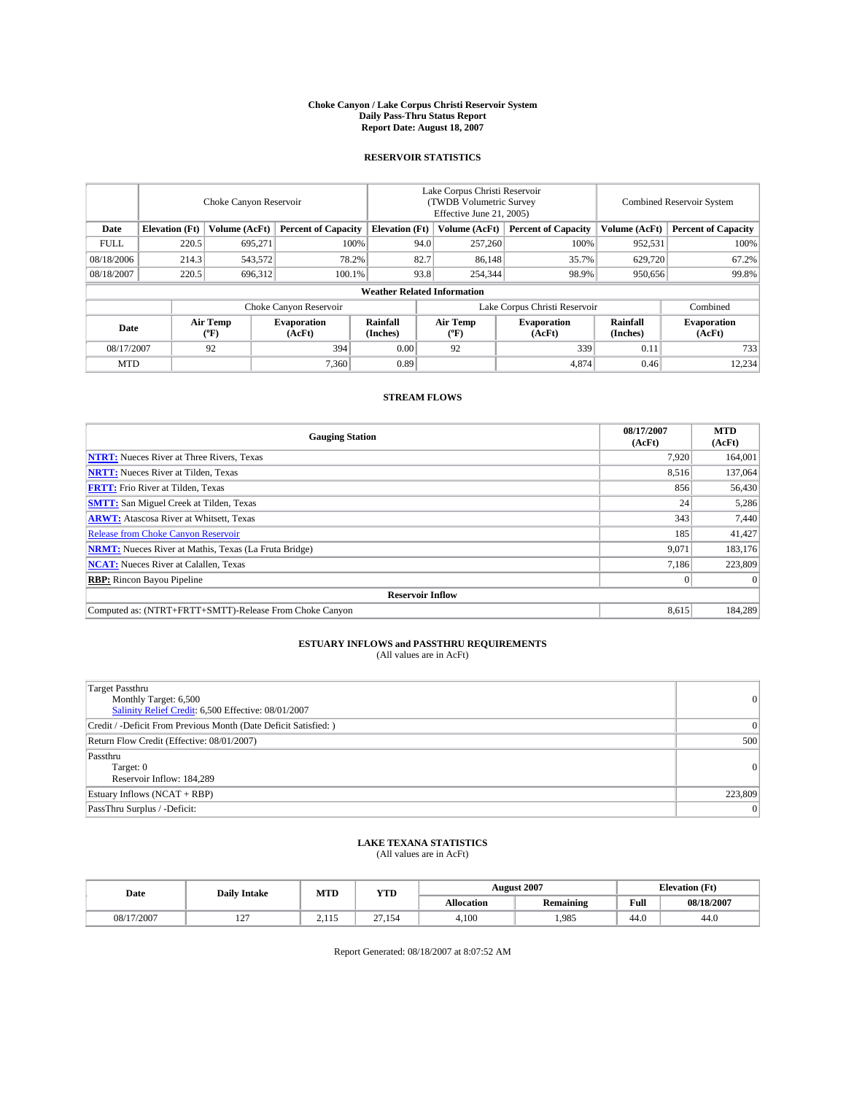#### **Choke Canyon / Lake Corpus Christi Reservoir System Daily Pass-Thru Status Report Report Date: August 18, 2007**

### **RESERVOIR STATISTICS**

|             | Choke Canyon Reservoir             |                  |                              |                       | Lake Corpus Christi Reservoir<br>(TWDB Volumetric Survey<br>Effective June 21, 2005) |                  |                               | Combined Reservoir System |                              |  |
|-------------|------------------------------------|------------------|------------------------------|-----------------------|--------------------------------------------------------------------------------------|------------------|-------------------------------|---------------------------|------------------------------|--|
| Date        | <b>Elevation</b> (Ft)              | Volume (AcFt)    | <b>Percent of Capacity</b>   | <b>Elevation</b> (Ft) |                                                                                      | Volume (AcFt)    | <b>Percent of Capacity</b>    | Volume (AcFt)             | <b>Percent of Capacity</b>   |  |
| <b>FULL</b> | 220.5                              | 695.271          | 100%                         |                       | 94.0                                                                                 | 257,260          | 100%                          | 952,531                   | 100%                         |  |
| 08/18/2006  | 214.3                              | 543,572          | 78.2%                        |                       | 82.7                                                                                 | 86,148           | 35.7%                         | 629,720                   | 67.2%                        |  |
| 08/18/2007  | 220.5                              | 696,312          | 100.1%                       |                       | 93.8                                                                                 | 254,344          | 98.9%                         | 950,656                   | 99.8%                        |  |
|             | <b>Weather Related Information</b> |                  |                              |                       |                                                                                      |                  |                               |                           |                              |  |
|             |                                    |                  | Choke Canyon Reservoir       |                       |                                                                                      |                  | Lake Corpus Christi Reservoir |                           | Combined                     |  |
| Date        |                                    | Air Temp<br>(°F) | <b>Evaporation</b><br>(AcFt) | Rainfall<br>(Inches)  |                                                                                      | Air Temp<br>("F) | <b>Evaporation</b><br>(AcFt)  | Rainfall<br>(Inches)      | <b>Evaporation</b><br>(AcFt) |  |
| 08/17/2007  |                                    | 92               | 394                          | 0.00                  |                                                                                      | 92               | 339                           | 0.11                      | 733                          |  |
| <b>MTD</b>  |                                    |                  | 7.360                        | 0.89                  |                                                                                      |                  | 4,874                         | 0.46                      | 12,234                       |  |

### **STREAM FLOWS**

| <b>Gauging Station</b>                                       | 08/17/2007<br>(AcFt) | <b>MTD</b><br>(AcFt) |
|--------------------------------------------------------------|----------------------|----------------------|
| <b>NTRT:</b> Nueces River at Three Rivers, Texas             | 7.920                | 164,001              |
| <b>NRTT:</b> Nueces River at Tilden, Texas                   | 8.516                | 137,064              |
| <b>FRTT:</b> Frio River at Tilden, Texas                     | 856                  | 56,430               |
| <b>SMTT:</b> San Miguel Creek at Tilden, Texas               | 24                   | 5,286                |
| <b>ARWT:</b> Atascosa River at Whitsett, Texas               | 343                  | 7,440                |
| <b>Release from Choke Canyon Reservoir</b>                   | 185                  | 41,427               |
| <b>NRMT:</b> Nueces River at Mathis, Texas (La Fruta Bridge) | 9,071                | 183,176              |
| <b>NCAT:</b> Nueces River at Calallen, Texas                 | 7.186                | 223,809              |
| <b>RBP:</b> Rincon Bayou Pipeline                            | $\mathbf{0}$         | $\Omega$             |
| <b>Reservoir Inflow</b>                                      |                      |                      |
| Computed as: (NTRT+FRTT+SMTT)-Release From Choke Canyon      | 8.615                | 184.289              |

# **ESTUARY INFLOWS and PASSTHRU REQUIREMENTS**<br>(All values are in AcFt)

| <b>Target Passthru</b><br>Monthly Target: 6,500<br>Salinity Relief Credit: 6,500 Effective: 08/01/2007 | $\overline{0}$ |
|--------------------------------------------------------------------------------------------------------|----------------|
| Credit / -Deficit From Previous Month (Date Deficit Satisfied: )                                       | 0              |
| Return Flow Credit (Effective: 08/01/2007)                                                             | 500            |
| Passthru<br>Target: 0<br>Reservoir Inflow: 184,289                                                     | 0              |
| Estuary Inflows (NCAT + RBP)                                                                           | 223,809        |
| PassThru Surplus / -Deficit:                                                                           | $\vert$ 0      |

## **LAKE TEXANA STATISTICS** (All values are in AcFt)

| Date       | <b>Daily Intake</b> | MTD             | <b>YTD</b>       |                   | <b>August 2007</b> |      | <b>Elevation</b> (Ft) |
|------------|---------------------|-----------------|------------------|-------------------|--------------------|------|-----------------------|
|            |                     |                 |                  | <b>Allocation</b> | <b>Remaining</b>   | Full | 08/18/2007            |
| 08/17/2007 | 1.27<br>1/2         | 115<br><u>.</u> | $\sim$<br>27,154 | 4.100             | .985               | 44.0 | 44.0                  |

Report Generated: 08/18/2007 at 8:07:52 AM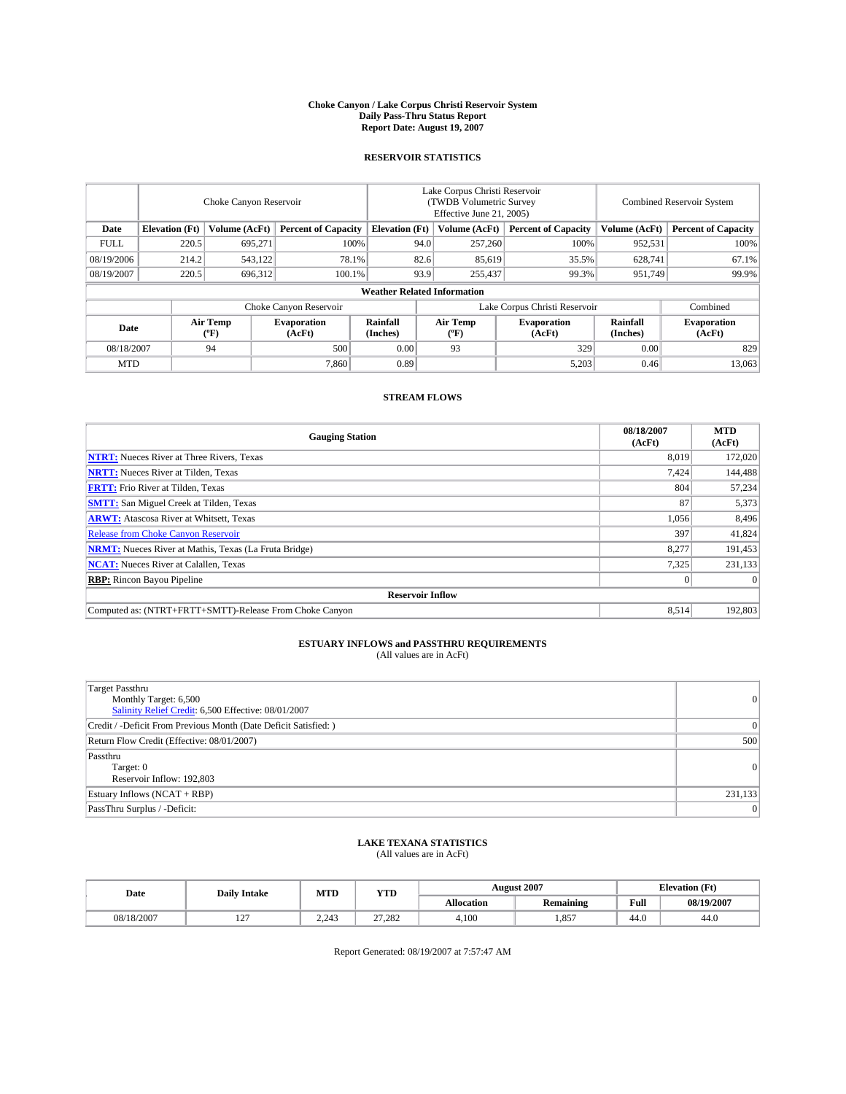#### **Choke Canyon / Lake Corpus Christi Reservoir System Daily Pass-Thru Status Report Report Date: August 19, 2007**

### **RESERVOIR STATISTICS**

|             | Choke Canyon Reservoir |                  |                              |                                                     | Lake Corpus Christi Reservoir<br>(TWDB Volumetric Survey<br>Effective June 21, 2005) |                                           |                               | Combined Reservoir System |                              |  |
|-------------|------------------------|------------------|------------------------------|-----------------------------------------------------|--------------------------------------------------------------------------------------|-------------------------------------------|-------------------------------|---------------------------|------------------------------|--|
| Date        | <b>Elevation</b> (Ft)  | Volume (AcFt)    |                              | <b>Percent of Capacity</b><br><b>Elevation</b> (Ft) |                                                                                      | Volume (AcFt)                             | <b>Percent of Capacity</b>    | Volume (AcFt)             | <b>Percent of Capacity</b>   |  |
| <b>FULL</b> | 220.5                  | 695.271          |                              | 100%                                                | 94.0                                                                                 | 257,260                                   | 100%                          | 952,531                   | 100%                         |  |
| 08/19/2006  | 214.2                  | 543,122          |                              | 78.1%                                               | 82.6                                                                                 | 85,619                                    | 35.5%                         | 628,741                   | 67.1%                        |  |
| 08/19/2007  | 220.5                  | 696,312          | 100.1%                       |                                                     | 93.9                                                                                 | 255,437                                   | 99.3%                         | 951,749                   | 99.9%                        |  |
|             |                        |                  |                              | <b>Weather Related Information</b>                  |                                                                                      |                                           |                               |                           |                              |  |
|             |                        |                  | Choke Canyon Reservoir       |                                                     |                                                                                      |                                           | Lake Corpus Christi Reservoir |                           | Combined                     |  |
| Date        |                        | Air Temp<br>(°F) | <b>Evaporation</b><br>(AcFt) | Rainfall<br>(Inches)                                |                                                                                      | Air Temp<br>$({}^{\mathrm{o}}\mathrm{F})$ | <b>Evaporation</b><br>(AcFt)  | Rainfall<br>(Inches)      | <b>Evaporation</b><br>(AcFt) |  |
| 08/18/2007  |                        | 94               | 500                          | 0.00                                                |                                                                                      | 93                                        | 329                           | 0.00                      | 829                          |  |
| <b>MTD</b>  |                        |                  | 7.860                        | 0.89                                                |                                                                                      |                                           | 5,203                         | 0.46                      | 13,063                       |  |

### **STREAM FLOWS**

| <b>Gauging Station</b>                                       | 08/18/2007<br>(AcFt) | <b>MTD</b><br>(AcFt) |
|--------------------------------------------------------------|----------------------|----------------------|
| <b>NTRT:</b> Nueces River at Three Rivers, Texas             | 8.019                | 172,020              |
| <b>NRTT:</b> Nueces River at Tilden, Texas                   | 7.424                | 144,488              |
| <b>FRTT:</b> Frio River at Tilden, Texas                     | 804                  | 57,234               |
| <b>SMTT:</b> San Miguel Creek at Tilden, Texas               | 87                   | 5,373                |
| <b>ARWT:</b> Atascosa River at Whitsett, Texas               | 1,056                | 8,496                |
| <b>Release from Choke Canyon Reservoir</b>                   | 397                  | 41,824               |
| <b>NRMT:</b> Nueces River at Mathis, Texas (La Fruta Bridge) | 8,277                | 191,453              |
| <b>NCAT:</b> Nueces River at Calallen, Texas                 | 7,325                | 231,133              |
| <b>RBP:</b> Rincon Bayou Pipeline                            | $\mathbf{0}$         | $\Omega$             |
| <b>Reservoir Inflow</b>                                      |                      |                      |
| Computed as: (NTRT+FRTT+SMTT)-Release From Choke Canyon      | 8.514                | 192,803              |

# **ESTUARY INFLOWS and PASSTHRU REQUIREMENTS**<br>(All values are in AcFt)

| <b>Target Passthru</b><br>Monthly Target: 6,500<br>Salinity Relief Credit: 6,500 Effective: 08/01/2007 | $\overline{0}$ |
|--------------------------------------------------------------------------------------------------------|----------------|
| Credit / -Deficit From Previous Month (Date Deficit Satisfied: )                                       | 0              |
| Return Flow Credit (Effective: 08/01/2007)                                                             | 500            |
| Passthru<br>Target: 0<br>Reservoir Inflow: 192,803                                                     | 0              |
| Estuary Inflows (NCAT + RBP)                                                                           | 231,133        |
| PassThru Surplus / -Deficit:                                                                           | $\vert$ 0      |

## **LAKE TEXANA STATISTICS** (All values are in AcFt)

| Date       | <b>Daily Intake</b>      | MTD   | <b>YTD</b> |                   | <b>August 2007</b> | <b>Elevation</b> (Ft) |            |
|------------|--------------------------|-------|------------|-------------------|--------------------|-----------------------|------------|
|            |                          |       |            | <b>Allocation</b> | <b>Remaining</b>   | Full                  | 08/19/2007 |
| 08/18/2007 | $\sim$<br>$\overline{1}$ | 2.243 | 27.282     | 4.100             | .857               | 44.0                  | 44.0       |

Report Generated: 08/19/2007 at 7:57:47 AM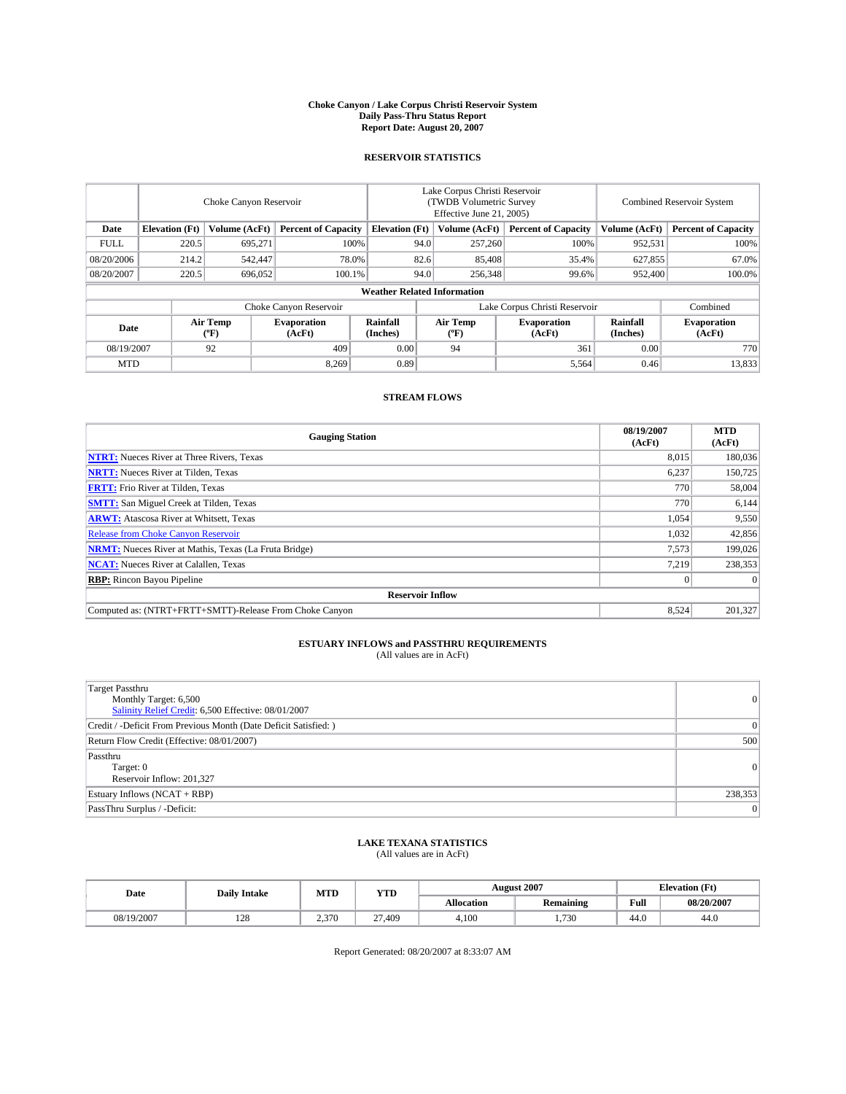#### **Choke Canyon / Lake Corpus Christi Reservoir System Daily Pass-Thru Status Report Report Date: August 20, 2007**

### **RESERVOIR STATISTICS**

|             | Choke Canyon Reservoir             |                  |                              |                                                     | Lake Corpus Christi Reservoir<br>(TWDB Volumetric Survey<br>Effective June 21, 2005) |                  |                               |                      | Combined Reservoir System    |  |  |
|-------------|------------------------------------|------------------|------------------------------|-----------------------------------------------------|--------------------------------------------------------------------------------------|------------------|-------------------------------|----------------------|------------------------------|--|--|
| Date        | <b>Elevation</b> (Ft)              | Volume (AcFt)    |                              | <b>Percent of Capacity</b><br><b>Elevation</b> (Ft) |                                                                                      | Volume (AcFt)    | <b>Percent of Capacity</b>    | Volume (AcFt)        | <b>Percent of Capacity</b>   |  |  |
| <b>FULL</b> | 220.5                              | 695,271          | 100%                         |                                                     | 94.0                                                                                 | 257,260          | 100%                          | 952,531              | 100%                         |  |  |
| 08/20/2006  | 214.2                              | 542,447          | 78.0%                        |                                                     | 82.6                                                                                 | 85,408           | 35.4%                         | 627,855              | 67.0%                        |  |  |
| 08/20/2007  | 220.5                              | 696,052          | 100.1%                       |                                                     | 94.0                                                                                 | 256,348          | 99.6%                         | 952,400              | 100.0%                       |  |  |
|             | <b>Weather Related Information</b> |                  |                              |                                                     |                                                                                      |                  |                               |                      |                              |  |  |
|             |                                    |                  | Choke Canyon Reservoir       |                                                     |                                                                                      |                  | Lake Corpus Christi Reservoir |                      | Combined                     |  |  |
| Date        |                                    | Air Temp<br>(°F) | <b>Evaporation</b><br>(AcFt) | Rainfall<br>(Inches)                                |                                                                                      | Air Temp<br>("F) | <b>Evaporation</b><br>(AcFt)  | Rainfall<br>(Inches) | <b>Evaporation</b><br>(AcFt) |  |  |
| 08/19/2007  |                                    | 92               | 409                          | 0.00                                                |                                                                                      | 94               | 361                           | 0.00                 | 770                          |  |  |
| <b>MTD</b>  |                                    |                  | 8,269                        | 0.89                                                |                                                                                      |                  | 5,564                         | 0.46                 | 13,833                       |  |  |

### **STREAM FLOWS**

| <b>Gauging Station</b>                                       | 08/19/2007<br>(AcFt) | <b>MTD</b><br>(AcFt) |
|--------------------------------------------------------------|----------------------|----------------------|
| <b>NTRT:</b> Nueces River at Three Rivers, Texas             | 8,015                | 180,036              |
| <b>NRTT:</b> Nueces River at Tilden, Texas                   | 6.237                | 150,725              |
| <b>FRTT:</b> Frio River at Tilden, Texas                     | 770                  | 58,004               |
| <b>SMTT:</b> San Miguel Creek at Tilden, Texas               | 770                  | 6,144                |
| <b>ARWT:</b> Atascosa River at Whitsett, Texas               | 1,054                | 9,550                |
| <b>Release from Choke Canyon Reservoir</b>                   | 1,032                | 42,856               |
| <b>NRMT:</b> Nueces River at Mathis, Texas (La Fruta Bridge) | 7,573                | 199,026              |
| <b>NCAT:</b> Nueces River at Calallen, Texas                 | 7.219                | 238,353              |
| <b>RBP:</b> Rincon Bayou Pipeline                            | $\mathbf{0}$         | $\Omega$             |
| <b>Reservoir Inflow</b>                                      |                      |                      |
| Computed as: (NTRT+FRTT+SMTT)-Release From Choke Canyon      | 8.524                | 201,327              |

# **ESTUARY INFLOWS and PASSTHRU REQUIREMENTS**<br>(All values are in AcFt)

| <b>Target Passthru</b><br>Monthly Target: 6,500<br>Salinity Relief Credit: 6,500 Effective: 08/01/2007 | 0        |
|--------------------------------------------------------------------------------------------------------|----------|
| Credit / -Deficit From Previous Month (Date Deficit Satisfied: )                                       | 0        |
| Return Flow Credit (Effective: 08/01/2007)                                                             | 500      |
| Passthru<br>Target: 0<br>Reservoir Inflow: 201,327                                                     | $\Omega$ |
| Estuary Inflows (NCAT + RBP)                                                                           | 238,353  |
| PassThru Surplus / -Deficit:                                                                           | $\Omega$ |

## **LAKE TEXANA STATISTICS** (All values are in AcFt)

| Date       | <b>Daily Intake</b> | MTD   | <b>YTD</b> |                   | <b>August 2007</b> | <b>Elevation</b> (Ft) |            |
|------------|---------------------|-------|------------|-------------------|--------------------|-----------------------|------------|
|            |                     |       |            | <b>Allocation</b> | <b>Remaining</b>   | Full                  | 08/20/2007 |
| 08/19/2007 | 128                 | 2.370 | 27.409     | 4.100             | .730<br>           | 44.0                  | 44.0       |

Report Generated: 08/20/2007 at 8:33:07 AM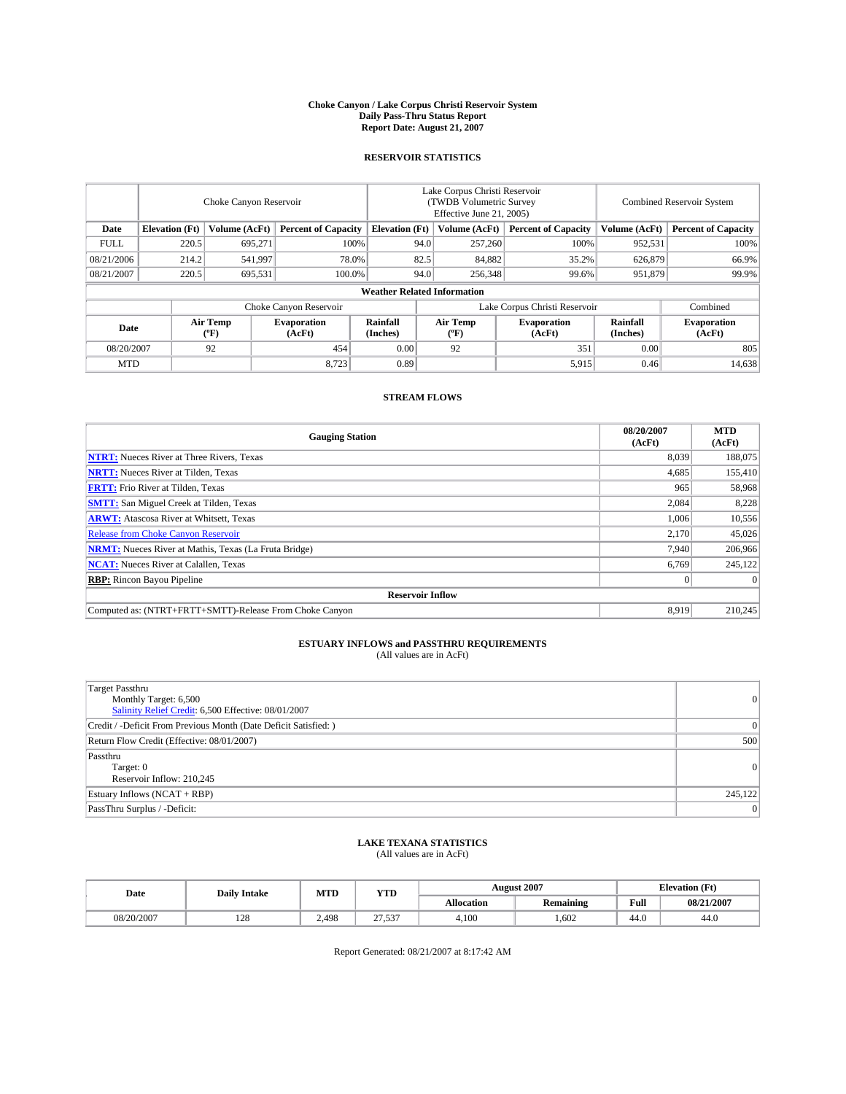#### **Choke Canyon / Lake Corpus Christi Reservoir System Daily Pass-Thru Status Report Report Date: August 21, 2007**

### **RESERVOIR STATISTICS**

|             | Choke Canyon Reservoir             |                  |                              |                                                     | Lake Corpus Christi Reservoir<br>(TWDB Volumetric Survey<br>Effective June 21, 2005) |                                           |                               |                      | Combined Reservoir System    |  |  |
|-------------|------------------------------------|------------------|------------------------------|-----------------------------------------------------|--------------------------------------------------------------------------------------|-------------------------------------------|-------------------------------|----------------------|------------------------------|--|--|
| Date        | <b>Elevation</b> (Ft)              | Volume (AcFt)    |                              | <b>Percent of Capacity</b><br><b>Elevation</b> (Ft) |                                                                                      | Volume (AcFt)                             | <b>Percent of Capacity</b>    | Volume (AcFt)        | <b>Percent of Capacity</b>   |  |  |
| <b>FULL</b> | 220.5                              | 695.271          |                              | 100%                                                | 94.0                                                                                 | 257,260                                   | 100%                          | 952,531              | 100%                         |  |  |
| 08/21/2006  | 214.2                              | 541,997          | 78.0%                        |                                                     | 82.5                                                                                 | 84,882                                    | 35.2%                         | 626,879              | 66.9%                        |  |  |
| 08/21/2007  | 220.5                              | 695,531          | 100.0%                       |                                                     | 94.0                                                                                 | 256,348                                   | 99.6%                         | 951.879              | 99.9%                        |  |  |
|             | <b>Weather Related Information</b> |                  |                              |                                                     |                                                                                      |                                           |                               |                      |                              |  |  |
|             |                                    |                  | Choke Canyon Reservoir       |                                                     |                                                                                      |                                           | Lake Corpus Christi Reservoir |                      | Combined                     |  |  |
| Date        |                                    | Air Temp<br>(°F) | <b>Evaporation</b><br>(AcFt) | Rainfall<br>(Inches)                                |                                                                                      | Air Temp<br>$({}^{\mathrm{o}}\mathrm{F})$ | <b>Evaporation</b><br>(AcFt)  | Rainfall<br>(Inches) | <b>Evaporation</b><br>(AcFt) |  |  |
| 08/20/2007  |                                    | 92               | 454                          | 0.00                                                |                                                                                      | 92                                        | 351                           | 0.00                 | 805                          |  |  |
| <b>MTD</b>  |                                    |                  | 8,723                        | 0.89                                                |                                                                                      |                                           | 5,915                         | 0.46                 | 14,638                       |  |  |

### **STREAM FLOWS**

| <b>Gauging Station</b>                                       | 08/20/2007<br>(AcFt) | <b>MTD</b><br>(AcFt) |
|--------------------------------------------------------------|----------------------|----------------------|
| <b>NTRT:</b> Nueces River at Three Rivers, Texas             | 8,039                | 188,075              |
| <b>NRTT:</b> Nueces River at Tilden, Texas                   | 4.685                | 155,410              |
| <b>FRTT:</b> Frio River at Tilden, Texas                     | 965                  | 58,968               |
| <b>SMTT:</b> San Miguel Creek at Tilden, Texas               | 2,084                | 8,228                |
| <b>ARWT:</b> Atascosa River at Whitsett, Texas               | 1,006                | 10,556               |
| <b>Release from Choke Canyon Reservoir</b>                   | 2,170                | 45,026               |
| <b>NRMT:</b> Nueces River at Mathis, Texas (La Fruta Bridge) | 7.940                | 206,966              |
| <b>NCAT:</b> Nueces River at Calallen, Texas                 | 6,769                | 245.122              |
| <b>RBP:</b> Rincon Bayou Pipeline                            | $\mathbf{0}$         | $\Omega$             |
| <b>Reservoir Inflow</b>                                      |                      |                      |
| Computed as: (NTRT+FRTT+SMTT)-Release From Choke Canyon      | 8.919                | 210,245              |

# **ESTUARY INFLOWS and PASSTHRU REQUIREMENTS**<br>(All values are in AcFt)

| <b>Target Passthru</b><br>Monthly Target: 6,500<br>Salinity Relief Credit: 6,500 Effective: 08/01/2007 | $\overline{0}$ |
|--------------------------------------------------------------------------------------------------------|----------------|
| Credit / -Deficit From Previous Month (Date Deficit Satisfied: )                                       | 0              |
| Return Flow Credit (Effective: 08/01/2007)                                                             | 500            |
| Passthru<br>Target: 0<br>Reservoir Inflow: 210,245                                                     | 0              |
| Estuary Inflows (NCAT + RBP)                                                                           | 245,122        |
| PassThru Surplus / -Deficit:                                                                           | $\vert$ 0      |

## **LAKE TEXANA STATISTICS** (All values are in AcFt)

| Date       | <b>Daily Intake</b> | MTD   | <b>YTD</b>             |                   | <b>August 2007</b> | <b>Elevation</b> (Ft) |            |
|------------|---------------------|-------|------------------------|-------------------|--------------------|-----------------------|------------|
|            |                     |       |                        | <b>Allocation</b> | <b>Remaining</b>   | Full                  | 08/21/2007 |
| 08/20/2007 | 100<br>14e          | 2.498 | $\sim$<br>527<br>، ب ب | 4.100             | .602               | 44.0                  | 44.0       |

Report Generated: 08/21/2007 at 8:17:42 AM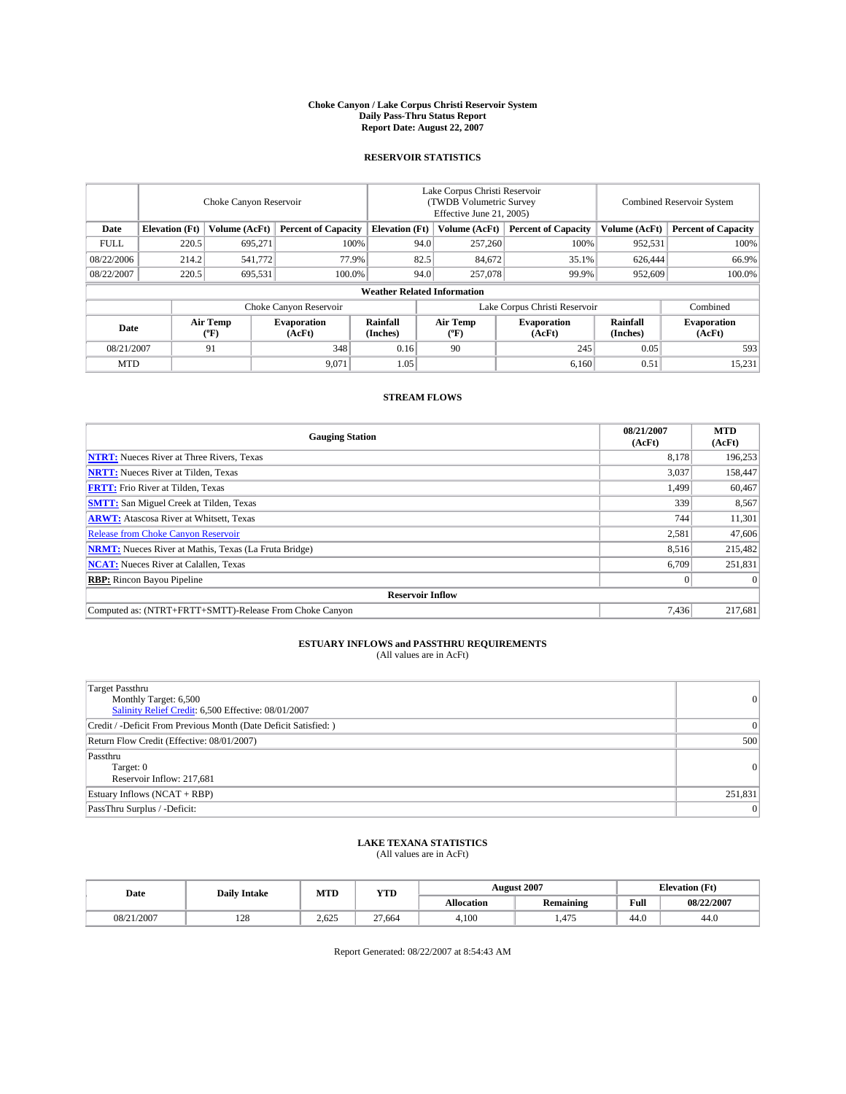#### **Choke Canyon / Lake Corpus Christi Reservoir System Daily Pass-Thru Status Report Report Date: August 22, 2007**

### **RESERVOIR STATISTICS**

|             | Choke Canyon Reservoir             |                         |                              |                       | Lake Corpus Christi Reservoir<br>(TWDB Volumetric Survey<br>Effective June 21, 2005) |                  |                               | Combined Reservoir System |                              |  |
|-------------|------------------------------------|-------------------------|------------------------------|-----------------------|--------------------------------------------------------------------------------------|------------------|-------------------------------|---------------------------|------------------------------|--|
| Date        | <b>Elevation</b> (Ft)              | Volume (AcFt)           | <b>Percent of Capacity</b>   | <b>Elevation</b> (Ft) |                                                                                      | Volume (AcFt)    | <b>Percent of Capacity</b>    | Volume (AcFt)             | <b>Percent of Capacity</b>   |  |
| <b>FULL</b> | 220.5                              | 695.271                 |                              | 100%                  | 94.0                                                                                 | 257,260          | 100%                          | 952,531                   | 100%                         |  |
| 08/22/2006  | 214.2                              | 541,772                 | 77.9%                        |                       | 82.5                                                                                 | 84,672           | 35.1%                         | 626,444                   | 66.9%                        |  |
| 08/22/2007  | 220.5                              | 695,531                 | 100.0%                       |                       | 94.0                                                                                 | 257,078          | 99.9%                         | 952,609                   | 100.0%                       |  |
|             | <b>Weather Related Information</b> |                         |                              |                       |                                                                                      |                  |                               |                           |                              |  |
|             |                                    |                         | Choke Canyon Reservoir       |                       |                                                                                      |                  | Lake Corpus Christi Reservoir |                           | Combined                     |  |
| Date        |                                    | <b>Air Temp</b><br>(°F) | <b>Evaporation</b><br>(AcFt) | Rainfall<br>(Inches)  |                                                                                      | Air Temp<br>("F) | <b>Evaporation</b><br>(AcFt)  | Rainfall<br>(Inches)      | <b>Evaporation</b><br>(AcFt) |  |
| 08/21/2007  |                                    | 91                      | 348                          | 0.16                  |                                                                                      | 90               | 245                           | 0.05                      | 593                          |  |
| <b>MTD</b>  |                                    |                         | 9,071                        | 1.05                  |                                                                                      |                  | 6,160                         | 0.51                      | 15,231                       |  |

### **STREAM FLOWS**

| <b>Gauging Station</b>                                       | 08/21/2007<br>(AcFt) | <b>MTD</b><br>(AcFt) |
|--------------------------------------------------------------|----------------------|----------------------|
| <b>NTRT:</b> Nueces River at Three Rivers, Texas             | 8.178                | 196,253              |
| <b>NRTT:</b> Nueces River at Tilden, Texas                   | 3.037                | 158,447              |
| <b>FRTT:</b> Frio River at Tilden, Texas                     | 1,499                | 60,467               |
| <b>SMTT:</b> San Miguel Creek at Tilden, Texas               | 339                  | 8,567                |
| <b>ARWT:</b> Atascosa River at Whitsett, Texas               | 744                  | 11,301               |
| <b>Release from Choke Canyon Reservoir</b>                   | 2,581                | 47,606               |
| <b>NRMT:</b> Nueces River at Mathis, Texas (La Fruta Bridge) | 8,516                | 215,482              |
| <b>NCAT:</b> Nueces River at Calallen, Texas                 | 6.709                | 251,831              |
| <b>RBP:</b> Rincon Bayou Pipeline                            | $\overline{0}$       | $\Omega$             |
| <b>Reservoir Inflow</b>                                      |                      |                      |
| Computed as: (NTRT+FRTT+SMTT)-Release From Choke Canyon      | 7.436                | 217,681              |

# **ESTUARY INFLOWS and PASSTHRU REQUIREMENTS**<br>(All values are in AcFt)

| <b>Target Passthru</b><br>Monthly Target: 6,500<br>Salinity Relief Credit: 6,500 Effective: 08/01/2007 | 0        |
|--------------------------------------------------------------------------------------------------------|----------|
| Credit / -Deficit From Previous Month (Date Deficit Satisfied: )                                       | 0        |
| Return Flow Credit (Effective: 08/01/2007)                                                             | 500      |
| Passthru<br>Target: 0<br>Reservoir Inflow: 217,681                                                     | $\Omega$ |
| Estuary Inflows (NCAT + RBP)                                                                           | 251,831  |
| PassThru Surplus / -Deficit:                                                                           | $\Omega$ |

## **LAKE TEXANA STATISTICS** (All values are in AcFt)

| Date       | <b>Daily Intake</b> | MTD   | <b>YTD</b> |                   | <b>August 2007</b> |      | <b>Elevation</b> (Ft) |
|------------|---------------------|-------|------------|-------------------|--------------------|------|-----------------------|
|            |                     |       |            | <b>Allocation</b> | <b>Remaining</b>   | Full | 08/22/2007            |
| 08/21/2007 | 128                 | 2.625 | 27.664     | 4.100             | .475               | 44.0 | 44.0                  |

Report Generated: 08/22/2007 at 8:54:43 AM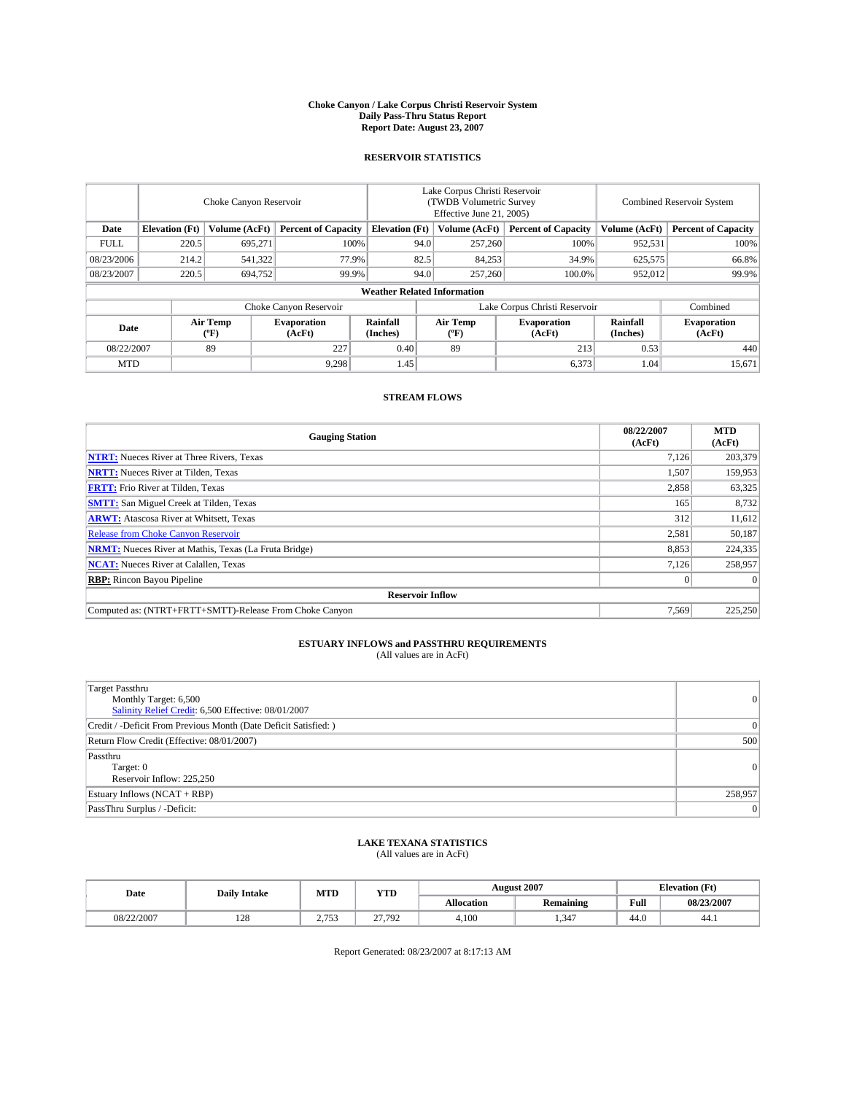#### **Choke Canyon / Lake Corpus Christi Reservoir System Daily Pass-Thru Status Report Report Date: August 23, 2007**

### **RESERVOIR STATISTICS**

|             | Choke Canyon Reservoir |                  |                              |                                    | Lake Corpus Christi Reservoir<br>(TWDB Volumetric Survey<br>Effective June 21, 2005) |                  |                               | <b>Combined Reservoir System</b> |                              |  |
|-------------|------------------------|------------------|------------------------------|------------------------------------|--------------------------------------------------------------------------------------|------------------|-------------------------------|----------------------------------|------------------------------|--|
| Date        | <b>Elevation</b> (Ft)  | Volume (AcFt)    | <b>Percent of Capacity</b>   | <b>Elevation</b> (Ft)              |                                                                                      | Volume (AcFt)    | <b>Percent of Capacity</b>    | Volume (AcFt)                    | <b>Percent of Capacity</b>   |  |
| <b>FULL</b> | 220.5                  | 695.271          |                              | 100%                               | 94.0                                                                                 | 257,260          | 100%                          | 952,531                          | 100%                         |  |
| 08/23/2006  | 214.2                  | 541,322          | 77.9%                        |                                    | 82.5                                                                                 | 84,253           | 34.9%                         | 625,575                          | 66.8%                        |  |
| 08/23/2007  | 220.5                  | 694,752          | 99.9%                        |                                    | 94.0                                                                                 | 257,260          | 100.0%                        | 952,012                          | 99.9%                        |  |
|             |                        |                  |                              | <b>Weather Related Information</b> |                                                                                      |                  |                               |                                  |                              |  |
|             |                        |                  | Choke Canyon Reservoir       |                                    |                                                                                      |                  | Lake Corpus Christi Reservoir |                                  | Combined                     |  |
| Date        |                        | Air Temp<br>(°F) | <b>Evaporation</b><br>(AcFt) | Rainfall<br>(Inches)               |                                                                                      | Air Temp<br>("F) | <b>Evaporation</b><br>(AcFt)  | Rainfall<br>(Inches)             | <b>Evaporation</b><br>(AcFt) |  |
| 08/22/2007  |                        | 89               | 227                          | 0.40                               |                                                                                      | 89               | 213                           | 0.53                             | 440                          |  |
| <b>MTD</b>  |                        |                  | 9,298                        | 1.45                               |                                                                                      |                  | 6,373                         | 1.04                             | 15,671                       |  |

### **STREAM FLOWS**

| <b>Gauging Station</b>                                       | 08/22/2007<br>(AcFt) | <b>MTD</b><br>(AcFt) |
|--------------------------------------------------------------|----------------------|----------------------|
| <b>NTRT:</b> Nueces River at Three Rivers, Texas             | 7.126                | 203,379              |
| <b>NRTT:</b> Nueces River at Tilden, Texas                   | 1.507                | 159,953              |
| <b>FRTT:</b> Frio River at Tilden, Texas                     | 2,858                | 63,325               |
| <b>SMTT:</b> San Miguel Creek at Tilden, Texas               | 165                  | 8,732                |
| <b>ARWT:</b> Atascosa River at Whitsett, Texas               | 312                  | 11,612               |
| <b>Release from Choke Canyon Reservoir</b>                   | 2,581                | 50,187               |
| <b>NRMT:</b> Nueces River at Mathis, Texas (La Fruta Bridge) | 8,853                | 224,335              |
| <b>NCAT:</b> Nueces River at Calallen, Texas                 | 7.126                | 258,957              |
| <b>RBP:</b> Rincon Bayou Pipeline                            | $\mathbf{0}$         | $\Omega$             |
| <b>Reservoir Inflow</b>                                      |                      |                      |
| Computed as: (NTRT+FRTT+SMTT)-Release From Choke Canyon      | 7.569                | 225,250              |

# **ESTUARY INFLOWS and PASSTHRU REQUIREMENTS**<br>(All values are in AcFt)

| <b>Target Passthru</b><br>Monthly Target: 6,500<br>Salinity Relief Credit: 6,500 Effective: 08/01/2007 | $\overline{0}$  |
|--------------------------------------------------------------------------------------------------------|-----------------|
| Credit / -Deficit From Previous Month (Date Deficit Satisfied: )                                       | $\vert 0 \vert$ |
| Return Flow Credit (Effective: 08/01/2007)                                                             | 500             |
| Passthru<br>Target: 0<br>Reservoir Inflow: 225,250                                                     | 0               |
| Estuary Inflows (NCAT + RBP)                                                                           | 258,957         |
| PassThru Surplus / -Deficit:                                                                           | 0               |

## **LAKE TEXANA STATISTICS** (All values are in AcFt)

| Date       | <b>Daily Intake</b> | MTD         | <b>YTD</b> |                   | <b>August 2007</b> | <b>Elevation</b> (Ft) |            |
|------------|---------------------|-------------|------------|-------------------|--------------------|-----------------------|------------|
|            |                     |             |            | <b>Allocation</b> | <b>Remaining</b>   | Full                  | 08/23/2007 |
| 08/22/2007 | 120<br>140          | 1757<br>ر ر | 27.792     | 4.100             | .347               | 44.0                  | 44.1       |

Report Generated: 08/23/2007 at 8:17:13 AM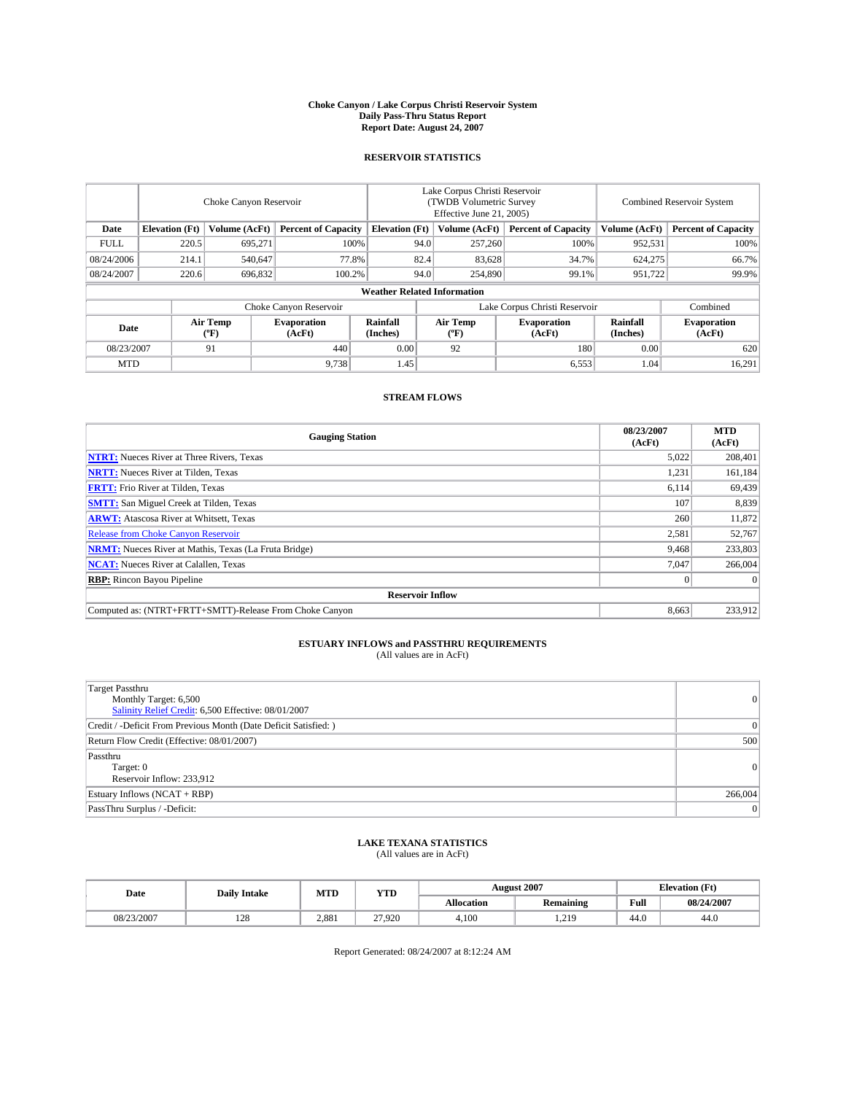#### **Choke Canyon / Lake Corpus Christi Reservoir System Daily Pass-Thru Status Report Report Date: August 24, 2007**

### **RESERVOIR STATISTICS**

|             | Choke Canyon Reservoir |                  |                              |                                    | Lake Corpus Christi Reservoir<br>(TWDB Volumetric Survey<br>Effective June 21, 2005) |                                           |                               | Combined Reservoir System |                              |  |
|-------------|------------------------|------------------|------------------------------|------------------------------------|--------------------------------------------------------------------------------------|-------------------------------------------|-------------------------------|---------------------------|------------------------------|--|
| Date        | <b>Elevation</b> (Ft)  | Volume (AcFt)    | <b>Percent of Capacity</b>   | <b>Elevation</b> (Ft)              |                                                                                      | Volume (AcFt)                             | <b>Percent of Capacity</b>    | Volume (AcFt)             | <b>Percent of Capacity</b>   |  |
| <b>FULL</b> | 220.5                  | 695.271          |                              | 100%                               | 94.0                                                                                 | 257,260                                   | 100%                          | 952,531                   | 100%                         |  |
| 08/24/2006  | 214.1                  | 540,647          | 77.8%                        |                                    | 82.4                                                                                 | 83,628                                    | 34.7%                         | 624,275                   | 66.7%                        |  |
| 08/24/2007  | 220.6                  | 696,832          | 100.2%                       |                                    | 94.0                                                                                 | 254,890                                   | 99.1%                         | 951,722                   | 99.9%                        |  |
|             |                        |                  |                              | <b>Weather Related Information</b> |                                                                                      |                                           |                               |                           |                              |  |
|             |                        |                  | Choke Canyon Reservoir       |                                    |                                                                                      |                                           | Lake Corpus Christi Reservoir |                           | Combined                     |  |
| Date        |                        | Air Temp<br>(°F) | <b>Evaporation</b><br>(AcFt) | Rainfall<br>(Inches)               |                                                                                      | Air Temp<br>$({}^{\mathrm{o}}\mathrm{F})$ | <b>Evaporation</b><br>(AcFt)  | Rainfall<br>(Inches)      | <b>Evaporation</b><br>(AcFt) |  |
| 08/23/2007  |                        | 91               | 440                          | 0.00                               |                                                                                      | 92                                        | 180                           | 0.00                      | 620                          |  |
| <b>MTD</b>  |                        |                  | 9,738                        | 1.45                               |                                                                                      |                                           | 6,553                         | 1.04                      | 16,291                       |  |

### **STREAM FLOWS**

| <b>Gauging Station</b>                                       | 08/23/2007<br>(AcFt) | <b>MTD</b><br>(AcFt) |
|--------------------------------------------------------------|----------------------|----------------------|
| <b>NTRT:</b> Nueces River at Three Rivers, Texas             | 5,022                | 208,401              |
| <b>NRTT:</b> Nueces River at Tilden, Texas                   | 1.231                | 161,184              |
| <b>FRTT:</b> Frio River at Tilden, Texas                     | 6,114                | 69,439               |
| <b>SMTT:</b> San Miguel Creek at Tilden, Texas               | 107                  | 8,839                |
| <b>ARWT:</b> Atascosa River at Whitsett, Texas               | 260                  | 11,872               |
| <b>Release from Choke Canyon Reservoir</b>                   | 2,581                | 52,767               |
| <b>NRMT:</b> Nueces River at Mathis, Texas (La Fruta Bridge) | 9,468                | 233,803              |
| <b>NCAT:</b> Nueces River at Calallen, Texas                 | 7.047                | 266,004              |
| <b>RBP:</b> Rincon Bayou Pipeline                            | $\mathbf{0}$         | $\Omega$             |
| <b>Reservoir Inflow</b>                                      |                      |                      |
| Computed as: (NTRT+FRTT+SMTT)-Release From Choke Canyon      | 8.663                | 233,912              |

# **ESTUARY INFLOWS and PASSTHRU REQUIREMENTS**<br>(All values are in AcFt)

| <b>Target Passthru</b><br>Monthly Target: 6,500<br>Salinity Relief Credit: 6,500 Effective: 08/01/2007 | 0        |
|--------------------------------------------------------------------------------------------------------|----------|
| Credit / -Deficit From Previous Month (Date Deficit Satisfied: )                                       | 0        |
| Return Flow Credit (Effective: 08/01/2007)                                                             | 500      |
| Passthru<br>Target: 0<br>Reservoir Inflow: 233,912                                                     | $\Omega$ |
| Estuary Inflows (NCAT + RBP)                                                                           | 266,004  |
| PassThru Surplus / -Deficit:                                                                           | $\Omega$ |

## **LAKE TEXANA STATISTICS** (All values are in AcFt)

| Date       | <b>Daily Intake</b> | MTD   | <b>YTD</b> |                   | <b>August 2007</b> |      | <b>Elevation</b> (Ft) |
|------------|---------------------|-------|------------|-------------------|--------------------|------|-----------------------|
|            |                     |       |            | <b>Allocation</b> | <b>Remaining</b>   | Full | 08/24/2007            |
| 08/23/2007 | 128                 | 2,881 | 27.920     | 4.100             | 210<br>ہ اسکہ ا    | 44.0 | 44.0                  |

Report Generated: 08/24/2007 at 8:12:24 AM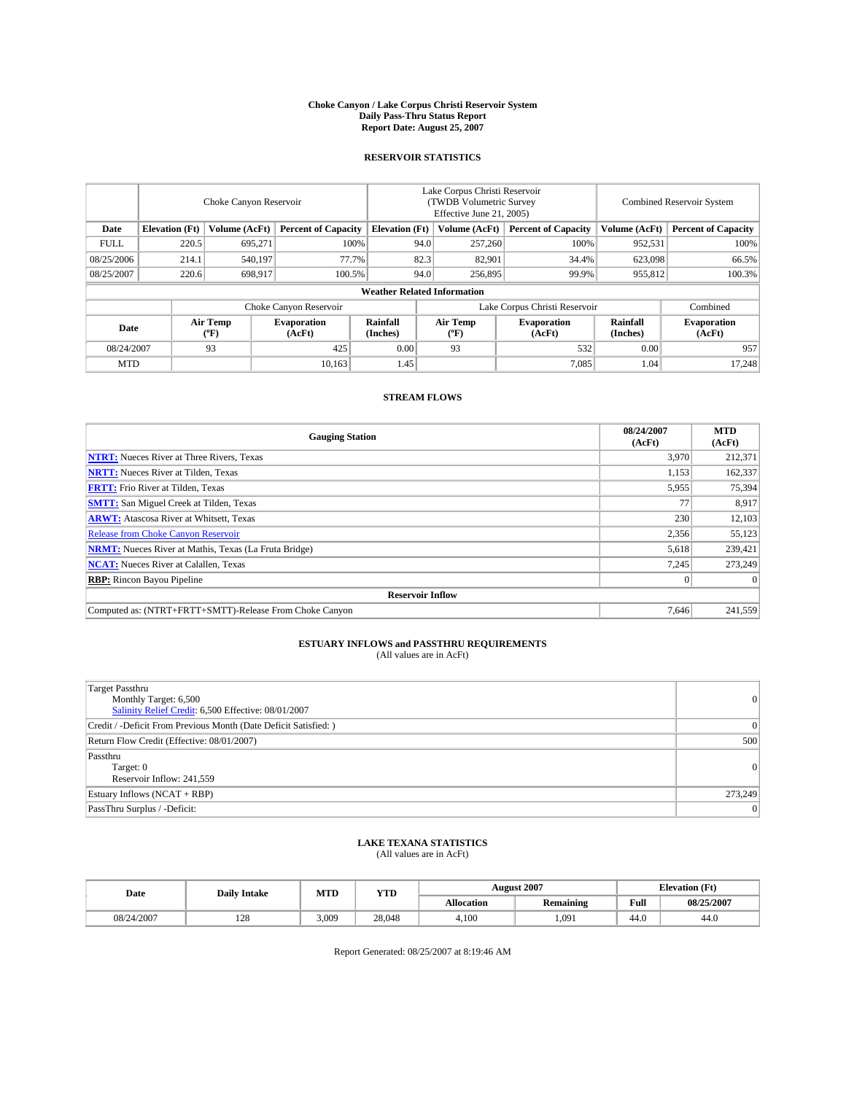#### **Choke Canyon / Lake Corpus Christi Reservoir System Daily Pass-Thru Status Report Report Date: August 25, 2007**

### **RESERVOIR STATISTICS**

|             | Choke Canyon Reservoir |                  |                              |                                    | Lake Corpus Christi Reservoir<br>(TWDB Volumetric Survey<br>Effective June 21, 2005) |                  |                               | <b>Combined Reservoir System</b> |                              |  |
|-------------|------------------------|------------------|------------------------------|------------------------------------|--------------------------------------------------------------------------------------|------------------|-------------------------------|----------------------------------|------------------------------|--|
| Date        | <b>Elevation</b> (Ft)  | Volume (AcFt)    | <b>Percent of Capacity</b>   | <b>Elevation</b> (Ft)              |                                                                                      | Volume (AcFt)    | <b>Percent of Capacity</b>    | Volume (AcFt)                    | <b>Percent of Capacity</b>   |  |
| <b>FULL</b> | 220.5                  | 695.271          |                              | 100%                               | 94.0                                                                                 | 257,260          | 100%                          | 952,531                          | 100%                         |  |
| 08/25/2006  | 214.1                  | 540,197          |                              | 77.7%                              | 82.3                                                                                 | 82.901           | 34.4%                         | 623,098                          | 66.5%                        |  |
| 08/25/2007  | 220.6                  | 698,917          | 100.5%                       |                                    | 94.0                                                                                 | 256,895          | 99.9%                         | 955,812                          | 100.3%                       |  |
|             |                        |                  |                              | <b>Weather Related Information</b> |                                                                                      |                  |                               |                                  |                              |  |
|             |                        |                  | Choke Canyon Reservoir       |                                    |                                                                                      |                  | Lake Corpus Christi Reservoir |                                  | Combined                     |  |
| Date        |                        | Air Temp<br>(°F) | <b>Evaporation</b><br>(AcFt) | Rainfall<br>(Inches)               |                                                                                      | Air Temp<br>("F) | <b>Evaporation</b><br>(AcFt)  | Rainfall<br>(Inches)             | <b>Evaporation</b><br>(AcFt) |  |
| 08/24/2007  |                        | 93               | 425                          | 0.00                               |                                                                                      | 93               | 532                           | 0.00                             | 957                          |  |
| <b>MTD</b>  |                        |                  | 10.163                       | 1.45                               |                                                                                      |                  | 7.085                         | 1.04                             | 17,248                       |  |

### **STREAM FLOWS**

| <b>Gauging Station</b>                                       | 08/24/2007<br>(AcFt) | <b>MTD</b><br>(AcFt) |
|--------------------------------------------------------------|----------------------|----------------------|
| <b>NTRT:</b> Nueces River at Three Rivers, Texas             | 3,970                | 212,371              |
| <b>NRTT:</b> Nueces River at Tilden, Texas                   | 1.153                | 162,337              |
| <b>FRTT:</b> Frio River at Tilden, Texas                     | 5,955                | 75,394               |
| <b>SMTT:</b> San Miguel Creek at Tilden, Texas               | 77                   | 8,917                |
| <b>ARWT:</b> Atascosa River at Whitsett, Texas               | 230                  | 12,103               |
| <b>Release from Choke Canyon Reservoir</b>                   | 2,356                | 55,123               |
| <b>NRMT:</b> Nueces River at Mathis, Texas (La Fruta Bridge) | 5,618                | 239,421              |
| <b>NCAT:</b> Nueces River at Calallen, Texas                 | 7,245                | 273.249              |
| <b>RBP:</b> Rincon Bayou Pipeline                            | $\mathbf{0}$         | $\Omega$             |
| <b>Reservoir Inflow</b>                                      |                      |                      |
| Computed as: (NTRT+FRTT+SMTT)-Release From Choke Canyon      | 7.646                | 241,559              |

## **ESTUARY INFLOWS and PASSTHRU REQUIREMENTS**<br>(All values are in AcFt)

| <b>Target Passthru</b><br>Monthly Target: 6,500<br>Salinity Relief Credit: 6,500 Effective: 08/01/2007 | 0        |
|--------------------------------------------------------------------------------------------------------|----------|
| Credit / -Deficit From Previous Month (Date Deficit Satisfied: )                                       | 0        |
| Return Flow Credit (Effective: 08/01/2007)                                                             | 500      |
| Passthru<br>Target: 0<br>Reservoir Inflow: 241,559                                                     | $\Omega$ |
| Estuary Inflows (NCAT + RBP)                                                                           | 273,249  |
| PassThru Surplus / -Deficit:                                                                           | $\Omega$ |

## **LAKE TEXANA STATISTICS** (All values are in AcFt)

| Date       | <b>Daily Intake</b> | MTD   | <b>YTD</b> |                   | <b>August 2007</b> | <b>Elevation</b> (Ft) |            |
|------------|---------------------|-------|------------|-------------------|--------------------|-----------------------|------------|
|            |                     |       |            | <b>Allocation</b> | <b>Remaining</b>   | Full                  | 08/25/2007 |
| 08/24/2007 | 170<br>14e          | 3.009 | 28,048     | 4.100             | 1.091              | 44.0                  | 44.0       |

Report Generated: 08/25/2007 at 8:19:46 AM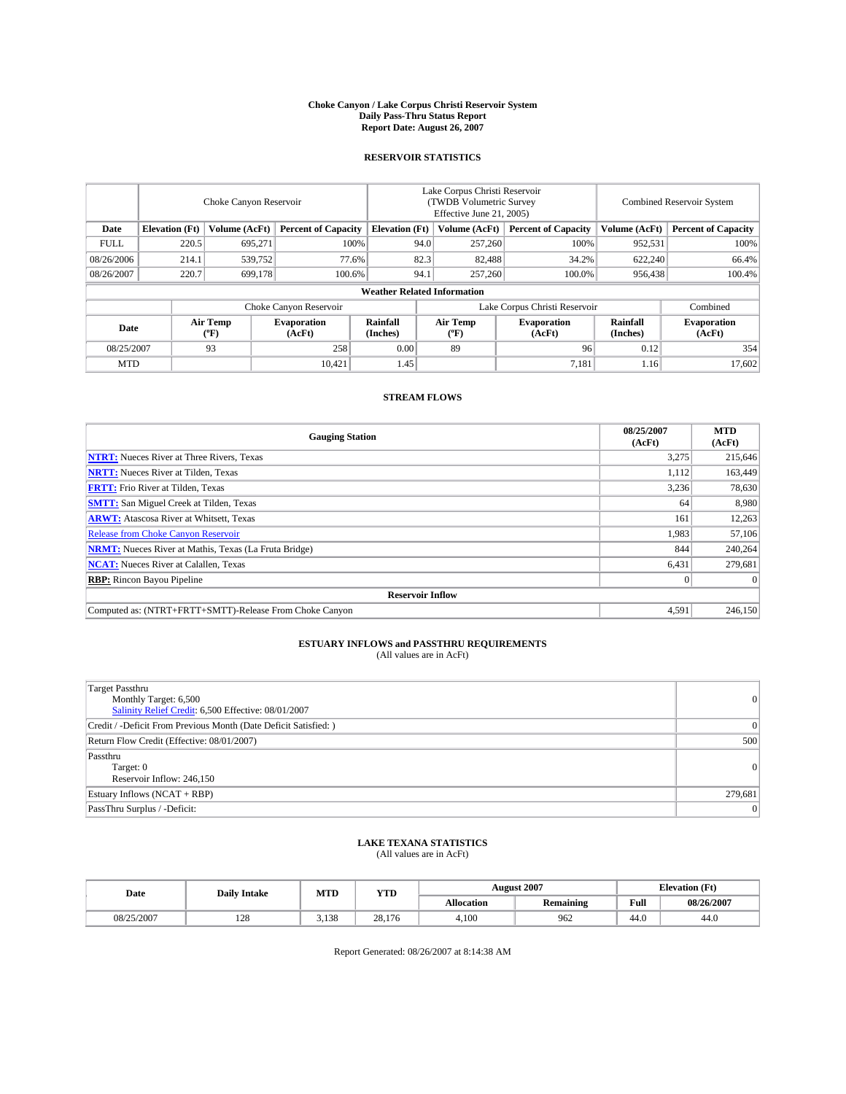#### **Choke Canyon / Lake Corpus Christi Reservoir System Daily Pass-Thru Status Report Report Date: August 26, 2007**

### **RESERVOIR STATISTICS**

|             | Choke Canyon Reservoir |                  |                              |                                    | Lake Corpus Christi Reservoir<br>(TWDB Volumetric Survey<br>Effective June 21, 2005) |                  |                              | Combined Reservoir System |                              |  |
|-------------|------------------------|------------------|------------------------------|------------------------------------|--------------------------------------------------------------------------------------|------------------|------------------------------|---------------------------|------------------------------|--|
| Date        | <b>Elevation</b> (Ft)  | Volume (AcFt)    | <b>Percent of Capacity</b>   | <b>Elevation</b> (Ft)              |                                                                                      | Volume (AcFt)    | <b>Percent of Capacity</b>   | Volume (AcFt)             | <b>Percent of Capacity</b>   |  |
| <b>FULL</b> | 220.5                  | 695.271          |                              | 100%                               | 94.0                                                                                 | 257,260          | 100%                         | 952,531                   | 100%                         |  |
| 08/26/2006  | 214.1                  | 539,752          | 77.6%                        |                                    | 82.3                                                                                 | 82,488           | 34.2%                        | 622,240                   | 66.4%                        |  |
| 08/26/2007  | 220.7                  | 699,178          | 100.6%                       |                                    | 94.1                                                                                 | 257,260          | 100.0%                       | 956,438                   | 100.4%                       |  |
|             |                        |                  |                              | <b>Weather Related Information</b> |                                                                                      |                  |                              |                           |                              |  |
|             |                        |                  | Choke Canyon Reservoir       |                                    | Lake Corpus Christi Reservoir                                                        |                  |                              |                           | Combined                     |  |
| Date        |                        | Air Temp<br>(°F) | <b>Evaporation</b><br>(AcFt) | Rainfall<br>(Inches)               |                                                                                      | Air Temp<br>("F) | <b>Evaporation</b><br>(AcFt) | Rainfall<br>(Inches)      | <b>Evaporation</b><br>(AcFt) |  |
| 08/25/2007  |                        | 93               | 258                          | 0.00                               |                                                                                      | 89               | 96                           | 0.12                      | 354                          |  |
| <b>MTD</b>  |                        |                  | 10.421                       | 1.45                               |                                                                                      |                  | 7,181                        | 1.16                      | 17,602                       |  |

### **STREAM FLOWS**

| <b>Gauging Station</b>                                       | 08/25/2007<br>(AcFt) | <b>MTD</b><br>(AcFt) |
|--------------------------------------------------------------|----------------------|----------------------|
| <b>NTRT:</b> Nueces River at Three Rivers, Texas             | 3,275                | 215,646              |
| <b>NRTT:</b> Nueces River at Tilden, Texas                   | 1.112                | 163,449              |
| <b>FRTT:</b> Frio River at Tilden, Texas                     | 3,236                | 78,630               |
| <b>SMTT:</b> San Miguel Creek at Tilden, Texas               | 64                   | 8,980                |
| <b>ARWT:</b> Atascosa River at Whitsett, Texas               | 161                  | 12,263               |
| <b>Release from Choke Canyon Reservoir</b>                   | 1,983                | 57,106               |
| <b>NRMT:</b> Nueces River at Mathis, Texas (La Fruta Bridge) | 844                  | 240,264              |
| <b>NCAT:</b> Nueces River at Calallen, Texas                 | 6,431                | 279,681              |
| <b>RBP:</b> Rincon Bayou Pipeline                            | $\mathbf{0}$         | $\Omega$             |
| <b>Reservoir Inflow</b>                                      |                      |                      |
| Computed as: (NTRT+FRTT+SMTT)-Release From Choke Canyon      | 4.591                | 246,150              |

# **ESTUARY INFLOWS and PASSTHRU REQUIREMENTS**<br>(All values are in AcFt)

| <b>Target Passthru</b><br>Monthly Target: 6,500<br>Salinity Relief Credit: 6,500 Effective: 08/01/2007 | $\overline{0}$ |
|--------------------------------------------------------------------------------------------------------|----------------|
| Credit / -Deficit From Previous Month (Date Deficit Satisfied: )                                       | 0              |
| Return Flow Credit (Effective: 08/01/2007)                                                             | 500            |
| Passthru<br>Target: 0<br>Reservoir Inflow: 246,150                                                     | 0              |
| Estuary Inflows (NCAT + RBP)                                                                           | 279,681        |
| PassThru Surplus / -Deficit:                                                                           | $\vert$ 0      |

## **LAKE TEXANA STATISTICS** (All values are in AcFt)

| Date       | <b>Daily Intake</b> | MTD   | <b>YTD</b> |                   | <b>August 2007</b> |      | <b>Elevation</b> (Ft) |
|------------|---------------------|-------|------------|-------------------|--------------------|------|-----------------------|
|            |                     |       |            | <b>Allocation</b> | <b>Remaining</b>   | Full | 08/26/2007            |
| 08/25/2007 | 128                 | 3,138 | 28,176     | 4.100             | 962                | 44.0 | 44.0                  |

Report Generated: 08/26/2007 at 8:14:38 AM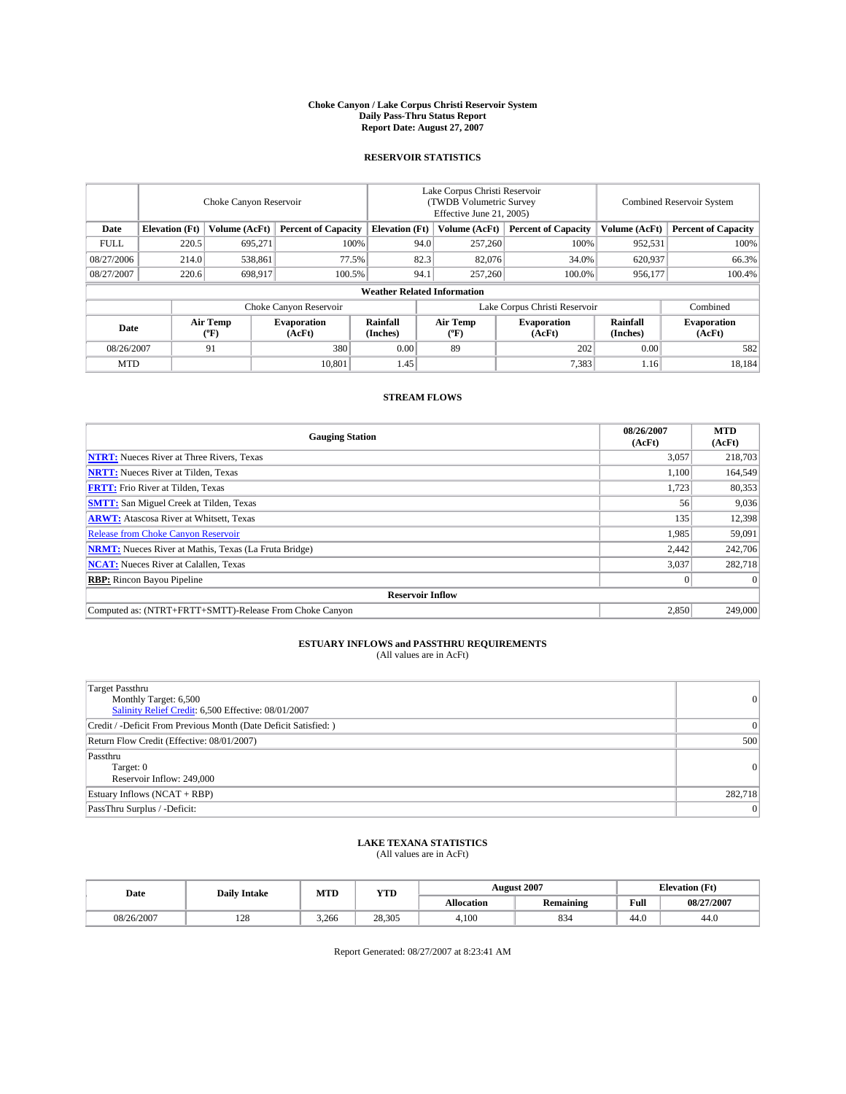#### **Choke Canyon / Lake Corpus Christi Reservoir System Daily Pass-Thru Status Report Report Date: August 27, 2007**

### **RESERVOIR STATISTICS**

|             | Choke Canyon Reservoir             |                  |                              |                       | Lake Corpus Christi Reservoir<br>(TWDB Volumetric Survey<br>Effective June 21, 2005) |                  |                               |                      | Combined Reservoir System    |  |  |
|-------------|------------------------------------|------------------|------------------------------|-----------------------|--------------------------------------------------------------------------------------|------------------|-------------------------------|----------------------|------------------------------|--|--|
| Date        | <b>Elevation</b> (Ft)              | Volume (AcFt)    | <b>Percent of Capacity</b>   | <b>Elevation</b> (Ft) |                                                                                      | Volume (AcFt)    | <b>Percent of Capacity</b>    | Volume (AcFt)        | <b>Percent of Capacity</b>   |  |  |
| <b>FULL</b> | 220.5                              | 695.271          | 100%                         |                       | 94.0                                                                                 | 257,260          | 100%                          | 952,531              | 100%                         |  |  |
| 08/27/2006  | 214.0                              | 538,861          | 77.5%                        |                       | 82.3                                                                                 | 82,076           | 34.0%                         | 620,937              | 66.3%                        |  |  |
| 08/27/2007  | 220.6                              | 698,917          | 100.5%                       |                       | 94.1                                                                                 | 257,260          | 100.0%                        | 956,177              | 100.4%                       |  |  |
|             | <b>Weather Related Information</b> |                  |                              |                       |                                                                                      |                  |                               |                      |                              |  |  |
|             |                                    |                  | Choke Canyon Reservoir       |                       |                                                                                      |                  | Lake Corpus Christi Reservoir |                      | Combined                     |  |  |
| Date        |                                    | Air Temp<br>(°F) | <b>Evaporation</b><br>(AcFt) | Rainfall<br>(Inches)  |                                                                                      | Air Temp<br>("F) | <b>Evaporation</b><br>(AcFt)  | Rainfall<br>(Inches) | <b>Evaporation</b><br>(AcFt) |  |  |
| 08/26/2007  |                                    | 91               | 380                          | 0.00                  |                                                                                      | 89               | 202                           | 0.00                 | 582                          |  |  |
| <b>MTD</b>  |                                    |                  | 10.801                       | 1.45                  |                                                                                      |                  | 7,383                         | 1.16                 | 18,184                       |  |  |

### **STREAM FLOWS**

| <b>Gauging Station</b>                                       | 08/26/2007<br>(AcFt) | <b>MTD</b><br>(AcFt) |
|--------------------------------------------------------------|----------------------|----------------------|
| <b>NTRT:</b> Nueces River at Three Rivers, Texas             | 3,057                | 218,703              |
| <b>NRTT:</b> Nueces River at Tilden, Texas                   | 1.100                | 164,549              |
| <b>FRTT:</b> Frio River at Tilden, Texas                     | 1,723                | 80,353               |
| <b>SMTT:</b> San Miguel Creek at Tilden, Texas               | 56                   | 9,036                |
| <b>ARWT:</b> Atascosa River at Whitsett, Texas               | 135                  | 12,398               |
| <b>Release from Choke Canyon Reservoir</b>                   | 1,985                | 59,091               |
| <b>NRMT:</b> Nueces River at Mathis, Texas (La Fruta Bridge) | 2,442                | 242,706              |
| <b>NCAT:</b> Nueces River at Calallen, Texas                 | 3,037                | 282,718              |
| <b>RBP:</b> Rincon Bayou Pipeline                            | $\mathbf{0}$         | $\Omega$             |
| <b>Reservoir Inflow</b>                                      |                      |                      |
| Computed as: (NTRT+FRTT+SMTT)-Release From Choke Canyon      | 2.850                | 249,000              |

# **ESTUARY INFLOWS and PASSTHRU REQUIREMENTS**<br>(All values are in AcFt)

| <b>Target Passthru</b><br>Monthly Target: 6,500<br>Salinity Relief Credit: 6,500 Effective: 08/01/2007 | $\overline{0}$ |
|--------------------------------------------------------------------------------------------------------|----------------|
| Credit / -Deficit From Previous Month (Date Deficit Satisfied: )                                       | 0              |
| Return Flow Credit (Effective: 08/01/2007)                                                             | 500            |
| Passthru<br>Target: 0<br>Reservoir Inflow: 249,000                                                     | 0              |
| Estuary Inflows (NCAT + RBP)                                                                           | 282,718        |
| PassThru Surplus / -Deficit:                                                                           | $\Omega$       |

## **LAKE TEXANA STATISTICS** (All values are in AcFt)

| Date       | <b>Daily Intake</b> | MTD   | <b>YTD</b> |                   | <b>August 2007</b> |      | <b>Elevation</b> (Ft) |
|------------|---------------------|-------|------------|-------------------|--------------------|------|-----------------------|
|            |                     |       |            | <b>Allocation</b> | <b>Remaining</b>   | Full | 08/27/2007            |
| 08/26/2007 | 128                 | 3.266 | 28,305     | 4.100             | 834                | 44.0 | 44.0                  |

Report Generated: 08/27/2007 at 8:23:41 AM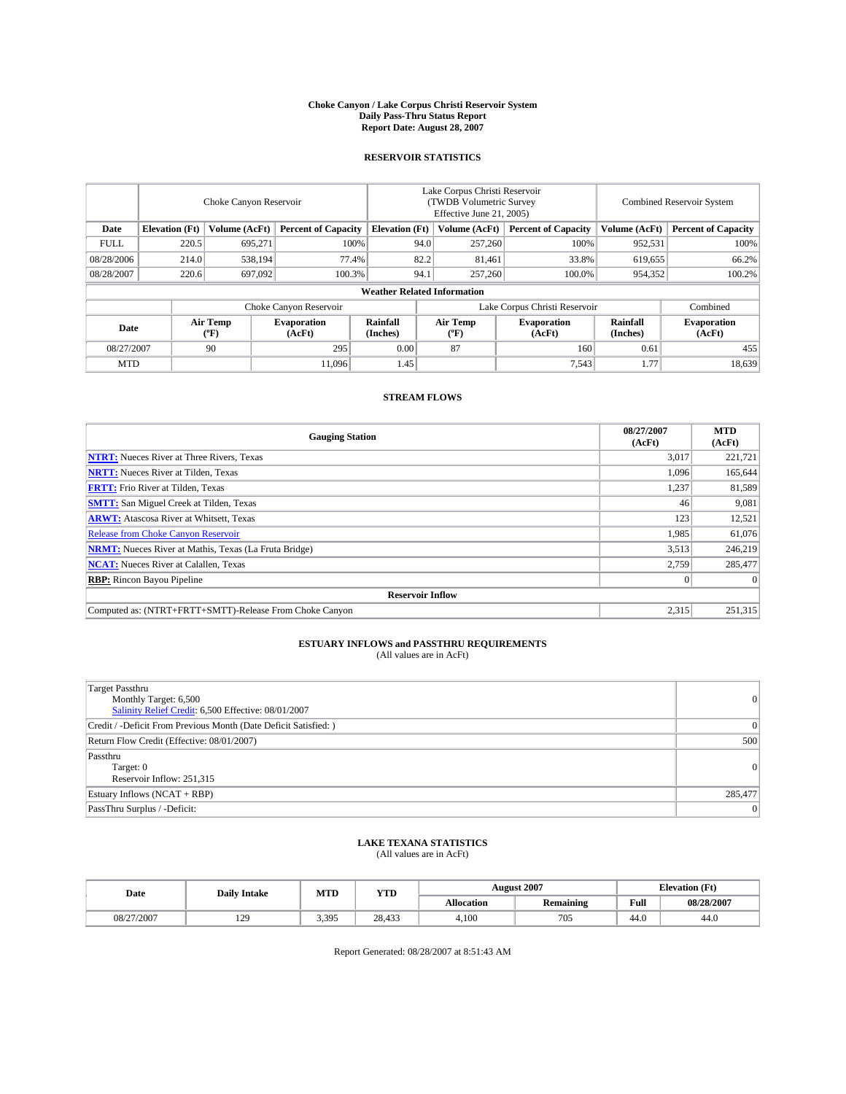#### **Choke Canyon / Lake Corpus Christi Reservoir System Daily Pass-Thru Status Report Report Date: August 28, 2007**

### **RESERVOIR STATISTICS**

|             | Choke Canyon Reservoir             |                  |                              |                       | Lake Corpus Christi Reservoir<br>(TWDB Volumetric Survey<br>Effective June 21, 2005) |                  |                               | <b>Combined Reservoir System</b> |                              |  |
|-------------|------------------------------------|------------------|------------------------------|-----------------------|--------------------------------------------------------------------------------------|------------------|-------------------------------|----------------------------------|------------------------------|--|
| Date        | <b>Elevation</b> (Ft)              | Volume (AcFt)    | <b>Percent of Capacity</b>   | <b>Elevation</b> (Ft) |                                                                                      | Volume (AcFt)    | <b>Percent of Capacity</b>    | Volume (AcFt)                    | <b>Percent of Capacity</b>   |  |
| <b>FULL</b> | 220.5                              | 695.271          | 100%                         |                       | 94.0                                                                                 | 257,260          | 100%                          | 952,531                          | 100%                         |  |
| 08/28/2006  | 214.0                              | 538,194          | 77.4%                        |                       | 82.2                                                                                 | 81,461           | 33.8%                         | 619,655                          | 66.2%                        |  |
| 08/28/2007  | 220.6                              | 697,092          | 100.3%                       |                       | 94.1                                                                                 | 257,260          | 100.0%                        | 954,352                          | 100.2%                       |  |
|             | <b>Weather Related Information</b> |                  |                              |                       |                                                                                      |                  |                               |                                  |                              |  |
|             |                                    |                  | Choke Canyon Reservoir       |                       |                                                                                      |                  | Lake Corpus Christi Reservoir |                                  | Combined                     |  |
| Date        |                                    | Air Temp<br>(°F) | <b>Evaporation</b><br>(AcFt) | Rainfall<br>(Inches)  |                                                                                      | Air Temp<br>("F) | <b>Evaporation</b><br>(AcFt)  | Rainfall<br>(Inches)             | <b>Evaporation</b><br>(AcFt) |  |
| 08/27/2007  |                                    | 90               | 295                          | 0.00                  |                                                                                      | 87               | 160                           | 0.61                             | 455                          |  |
| <b>MTD</b>  |                                    |                  | 11.096                       | 1.45                  |                                                                                      |                  | 7,543                         | 1.77                             | 18,639                       |  |

### **STREAM FLOWS**

| <b>Gauging Station</b>                                       | 08/27/2007<br>(AcFt) | <b>MTD</b><br>(AcFt) |
|--------------------------------------------------------------|----------------------|----------------------|
| <b>NTRT:</b> Nueces River at Three Rivers, Texas             | 3.017                | 221,721              |
| <b>NRTT:</b> Nueces River at Tilden, Texas                   | 1.096                | 165,644              |
| <b>FRTT:</b> Frio River at Tilden, Texas                     | 1,237                | 81,589               |
| <b>SMTT:</b> San Miguel Creek at Tilden, Texas               | 46                   | 9,081                |
| <b>ARWT:</b> Atascosa River at Whitsett, Texas               | 123                  | 12,521               |
| <b>Release from Choke Canyon Reservoir</b>                   | 1,985                | 61,076               |
| <b>NRMT:</b> Nueces River at Mathis, Texas (La Fruta Bridge) | 3,513                | 246,219              |
| <b>NCAT:</b> Nueces River at Calallen, Texas                 | 2,759                | 285,477              |
| <b>RBP:</b> Rincon Bayou Pipeline                            | $\mathbf{0}$         | $\Omega$             |
| <b>Reservoir Inflow</b>                                      |                      |                      |
| Computed as: (NTRT+FRTT+SMTT)-Release From Choke Canyon      | 2,315                | 251,315              |

# **ESTUARY INFLOWS and PASSTHRU REQUIREMENTS**<br>(All values are in AcFt)

| <b>Target Passthru</b><br>Monthly Target: 6,500<br>Salinity Relief Credit: 6,500 Effective: 08/01/2007 | 0        |
|--------------------------------------------------------------------------------------------------------|----------|
| Credit / -Deficit From Previous Month (Date Deficit Satisfied: )                                       | 0        |
| Return Flow Credit (Effective: 08/01/2007)                                                             | 500      |
| Passthru<br>Target: 0<br>Reservoir Inflow: 251,315                                                     | $\Omega$ |
| Estuary Inflows (NCAT + RBP)                                                                           | 285,477  |
| PassThru Surplus / -Deficit:                                                                           | $\Omega$ |

## **LAKE TEXANA STATISTICS** (All values are in AcFt)

| Date       | <b>Daily Intake</b> | MTD   | <b>YTD</b> |                   | <b>August 2007</b> | <b>Elevation</b> (Ft) |            |
|------------|---------------------|-------|------------|-------------------|--------------------|-----------------------|------------|
|            |                     |       |            | <b>Allocation</b> | <b>Remaining</b>   | Full                  | 08/28/2007 |
| 08/27/2007 | 129                 | 3,395 | 28,433     | 4.100             | 705                | 44.0                  | 44.0       |

Report Generated: 08/28/2007 at 8:51:43 AM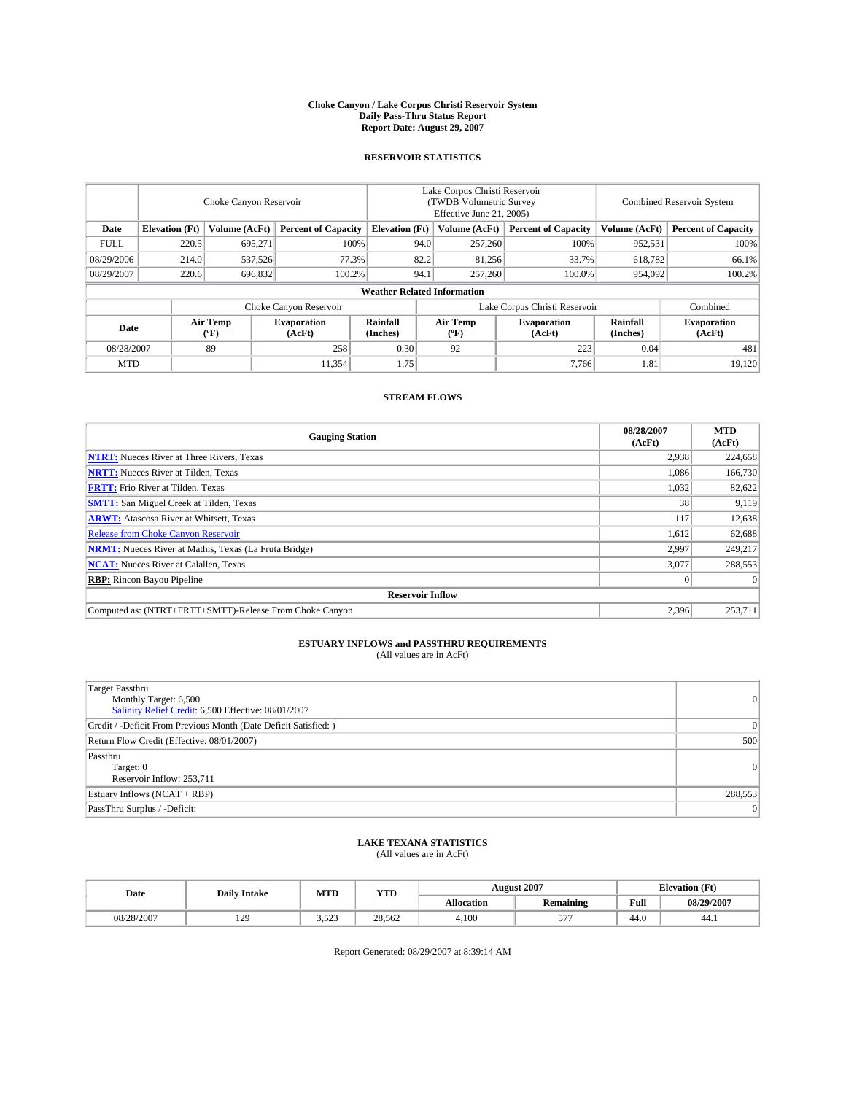#### **Choke Canyon / Lake Corpus Christi Reservoir System Daily Pass-Thru Status Report Report Date: August 29, 2007**

### **RESERVOIR STATISTICS**

|             | Choke Canyon Reservoir             |                  |                              |                       | Lake Corpus Christi Reservoir<br>(TWDB Volumetric Survey<br>Effective June 21, 2005) |                           |                               |                      | <b>Combined Reservoir System</b> |  |  |
|-------------|------------------------------------|------------------|------------------------------|-----------------------|--------------------------------------------------------------------------------------|---------------------------|-------------------------------|----------------------|----------------------------------|--|--|
| Date        | <b>Elevation</b> (Ft)              | Volume (AcFt)    | <b>Percent of Capacity</b>   | <b>Elevation</b> (Ft) |                                                                                      | Volume (AcFt)             | <b>Percent of Capacity</b>    | Volume (AcFt)        | <b>Percent of Capacity</b>       |  |  |
| <b>FULL</b> | 220.5                              | 695.271          |                              | 100%                  | 94.0                                                                                 | 257,260                   | 100%                          | 952,531              | 100%                             |  |  |
| 08/29/2006  | 214.0                              | 537,526          | 77.3%                        |                       | 82.2                                                                                 | 81,256                    | 33.7%                         | 618,782              | 66.1%                            |  |  |
| 08/29/2007  | 220.6                              | 696,832          | 100.2%                       |                       | 94.1                                                                                 | 257,260                   | 100.0%                        | 954,092              | 100.2%                           |  |  |
|             | <b>Weather Related Information</b> |                  |                              |                       |                                                                                      |                           |                               |                      |                                  |  |  |
|             |                                    |                  | Choke Canyon Reservoir       |                       |                                                                                      |                           | Lake Corpus Christi Reservoir |                      | Combined                         |  |  |
| Date        |                                    | Air Temp<br>(°F) | <b>Evaporation</b><br>(AcFt) | Rainfall<br>(Inches)  |                                                                                      | Air Temp<br>$^{\circ}$ F) | <b>Evaporation</b><br>(AcFt)  | Rainfall<br>(Inches) | <b>Evaporation</b><br>(AcFt)     |  |  |
| 08/28/2007  |                                    | 89               | 258                          | 0.30                  |                                                                                      | 92                        | 223                           | 0.04                 | 481                              |  |  |
| <b>MTD</b>  |                                    |                  | 11,354                       | 1.75                  |                                                                                      |                           | 7,766                         | 1.81                 | 19,120                           |  |  |

### **STREAM FLOWS**

| <b>Gauging Station</b>                                       | 08/28/2007<br>(AcFt) | <b>MTD</b><br>(AcFt) |
|--------------------------------------------------------------|----------------------|----------------------|
| <b>NTRT:</b> Nueces River at Three Rivers, Texas             | 2,938                | 224,658              |
| <b>NRTT:</b> Nueces River at Tilden, Texas                   | 1.086                | 166,730              |
| <b>FRTT:</b> Frio River at Tilden, Texas                     | 1,032                | 82,622               |
| <b>SMTT:</b> San Miguel Creek at Tilden, Texas               | 38                   | 9,119                |
| <b>ARWT:</b> Atascosa River at Whitsett, Texas               | 117                  | 12,638               |
| <b>Release from Choke Canyon Reservoir</b>                   | 1,612                | 62,688               |
| <b>NRMT:</b> Nueces River at Mathis, Texas (La Fruta Bridge) | 2.997                | 249.217              |
| <b>NCAT:</b> Nueces River at Calallen, Texas                 | 3,077                | 288,553              |
| <b>RBP:</b> Rincon Bayou Pipeline                            | $\mathbf{0}$         | $\Omega$             |
| <b>Reservoir Inflow</b>                                      |                      |                      |
| Computed as: (NTRT+FRTT+SMTT)-Release From Choke Canyon      | 2,396                | 253,711              |

# **ESTUARY INFLOWS and PASSTHRU REQUIREMENTS**<br>(All values are in AcFt)

| <b>Target Passthru</b><br>Monthly Target: 6,500<br>Salinity Relief Credit: 6,500 Effective: 08/01/2007 | 0        |
|--------------------------------------------------------------------------------------------------------|----------|
| Credit / -Deficit From Previous Month (Date Deficit Satisfied: )                                       | 0        |
| Return Flow Credit (Effective: 08/01/2007)                                                             | 500      |
| Passthru<br>Target: 0<br>Reservoir Inflow: 253,711                                                     | $\Omega$ |
| Estuary Inflows (NCAT + RBP)                                                                           | 288,553  |
| PassThru Surplus / -Deficit:                                                                           | $\Omega$ |

## **LAKE TEXANA STATISTICS** (All values are in AcFt)

| Date       | <b>Daily Intake</b> | MTD   | <b>YTD</b> |                   | <b>August 2007</b>     |      | <b>Elevation</b> (Ft) |
|------------|---------------------|-------|------------|-------------------|------------------------|------|-----------------------|
|            |                     |       |            | <b>Allocation</b> | <b>Remaining</b>       | Full | 08/29/2007            |
| 08/28/2007 | 129                 | 3,523 | 28,562     | 4.100             | 577<br>$\sim$ $\prime$ | 44.0 | 44.1                  |

Report Generated: 08/29/2007 at 8:39:14 AM